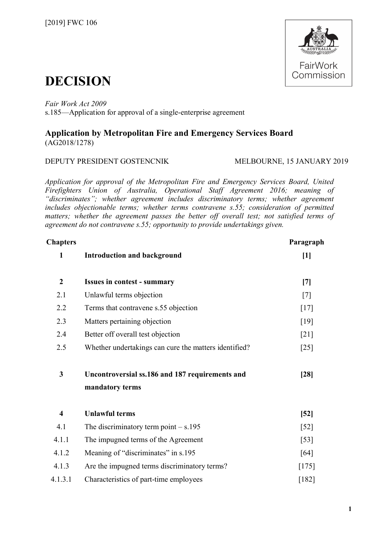

# **DECISION**

*Fair Work Act 2009*  s.185—Application for approval of a single-enterprise agreement

# **Application by Metropolitan Fire and Emergency Services Board** (AG2018/1278)

# DEPUTY PRESIDENT GOSTENCNIK MELBOURNE, 15 JANUARY 2019

*Application for approval of the Metropolitan Fire and Emergency Services Board, United Firefighters Union of Australia, Operational Staff Agreement 2016; meaning of "discriminates"; whether agreement includes discriminatory terms; whether agreement includes objectionable terms; whether terms contravene s.55; consideration of permitted matters; whether the agreement passes the better off overall test; not satisfied terms of agreement do not contravene s.55; opportunity to provide undertakings given.*

| <b>Chapters</b>         |                                                       | Paragraph          |
|-------------------------|-------------------------------------------------------|--------------------|
| $\mathbf{1}$            | <b>Introduction and background</b>                    | $[1]$              |
| $\boldsymbol{2}$        | <b>Issues in contest - summary</b>                    | $[7]$              |
| 2.1                     | Unlawful terms objection                              | $[7]$              |
| 2.2                     | Terms that contravene s.55 objection                  | $[17]$             |
| 2.3                     | Matters pertaining objection                          | $[19]$             |
| 2.4                     | Better off overall test objection                     | $\lceil 21 \rceil$ |
| 2.5                     | Whether undertakings can cure the matters identified? | $[25]$             |
| 3                       | Uncontroversial ss.186 and 187 requirements and       | $[28]$             |
|                         | mandatory terms                                       |                    |
| $\overline{\mathbf{4}}$ | <b>Unlawful terms</b>                                 | $[52]$             |
| 4.1                     | The discriminatory term point $- s.195$               | $[52]$             |
| 4.1.1                   | The impugned terms of the Agreement                   | $\left[53\right]$  |
| 4.1.2                   | Meaning of "discriminates" in s.195                   | [64]               |
| 4.1.3                   | Are the impugned terms discriminatory terms?          | $[175]$            |
| 4.1.3.1                 | Characteristics of part-time employees                | $[182]$            |
|                         |                                                       |                    |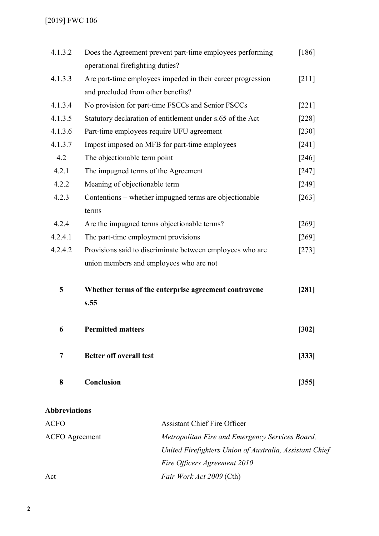# [2019] FWC 106

| 4.1.3.2        | Does the Agreement prevent part-time employees performing   | $[186]$             |
|----------------|-------------------------------------------------------------|---------------------|
|                | operational firefighting duties?                            |                     |
| 4.1.3.3        | Are part-time employees impeded in their career progression | $[211]$             |
|                | and precluded from other benefits?                          |                     |
| 4.1.3.4        | No provision for part-time FSCCs and Senior FSCCs           | $[221]$             |
| 4.1.3.5        | Statutory declaration of entitlement under s.65 of the Act  | $[228]$             |
| 4.1.3.6        | Part-time employees require UFU agreement                   | $[230]$             |
| 4.1.3.7        | Impost imposed on MFB for part-time employees               | $\lceil 241 \rceil$ |
| 4.2            | The objectionable term point                                | $\lceil 246 \rceil$ |
| 4.2.1          | The impugned terms of the Agreement                         | $[247]$             |
| 4.2.2          | Meaning of objectionable term                               | $[249]$             |
| 4.2.3          | Contentions – whether impugned terms are objectionable      | $[263]$             |
|                | terms                                                       |                     |
| 4.2.4          | Are the impugned terms objectionable terms?                 | [269]               |
| 4.2.4.1        | The part-time employment provisions                         | $\lceil 269 \rceil$ |
| 4.2.4.2        | Provisions said to discriminate between employees who are   | $[273]$             |
|                | union members and employees who are not                     |                     |
| 5              | Whether terms of the enterprise agreement contravene        | [281]               |
|                | s.55                                                        |                     |
| 6              | <b>Permitted matters</b>                                    | $[302]$             |
| $\overline{7}$ | <b>Better off overall test</b>                              | [333]               |
| 8              | Conclusion                                                  | [355]               |

# **Abbreviations**

| <b>ACFO</b>           | <b>Assistant Chief Fire Officer</b>                     |
|-----------------------|---------------------------------------------------------|
| <b>ACFO</b> Agreement | Metropolitan Fire and Emergency Services Board,         |
|                       | United Firefighters Union of Australia, Assistant Chief |
|                       | Fire Officers Agreement 2010                            |
| Act                   | <i>Fair Work Act 2009</i> (Cth)                         |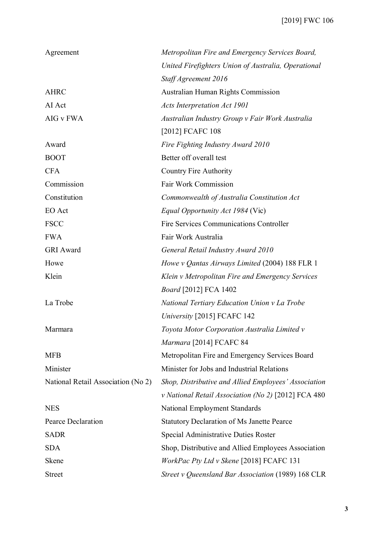| Agreement                          | Metropolitan Fire and Emergency Services Board,      |
|------------------------------------|------------------------------------------------------|
|                                    | United Firefighters Union of Australia, Operational  |
|                                    | Staff Agreement 2016                                 |
| <b>AHRC</b>                        | <b>Australian Human Rights Commission</b>            |
| AI Act                             | <b>Acts Interpretation Act 1901</b>                  |
| AIG v FWA                          | Australian Industry Group v Fair Work Australia      |
|                                    | [2012] FCAFC 108                                     |
| Award                              | Fire Fighting Industry Award 2010                    |
| <b>BOOT</b>                        | Better off overall test                              |
| <b>CFA</b>                         | <b>Country Fire Authority</b>                        |
| Commission                         | Fair Work Commission                                 |
| Constitution                       | Commonwealth of Australia Constitution Act           |
| EO Act                             | <i>Equal Opportunity Act 1984</i> (Vic)              |
| <b>FSCC</b>                        | <b>Fire Services Communications Controller</b>       |
| <b>FWA</b>                         | Fair Work Australia                                  |
| <b>GRI</b> Award                   | General Retail Industry Award 2010                   |
| Howe                               | Howe v Qantas Airways Limited (2004) 188 FLR 1       |
| Klein                              | Klein v Metropolitan Fire and Emergency Services     |
|                                    | <i>Board</i> [2012] FCA 1402                         |
| La Trobe                           | National Tertiary Education Union v La Trobe         |
|                                    | University [2015] FCAFC 142                          |
| Marmara                            | Toyota Motor Corporation Australia Limited v         |
|                                    | Marmara [2014] FCAFC 84                              |
| <b>MFB</b>                         | Metropolitan Fire and Emergency Services Board       |
| Minister                           | Minister for Jobs and Industrial Relations           |
| National Retail Association (No 2) | Shop, Distributive and Allied Employees' Association |
|                                    | v National Retail Association (No 2) [2012] FCA 480  |
| <b>NES</b>                         | National Employment Standards                        |
| Pearce Declaration                 | <b>Statutory Declaration of Ms Janette Pearce</b>    |
| <b>SADR</b>                        | Special Administrative Duties Roster                 |
| <b>SDA</b>                         | Shop, Distributive and Allied Employees Association  |
| <b>Skene</b>                       | WorkPac Pty Ltd v Skene [2018] FCAFC 131             |
| <b>Street</b>                      | Street v Queensland Bar Association (1989) 168 CLR   |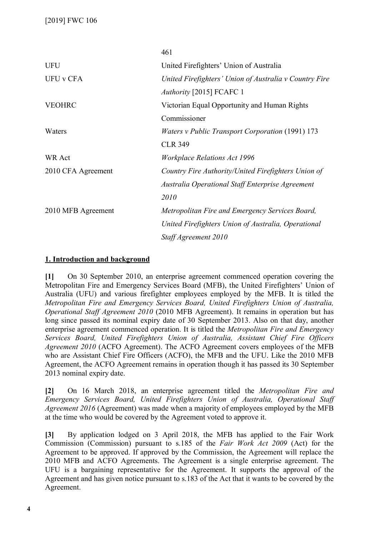|                    | 461                                                     |
|--------------------|---------------------------------------------------------|
| <b>UFU</b>         | United Firefighters' Union of Australia                 |
| <b>UFU v CFA</b>   | United Firefighters' Union of Australia v Country Fire  |
|                    | Authority [2015] FCAFC 1                                |
| <b>VEOHRC</b>      | Victorian Equal Opportunity and Human Rights            |
|                    | Commissioner                                            |
| Waters             | <i>Waters v Public Transport Corporation</i> (1991) 173 |
|                    | <b>CLR 349</b>                                          |
| <b>WR Act</b>      | <b>Workplace Relations Act 1996</b>                     |
| 2010 CFA Agreement | Country Fire Authority/United Firefighters Union of     |
|                    | Australia Operational Staff Enterprise Agreement        |
|                    | 2010                                                    |
| 2010 MFB Agreement | Metropolitan Fire and Emergency Services Board,         |
|                    | United Firefighters Union of Australia, Operational     |
|                    | Staff Agreement 2010                                    |

# **1. Introduction and background**

**[1]** On 30 September 2010, an enterprise agreement commenced operation covering the Metropolitan Fire and Emergency Services Board (MFB), the United Firefighters' Union of Australia (UFU) and various firefighter employees employed by the MFB. It is titled the *Metropolitan Fire and Emergency Services Board, United Firefighters Union of Australia, Operational Staff Agreement 2010* (2010 MFB Agreement). It remains in operation but has long since passed its nominal expiry date of 30 September 2013. Also on that day, another enterprise agreement commenced operation. It is titled the *Metropolitan Fire and Emergency Services Board, United Firefighters Union of Australia, Assistant Chief Fire Officers Agreement 2010* (ACFO Agreement). The ACFO Agreement covers employees of the MFB who are Assistant Chief Fire Officers (ACFO), the MFB and the UFU. Like the 2010 MFB Agreement, the ACFO Agreement remains in operation though it has passed its 30 September 2013 nominal expiry date.

**[2]** On 16 March 2018, an enterprise agreement titled the *Metropolitan Fire and Emergency Services Board, United Firefighters Union of Australia, Operational Staff Agreement 2016* (Agreement) was made when a majority of employees employed by the MFB at the time who would be covered by the Agreement voted to approve it.

**[3]** By application lodged on 3 April 2018, the MFB has applied to the Fair Work Commission (Commission) pursuant to s.185 of the *Fair Work Act 2009* (Act) for the Agreement to be approved. If approved by the Commission, the Agreement will replace the 2010 MFB and ACFO Agreements. The Agreement is a single enterprise agreement. The UFU is a bargaining representative for the Agreement. It supports the approval of the Agreement and has given notice pursuant to s.183 of the Act that it wants to be covered by the Agreement.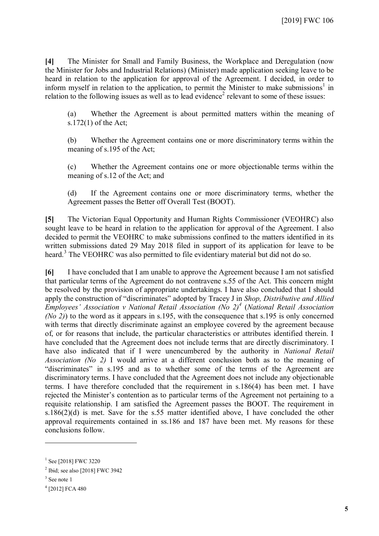**[4]** The Minister for Small and Family Business, the Workplace and Deregulation (now the Minister for Jobs and Industrial Relations) (Minister) made application seeking leave to be heard in relation to the application for approval of the Agreement. I decided, in order to inform myself in relation to the application, to permit the Minister to make submissions<sup>[1](#page-4-0)</sup> in relation to the following issues as well as to lead evidence<sup>[2](#page-4-1)</sup> relevant to some of these issues:

(a) Whether the Agreement is about permitted matters within the meaning of s.172(1) of the Act;

(b) Whether the Agreement contains one or more discriminatory terms within the meaning of s.195 of the Act;

(c) Whether the Agreement contains one or more objectionable terms within the meaning of s.12 of the Act; and

(d) If the Agreement contains one or more discriminatory terms, whether the Agreement passes the Better off Overall Test (BOOT).

**[5]** The Victorian Equal Opportunity and Human Rights Commissioner (VEOHRC) also sought leave to be heard in relation to the application for approval of the Agreement. I also decided to permit the VEOHRC to make submissions confined to the matters identified in its written submissions dated 29 May 2018 filed in support of its application for leave to be heard.<sup>[3](#page-4-2)</sup> The VEOHRC was also permitted to file evidentiary material but did not do so.

**[6]** I have concluded that I am unable to approve the Agreement because I am not satisfied that particular terms of the Agreement do not contravene s.55 of the Act. This concern might be resolved by the provision of appropriate undertakings. I have also concluded that I should apply the construction of "discriminates" adopted by Tracey J in *Shop, Distributive and Allied Employees' Association v National Retail Association (No 2)[4](#page-4-3)* (*National Retail Association (No 2)*) to the word as it appears in s.195, with the consequence that s.195 is only concerned with terms that directly discriminate against an employee covered by the agreement because of, or for reasons that include, the particular characteristics or attributes identified therein. I have concluded that the Agreement does not include terms that are directly discriminatory. I have also indicated that if I were unencumbered by the authority in *National Retail Association (No 2)* I would arrive at a different conclusion both as to the meaning of "discriminates" in s.195 and as to whether some of the terms of the Agreement are discriminatory terms. I have concluded that the Agreement does not include any objectionable terms. I have therefore concluded that the requirement in s.186(4) has been met. I have rejected the Minister's contention as to particular terms of the Agreement not pertaining to a requisite relationship. I am satisfied the Agreement passes the BOOT. The requirement in s.186(2)(d) is met. Save for the s.55 matter identified above, I have concluded the other approval requirements contained in ss.186 and 187 have been met. My reasons for these conclusions follow.

<span id="page-4-0"></span><sup>&</sup>lt;sup>1</sup> See [2018] FWC 3220

<span id="page-4-1"></span><sup>&</sup>lt;sup>2</sup> Ibid; see also [2018] FWC 3942

<span id="page-4-3"></span><span id="page-4-2"></span><sup>&</sup>lt;sup>3</sup> See note 1

<sup>4</sup> [2012] FCA 480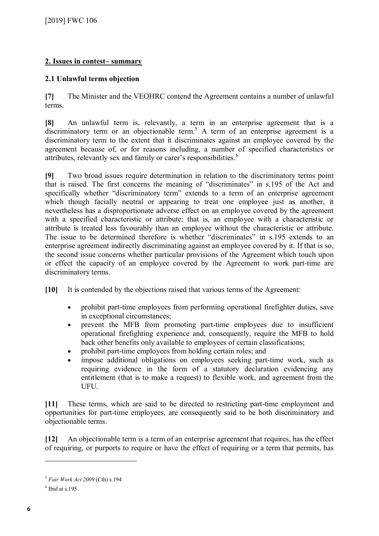# **2. Issues in contest– summary**

# **2.1 Unlawful terms objection**

**[7]** The Minister and the VEOHRC contend the Agreement contains a number of unlawful terms.

**[8]** An unlawful term is, relevantly, a term in an enterprise agreement that is a discriminatory term or an objectionable term.<sup>[5](#page-5-0)</sup> A term of an enterprise agreement is a discriminatory term to the extent that it discriminates against an employee covered by the agreement because of, or for reasons including, a number of specified characteristics or attributes, relevantly sex and family or carer's responsibilities.<sup>[6](#page-5-1)</sup>

**[9]** Two broad issues require determination in relation to the discriminatory terms point that is raised. The first concerns the meaning of "discriminates" in s.195 of the Act and specifically whether "discriminatory term" extends to a term of an enterprise agreement which though facially neutral or appearing to treat one employee just as another, it nevertheless has a disproportionate adverse effect on an employee covered by the agreement with a specified characteristic or attribute: that is, an employee with a characteristic or attribute is treated less favourably than an employee without the characteristic or attribute. The issue to be determined therefore is whether "discriminates" in s.195 extends to an enterprise agreement indirectly discriminating against an employee covered by it. If that is so, the second issue concerns whether particular provisions of the Agreement which touch upon or effect the capacity of an employee covered by the Agreement to work part-time are discriminatory terms.

**[10]** It is contended by the objections raised that various terms of the Agreement:

- prohibit part-time employees from performing operational firefighter duties, save in exceptional circumstances;
- prevent the MFB from promoting part-time employees due to insufficient operational firefighting experience and, consequently, require the MFB to hold back other benefits only available to employees of certain classifications;
- prohibit part-time employees from holding certain roles; and
- impose additional obligations on employees seeking part-time work, such as requiring evidence in the form of a statutory declaration evidencing any entitlement (that is to make a request) to flexible work, and agreement from the UFU.

**[11]** These terms, which are said to be directed to restricting part-time employment and opportunities for part-time employees, are consequently said to be both discriminatory and objectionable terms.

**[12]** An objectionable term is a term of an enterprise agreement that requires, has the effect of requiring, or purports to require or have the effect of requiring or a term that permits, has

<span id="page-5-0"></span><sup>5</sup> *Fair Work Act 2009* (Cth) s.194

<span id="page-5-1"></span> $<sup>6</sup>$  Ibid at s.195</sup>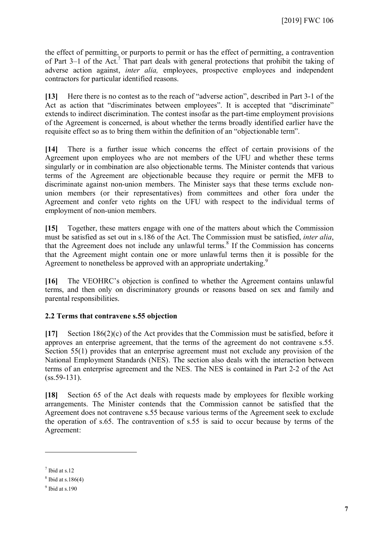the effect of permitting, or purports to permit or has the effect of permitting, a contravention of Part 3–1 of the Act.<sup>[7](#page-6-0)</sup> That part deals with general protections that prohibit the taking of adverse action against, *inter alia,* employees, prospective employees and independent contractors for particular identified reasons.

**[13]** Here there is no contest as to the reach of "adverse action", described in Part 3-1 of the Act as action that "discriminates between employees". It is accepted that "discriminate" extends to indirect discrimination. The contest insofar as the part-time employment provisions of the Agreement is concerned, is about whether the terms broadly identified earlier have the requisite effect so as to bring them within the definition of an "objectionable term".

**[14]** There is a further issue which concerns the effect of certain provisions of the Agreement upon employees who are not members of the UFU and whether these terms singularly or in combination are also objectionable terms. The Minister contends that various terms of the Agreement are objectionable because they require or permit the MFB to discriminate against non-union members. The Minister says that these terms exclude nonunion members (or their representatives) from committees and other fora under the Agreement and confer veto rights on the UFU with respect to the individual terms of employment of non-union members.

**[15]** Together, these matters engage with one of the matters about which the Commission must be satisfied as set out in s.186 of the Act. The Commission must be satisfied, *inter alia*, that the Agreement does not include any unlawful terms. $8$  If the Commission has concerns that the Agreement might contain one or more unlawful terms then it is possible for the Agreement to nonetheless be approved with an appropriate undertaking.<sup>[9](#page-6-2)</sup>

**[16]** The VEOHRC's objection is confined to whether the Agreement contains unlawful terms, and then only on discriminatory grounds or reasons based on sex and family and parental responsibilities.

# **2.2 Terms that contravene s.55 objection**

**[17]** Section 186(2)(c) of the Act provides that the Commission must be satisfied, before it approves an enterprise agreement, that the terms of the agreement do not contravene s.55. Section 55(1) provides that an enterprise agreement must not exclude any provision of the National Employment Standards (NES). The section also deals with the interaction between terms of an enterprise agreement and the NES. The NES is contained in Part 2-2 of the Act  $(ss.59-131)$ .

**[18]** Section 65 of the Act deals with requests made by employees for flexible working arrangements. The Minister contends that the Commission cannot be satisfied that the Agreement does not contravene s.55 because various terms of the Agreement seek to exclude the operation of s.65. The contravention of s.55 is said to occur because by terms of the Agreement:

<span id="page-6-0"></span> $<sup>7</sup>$  Ibid at s.12</sup>

<span id="page-6-2"></span><span id="page-6-1"></span> $8$  Ibid at s.186(4)

 $9$  Ibid at s.190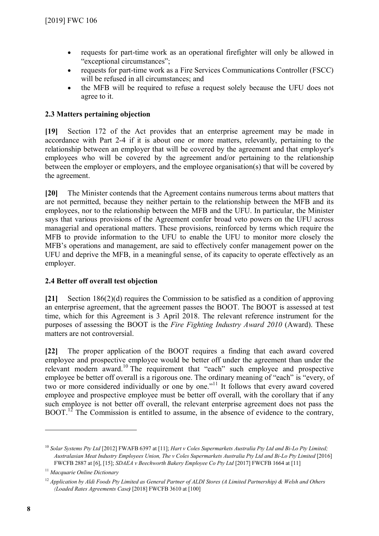- requests for part-time work as an operational firefighter will only be allowed in "exceptional circumstances";
- requests for part-time work as a Fire Services Communications Controller (FSCC) will be refused in all circumstances; and
- the MFB will be required to refuse a request solely because the UFU does not agree to it.

# **2.3 Matters pertaining objection**

**[19]** Section 172 of the Act provides that an enterprise agreement may be made in accordance with Part 2-4 if it is about one or more matters, relevantly, pertaining to the relationship between an employer that will be covered by the agreement and that employer's employees who will be covered by the agreement and/or pertaining to the relationship between the employer or employers, and the employee organisation(s) that will be covered by the agreement.

**[20]** The Minister contends that the Agreement contains numerous terms about matters that are not permitted, because they neither pertain to the relationship between the MFB and its employees, nor to the relationship between the MFB and the UFU. In particular, the Minister says that various provisions of the Agreement confer broad veto powers on the UFU across managerial and operational matters. These provisions, reinforced by terms which require the MFB to provide information to the UFU to enable the UFU to monitor more closely the MFB's operations and management, are said to effectively confer management power on the UFU and deprive the MFB, in a meaningful sense, of its capacity to operate effectively as an employer.

# **2.4 Better off overall test objection**

**[21]** Section 186(2)(d) requires the Commission to be satisfied as a condition of approving an enterprise agreement, that the agreement passes the BOOT. The BOOT is assessed at test time, which for this Agreement is 3 April 2018. The relevant reference instrument for the purposes of assessing the BOOT is the *Fire Fighting Industry Award 2010* (Award). These matters are not controversial.

**[22]** The proper application of the BOOT requires a finding that each award covered employee and prospective employee would be better off under the agreement than under the relevant modern award.<sup>[10](#page-7-0)</sup> The requirement that "each" such employee and prospective employee be better off overall is a rigorous one. The ordinary meaning of "each" is "every, of two or more considered individually or one by one."<sup>[11](#page-7-1)</sup> It follows that every award covered employee and prospective employee must be better off overall, with the corollary that if any such employee is not better off overall, the relevant enterprise agreement does not pass the BOOT.<sup>[12](#page-7-2)</sup> The Commission is entitled to assume, in the absence of evidence to the contrary,

<span id="page-7-0"></span><sup>10</sup> *Solar Systems Pty Ltd* [2012] FWAFB 6397 at [11]; *Hart v Coles Supermarkets Australia Pty Ltd and Bi-Lo Pty Limited; Australasian Meat Industry Employees Union, The v Coles Supermarkets Australia Pty Ltd and Bi-Lo Pty Limited* [2016] FWCFB 2887 at [6], [15]; *SDAEA v Beechworth Bakery Employee Co Pty Ltd* [2017] FWCFB 1664 at [11]

<span id="page-7-1"></span><sup>11</sup> *Macquarie Online Dictionary*

<span id="page-7-2"></span><sup>&</sup>lt;sup>12</sup> *Application by Aldi Foods Pty Limited as General Partner of ALDI Stores (A Limited Partnership) & Welsh and Others (Loaded Rates Agreements Case)* [2018] FWCFB 3610 at [100]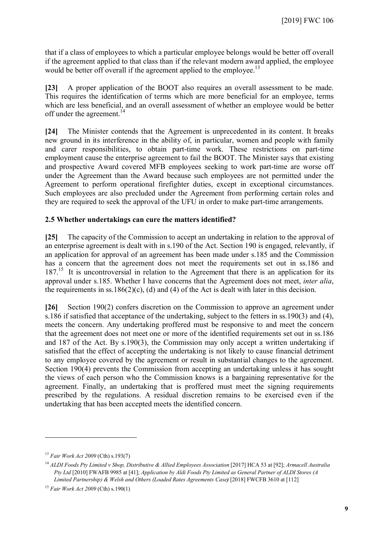that if a class of employees to which a particular employee belongs would be better off overall if the agreement applied to that class than if the relevant modern award applied, the employee would be better off overall if the agreement applied to the employee.<sup>[13](#page-8-0)</sup>

**[23]** A proper application of the BOOT also requires an overall assessment to be made. This requires the identification of terms which are more beneficial for an employee, terms which are less beneficial, and an overall assessment of whether an employee would be better off under the agreement.<sup>[14](#page-8-1)</sup>

**[24]** The Minister contends that the Agreement is unprecedented in its content. It breaks new ground in its interference in the ability of, in particular, women and people with family and carer responsibilities, to obtain part-time work. These restrictions on part-time employment cause the enterprise agreement to fail the BOOT. The Minister says that existing and prospective Award covered MFB employees seeking to work part-time are worse off under the Agreement than the Award because such employees are not permitted under the Agreement to perform operational firefighter duties, except in exceptional circumstances. Such employees are also precluded under the Agreement from performing certain roles and they are required to seek the approval of the UFU in order to make part-time arrangements.

#### **2.5 Whether undertakings can cure the matters identified?**

**[25]** The capacity of the Commission to accept an undertaking in relation to the approval of an enterprise agreement is dealt with in s.190 of the Act. Section 190 is engaged, relevantly, if an application for approval of an agreement has been made under s.185 and the Commission has a concern that the agreement does not meet the requirements set out in ss.186 and  $187<sup>15</sup>$  $187<sup>15</sup>$  $187<sup>15</sup>$  It is uncontroversial in relation to the Agreement that there is an application for its approval under s.185. Whether I have concerns that the Agreement does not meet, *inter alia*, the requirements in ss.186(2)(c), (d) and (4) of the Act is dealt with later in this decision.

**[26]** Section 190(2) confers discretion on the Commission to approve an agreement under s.186 if satisfied that acceptance of the undertaking, subject to the fetters in ss.190(3) and (4), meets the concern. Any undertaking proffered must be responsive to and meet the concern that the agreement does not meet one or more of the identified requirements set out in ss.186 and 187 of the Act. By s.190(3), the Commission may only accept a written undertaking if satisfied that the effect of accepting the undertaking is not likely to cause financial detriment to any employee covered by the agreement or result in substantial changes to the agreement. Section 190(4) prevents the Commission from accepting an undertaking unless it has sought the views of each person who the Commission knows is a bargaining representative for the agreement. Finally, an undertaking that is proffered must meet the signing requirements prescribed by the regulations. A residual discretion remains to be exercised even if the undertaking that has been accepted meets the identified concern.

<span id="page-8-0"></span><sup>13</sup> *Fair Work Act 2009* (Cth) s.193(7)

<span id="page-8-1"></span><sup>14</sup> *ALDI Foods Pty Limited v Shop, Distributive & Allied Employees Association* [2017] HCA 53 at [92]; *Armacell Australia Pty Ltd* [2010] FWAFB 9985 at [41]; *Application by Aldi Foods Pty Limited as General Partner of ALDI Stores (A Limited Partnership) & Welsh and Others (Loaded Rates Agreements Case)* [2018] FWCFB 3610 at [112]

<span id="page-8-2"></span><sup>15</sup> *Fair Work Act 2009* (Cth) s.190(1)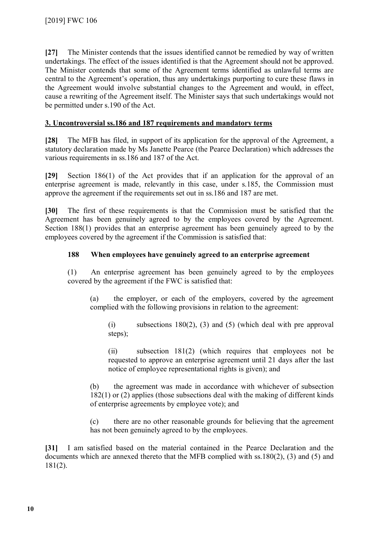**[27]** The Minister contends that the issues identified cannot be remedied by way of written undertakings. The effect of the issues identified is that the Agreement should not be approved. The Minister contends that some of the Agreement terms identified as unlawful terms are central to the Agreement's operation, thus any undertakings purporting to cure these flaws in the Agreement would involve substantial changes to the Agreement and would, in effect, cause a rewriting of the Agreement itself. The Minister says that such undertakings would not be permitted under s.190 of the Act.

# **3. Uncontroversial ss.186 and 187 requirements and mandatory terms**

**[28]** The MFB has filed, in support of its application for the approval of the Agreement, a statutory declaration made by Ms Janette Pearce (the Pearce Declaration) which addresses the various requirements in ss.186 and 187 of the Act.

**[29]** Section 186(1) of the Act provides that if an application for the approval of an enterprise agreement is made, relevantly in this case, under s.185, the Commission must approve the agreement if the requirements set out in ss.186 and 187 are met.

**[30]** The first of these requirements is that the Commission must be satisfied that the Agreement has been genuinely agreed to by the employees covered by the Agreement. Section 188(1) provides that an enterprise agreement has been genuinely agreed to by the employees covered by the agreement if the Commission is satisfied that:

#### **188 When employees have genuinely agreed to an enterprise agreement**

(1) An enterprise agreement has been genuinely agreed to by the employees covered by the agreement if the FWC is satisfied that:

(a) the employer, or each of the employers, covered by the agreement complied with the following provisions in relation to the agreement:

(i) subsections 180(2), (3) and (5) (which deal with pre approval steps);

(ii) subsection 181(2) (which requires that employees not be requested to approve an enterprise agreement until 21 days after the last notice of employee representational rights is given); and

(b) the agreement was made in accordance with whichever of subsection 182(1) or (2) applies (those subsections deal with the making of different kinds of enterprise agreements by employee vote); and

(c) there are no other reasonable grounds for believing that the agreement has not been genuinely agreed to by the employees.

**[31]** I am satisfied based on the material contained in the Pearce Declaration and the documents which are annexed thereto that the MFB complied with ss.180(2), (3) and (5) and 181(2).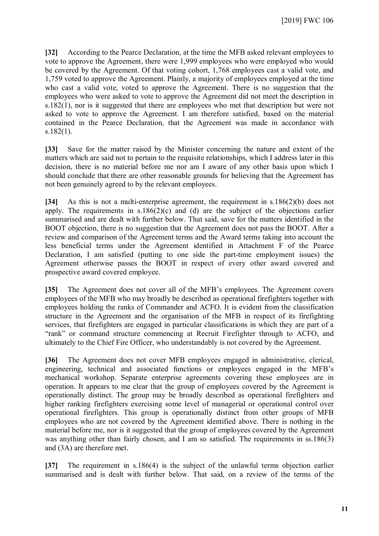**[32]** According to the Pearce Declaration, at the time the MFB asked relevant employees to vote to approve the Agreement, there were 1,999 employees who were employed who would be covered by the Agreement. Of that voting cohort, 1,768 employees cast a valid vote, and 1,759 voted to approve the Agreement. Plainly, a majority of employees employed at the time who cast a valid vote, voted to approve the Agreement. There is no suggestion that the employees who were asked to vote to approve the Agreement did not meet the description in s.182(1), nor is it suggested that there are employees who met that description but were not asked to vote to approve the Agreement. I am therefore satisfied, based on the material contained in the Pearce Declaration, that the Agreement was made in accordance with  $s.182(1)$ .

**[33]** Save for the matter raised by the Minister concerning the nature and extent of the matters which are said not to pertain to the requisite relationships, which I address later in this decision, there is no material before me nor am I aware of any other basis upon which I should conclude that there are other reasonable grounds for believing that the Agreement has not been genuinely agreed to by the relevant employees.

**[34]** As this is not a multi-enterprise agreement, the requirement in s.186(2)(b) does not apply. The requirements in  $s.186(2)(c)$  and (d) are the subject of the objections earlier summarised and are dealt with further below. That said, save for the matters identified in the BOOT objection, there is no suggestion that the Agreement does not pass the BOOT. After a review and comparison of the Agreement terms and the Award terms taking into account the less beneficial terms under the Agreement identified in Attachment F of the Pearce Declaration, I am satisfied (putting to one side the part-time employment issues) the Agreement otherwise passes the BOOT in respect of every other award covered and prospective award covered employee.

**[35]** The Agreement does not cover all of the MFB's employees. The Agreement covers employees of the MFB who may broadly be described as operational firefighters together with employees holding the ranks of Commander and ACFO. It is evident from the classification structure in the Agreement and the organisation of the MFB in respect of its firefighting services, that firefighters are engaged in particular classifications in which they are part of a "rank" or command structure commencing at Recruit Firefighter through to ACFO, and ultimately to the Chief Fire Officer, who understandably is not covered by the Agreement.

**[36]** The Agreement does not cover MFB employees engaged in administrative, clerical, engineering, technical and associated functions or employees engaged in the MFB's mechanical workshop. Separate enterprise agreements covering these employees are in operation. It appears to me clear that the group of employees covered by the Agreement is operationally distinct. The group may be broadly described as operational firefighters and higher ranking firefighters exercising some level of managerial or operational control over operational firefighters. This group is operationally distinct from other groups of MFB employees who are not covered by the Agreement identified above. There is nothing in the material before me, nor is it suggested that the group of employees covered by the Agreement was anything other than fairly chosen, and I am so satisfied. The requirements in ss.186(3) and (3A) are therefore met.

**[37]** The requirement in s.186(4) is the subject of the unlawful terms objection earlier summarised and is dealt with further below. That said, on a review of the terms of the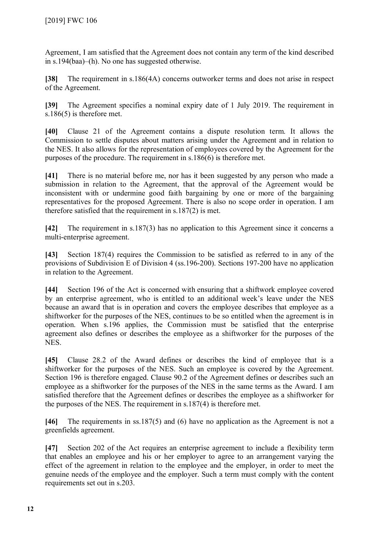Agreement, I am satisfied that the Agreement does not contain any term of the kind described in s.194(baa)–(h). No one has suggested otherwise.

**[38]** The requirement in s.186(4A) concerns outworker terms and does not arise in respect of the Agreement.

**[39]** The Agreement specifies a nominal expiry date of 1 July 2019. The requirement in s.186(5) is therefore met.

**[40]** Clause 21 of the Agreement contains a dispute resolution term. It allows the Commission to settle disputes about matters arising under the Agreement and in relation to the NES. It also allows for the representation of employees covered by the Agreement for the purposes of the procedure. The requirement in s.186(6) is therefore met.

**[41]** There is no material before me, nor has it been suggested by any person who made a submission in relation to the Agreement, that the approval of the Agreement would be inconsistent with or undermine good faith bargaining by one or more of the bargaining representatives for the proposed Agreement. There is also no scope order in operation. I am therefore satisfied that the requirement in s.187(2) is met.

**[42]** The requirement in s.187(3) has no application to this Agreement since it concerns a multi-enterprise agreement.

**[43]** Section 187(4) requires the Commission to be satisfied as referred to in any of the provisions of Subdivision E of Division 4 (ss.196-200). Sections 197-200 have no application in relation to the Agreement.

**[44]** Section 196 of the Act is concerned with ensuring that a shiftwork employee covered by an enterprise agreement, who is entitled to an additional week's leave under the NES because an award that is in operation and covers the employee describes that employee as a shiftworker for the purposes of the NES, continues to be so entitled when the agreement is in operation. When s.196 applies, the Commission must be satisfied that the enterprise agreement also defines or describes the employee as a shiftworker for the purposes of the NES.

**[45]** Clause 28.2 of the Award defines or describes the kind of employee that is a shiftworker for the purposes of the NES. Such an employee is covered by the Agreement. Section 196 is therefore engaged. Clause 90.2 of the Agreement defines or describes such an employee as a shiftworker for the purposes of the NES in the same terms as the Award. I am satisfied therefore that the Agreement defines or describes the employee as a shiftworker for the purposes of the NES. The requirement in s.187(4) is therefore met.

**[46]** The requirements in ss.187(5) and (6) have no application as the Agreement is not a greenfields agreement.

**[47]** Section 202 of the Act requires an enterprise agreement to include a flexibility term that enables an employee and his or her employer to agree to an arrangement varying the effect of the agreement in relation to the employee and the employer, in order to meet the genuine needs of the employee and the employer. Such a term must comply with the content requirements set out in s.203.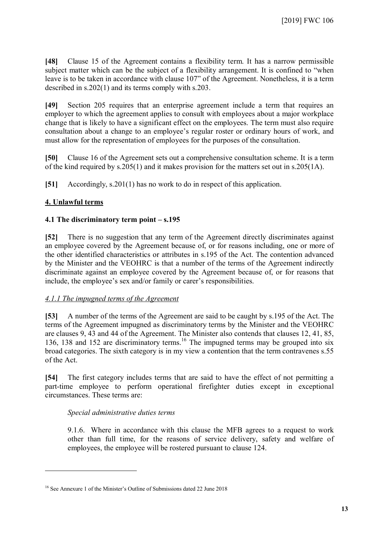**[48]** Clause 15 of the Agreement contains a flexibility term. It has a narrow permissible subject matter which can be the subject of a flexibility arrangement. It is confined to "when leave is to be taken in accordance with clause 107" of the Agreement. Nonetheless, it is a term described in s.202(1) and its terms comply with s.203.

**[49]** Section 205 requires that an enterprise agreement include a term that requires an employer to which the agreement applies to consult with employees about a major workplace change that is likely to have a significant effect on the employees. The term must also require consultation about a change to an employee's regular roster or ordinary hours of work, and must allow for the representation of employees for the purposes of the consultation.

**[50]** Clause 16 of the Agreement sets out a comprehensive consultation scheme. It is a term of the kind required by s.205(1) and it makes provision for the matters set out in s.205(1A).

**[51]** Accordingly, s.201(1) has no work to do in respect of this application.

# **4. Unlawful terms**

 $\overline{a}$ 

#### **4.1 The discriminatory term point – s.195**

**[52]** There is no suggestion that any term of the Agreement directly discriminates against an employee covered by the Agreement because of, or for reasons including, one or more of the other identified characteristics or attributes in s.195 of the Act. The contention advanced by the Minister and the VEOHRC is that a number of the terms of the Agreement indirectly discriminate against an employee covered by the Agreement because of, or for reasons that include, the employee's sex and/or family or carer's responsibilities.

#### *4.1.1 The impugned terms of the Agreement*

**[53]** A number of the terms of the Agreement are said to be caught by s.195 of the Act. The terms of the Agreement impugned as discriminatory terms by the Minister and the VEOHRC are clauses 9, 43 and 44 of the Agreement. The Minister also contends that clauses 12, 41, 85, 136, 138 and 152 are discriminatory terms.<sup>[16](#page-12-0)</sup> The impugned terms may be grouped into six broad categories. The sixth category is in my view a contention that the term contravenes s.55 of the Act.

**[54]** The first category includes terms that are said to have the effect of not permitting a part-time employee to perform operational firefighter duties except in exceptional circumstances. These terms are:

#### *Special administrative duties terms*

9.1.6. Where in accordance with this clause the MFB agrees to a request to work other than full time, for the reasons of service delivery, safety and welfare of employees, the employee will be rostered pursuant to clause 124.

<span id="page-12-0"></span><sup>16</sup> See Annexure 1 of the Minister's Outline of Submissions dated 22 June 2018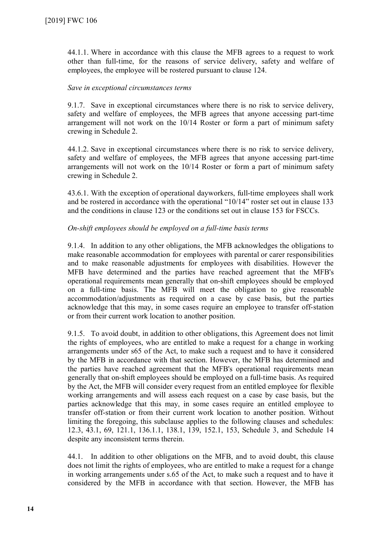44.1.1. Where in accordance with this clause the MFB agrees to a request to work other than full-time, for the reasons of service delivery, safety and welfare of employees, the employee will be rostered pursuant to clause 124.

#### *Save in exceptional circumstances terms*

9.1.7. Save in exceptional circumstances where there is no risk to service delivery, safety and welfare of employees, the MFB agrees that anyone accessing part-time arrangement will not work on the 10/14 Roster or form a part of minimum safety crewing in Schedule 2.

44.1.2. Save in exceptional circumstances where there is no risk to service delivery, safety and welfare of employees, the MFB agrees that anyone accessing part-time arrangements will not work on the 10/14 Roster or form a part of minimum safety crewing in Schedule 2.

43.6.1. With the exception of operational dayworkers, full-time employees shall work and be rostered in accordance with the operational "10/14" roster set out in clause 133 and the conditions in clause 123 or the conditions set out in clause 153 for FSCCs.

#### *On-shift employees should be employed on a full-time basis terms*

9.1.4. In addition to any other obligations, the MFB acknowledges the obligations to make reasonable accommodation for employees with parental or carer responsibilities and to make reasonable adjustments for employees with disabilities. However the MFB have determined and the parties have reached agreement that the MFB's operational requirements mean generally that on-shift employees should be employed on a full-time basis. The MFB will meet the obligation to give reasonable accommodation/adjustments as required on a case by case basis, but the parties acknowledge that this may, in some cases require an employee to transfer off-station or from their current work location to another position.

9.1.5. To avoid doubt, in addition to other obligations, this Agreement does not limit the rights of employees, who are entitled to make a request for a change in working arrangements under s65 of the Act, to make such a request and to have it considered by the MFB in accordance with that section. However, the MFB has determined and the parties have reached agreement that the MFB's operational requirements mean generally that on-shift employees should be employed on a full-time basis. As required by the Act, the MFB will consider every request from an entitled employee for flexible working arrangements and will assess each request on a case by case basis, but the parties acknowledge that this may, in some cases require an entitled employee to transfer off-station or from their current work location to another position. Without limiting the foregoing, this subclause applies to the following clauses and schedules: 12.3, 43.1, 69, 121.1, 136.1.1, 138.1, 139, 152.1, 153, Schedule 3, and Schedule 14 despite any inconsistent terms therein.

44.1. In addition to other obligations on the MFB, and to avoid doubt, this clause does not limit the rights of employees, who are entitled to make a request for a change in working arrangements under s.65 of the Act, to make such a request and to have it considered by the MFB in accordance with that section. However, the MFB has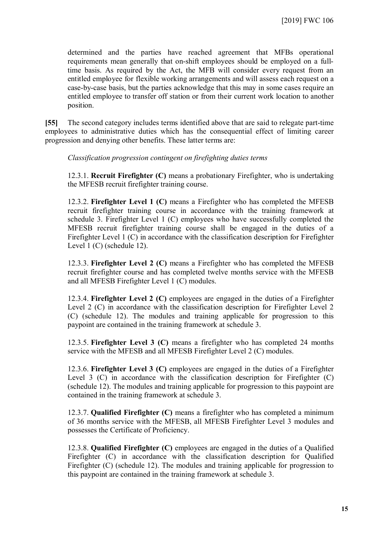determined and the parties have reached agreement that MFBs operational requirements mean generally that on-shift employees should be employed on a fulltime basis. As required by the Act, the MFB will consider every request from an entitled employee for flexible working arrangements and will assess each request on a case-by-case basis, but the parties acknowledge that this may in some cases require an entitled employee to transfer off station or from their current work location to another position.

**[55]** The second category includes terms identified above that are said to relegate part-time employees to administrative duties which has the consequential effect of limiting career progression and denying other benefits. These latter terms are:

#### *Classification progression contingent on firefighting duties terms*

12.3.1. **Recruit Firefighter (C)** means a probationary Firefighter, who is undertaking the MFESB recruit firefighter training course.

12.3.2. **Firefighter Level 1 (C)** means a Firefighter who has completed the MFESB recruit firefighter training course in accordance with the training framework at schedule 3. Firefighter Level 1 (C) employees who have successfully completed the MFESB recruit firefighter training course shall be engaged in the duties of a Firefighter Level 1 (C) in accordance with the classification description for Firefighter Level 1 (C) (schedule 12).

12.3.3. **Firefighter Level 2 (C)** means a Firefighter who has completed the MFESB recruit firefighter course and has completed twelve months service with the MFESB and all MFESB Firefighter Level 1 (C) modules.

12.3.4. **Firefighter Level 2 (C)** employees are engaged in the duties of a Firefighter Level 2 (C) in accordance with the classification description for Firefighter Level 2 (C) (schedule 12). The modules and training applicable for progression to this paypoint are contained in the training framework at schedule 3.

12.3.5. **Firefighter Level 3 (C)** means a firefighter who has completed 24 months service with the MFESB and all MFESB Firefighter Level 2 (C) modules.

12.3.6. **Firefighter Level 3 (C)** employees are engaged in the duties of a Firefighter Level 3 (C) in accordance with the classification description for Firefighter (C) (schedule 12). The modules and training applicable for progression to this paypoint are contained in the training framework at schedule 3.

12.3.7. **Qualified Firefighter (C)** means a firefighter who has completed a minimum of 36 months service with the MFESB, all MFESB Firefighter Level 3 modules and possesses the Certificate of Proficiency.

12.3.8. **Qualified Firefighter (C)** employees are engaged in the duties of a Qualified Firefighter (C) in accordance with the classification description for Qualified Firefighter (C) (schedule 12). The modules and training applicable for progression to this paypoint are contained in the training framework at schedule 3.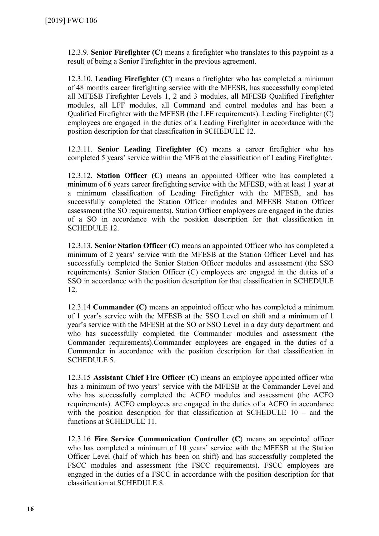12.3.9. **Senior Firefighter (C)** means a firefighter who translates to this paypoint as a result of being a Senior Firefighter in the previous agreement.

12.3.10. **Leading Firefighter (C)** means a firefighter who has completed a minimum of 48 months career firefighting service with the MFESB, has successfully completed all MFESB Firefighter Levels 1, 2 and 3 modules, all MFESB Qualified Firefighter modules, all LFF modules, all Command and control modules and has been a Qualified Firefighter with the MFESB (the LFF requirements). Leading Firefighter (C) employees are engaged in the duties of a Leading Firefighter in accordance with the position description for that classification in SCHEDULE 12.

12.3.11. **Senior Leading Firefighter (C)** means a career firefighter who has completed 5 years' service within the MFB at the classification of Leading Firefighter.

12.3.12. **Station Officer (C)** means an appointed Officer who has completed a minimum of 6 years career firefighting service with the MFESB, with at least 1 year at a minimum classification of Leading Firefighter with the MFESB, and has successfully completed the Station Officer modules and MFESB Station Officer assessment (the SO requirements). Station Officer employees are engaged in the duties of a SO in accordance with the position description for that classification in SCHEDULE 12.

12.3.13. **Senior Station Officer (C)** means an appointed Officer who has completed a minimum of 2 years' service with the MFESB at the Station Officer Level and has successfully completed the Senior Station Officer modules and assessment (the SSO requirements). Senior Station Officer (C) employees are engaged in the duties of a SSO in accordance with the position description for that classification in SCHEDULE 12.

12.3.14 **Commander (C)** means an appointed officer who has completed a minimum of 1 year's service with the MFESB at the SSO Level on shift and a minimum of 1 year's service with the MFESB at the SO or SSO Level in a day duty department and who has successfully completed the Commander modules and assessment (the Commander requirements).Commander employees are engaged in the duties of a Commander in accordance with the position description for that classification in SCHEDULE 5.

12.3.15 **Assistant Chief Fire Officer (C)** means an employee appointed officer who has a minimum of two years' service with the MFESB at the Commander Level and who has successfully completed the ACFO modules and assessment (the ACFO requirements). ACFO employees are engaged in the duties of a ACFO in accordance with the position description for that classification at SCHEDULE 10 – and the functions at SCHEDULE 11.

12.3.16 **Fire Service Communication Controller (C**) means an appointed officer who has completed a minimum of 10 years' service with the MFESB at the Station Officer Level (half of which has been on shift) and has successfully completed the FSCC modules and assessment (the FSCC requirements). FSCC employees are engaged in the duties of a FSCC in accordance with the position description for that classification at SCHEDULE 8.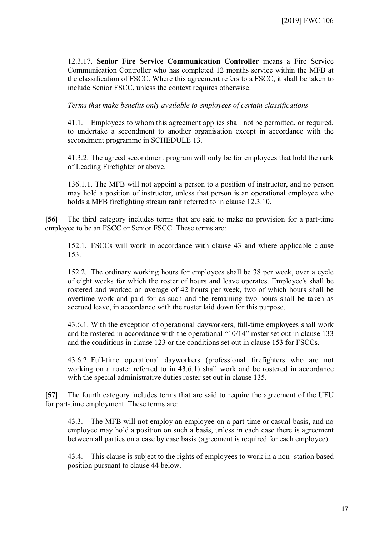12.3.17. **Senior Fire Service Communication Controller** means a Fire Service Communication Controller who has completed 12 months service within the MFB at the classification of FSCC. Where this agreement refers to a FSCC, it shall be taken to include Senior FSCC, unless the context requires otherwise.

*Terms that make benefits only available to employees of certain classifications* 

41.1. Employees to whom this agreement applies shall not be permitted, or required, to undertake a secondment to another organisation except in accordance with the secondment programme in SCHEDULE 13.

41.3.2. The agreed secondment program will only be for employees that hold the rank of Leading Firefighter or above.

136.1.1. The MFB will not appoint a person to a position of instructor, and no person may hold a position of instructor, unless that person is an operational employee who holds a MFB firefighting stream rank referred to in clause 12.3.10.

**[56]** The third category includes terms that are said to make no provision for a part-time employee to be an FSCC or Senior FSCC. These terms are:

152.1. FSCCs will work in accordance with clause 43 and where applicable clause 153.

152.2. The ordinary working hours for employees shall be 38 per week, over a cycle of eight weeks for which the roster of hours and leave operates. Employee's shall be rostered and worked an average of 42 hours per week, two of which hours shall be overtime work and paid for as such and the remaining two hours shall be taken as accrued leave, in accordance with the roster laid down for this purpose.

43.6.1. With the exception of operational dayworkers, full-time employees shall work and be rostered in accordance with the operational "10/14" roster set out in clause 133 and the conditions in clause 123 or the conditions set out in clause 153 for FSCCs.

43.6.2. Full-time operational dayworkers (professional firefighters who are not working on a roster referred to in 43.6.1) shall work and be rostered in accordance with the special administrative duties roster set out in clause 135.

**[57]** The fourth category includes terms that are said to require the agreement of the UFU for part-time employment. These terms are:

43.3. The MFB will not employ an employee on a part-time or casual basis, and no employee may hold a position on such a basis, unless in each case there is agreement between all parties on a case by case basis (agreement is required for each employee).

43.4. This clause is subject to the rights of employees to work in a non- station based position pursuant to clause 44 below.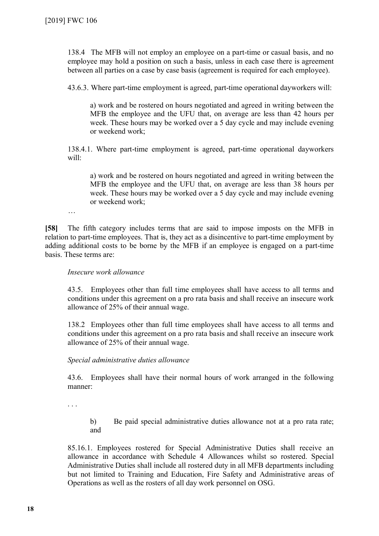138.4 The MFB will not employ an employee on a part-time or casual basis, and no employee may hold a position on such a basis, unless in each case there is agreement between all parties on a case by case basis (agreement is required for each employee).

43.6.3. Where part-time employment is agreed, part-time operational dayworkers will:

a) work and be rostered on hours negotiated and agreed in writing between the MFB the employee and the UFU that, on average are less than 42 hours per week. These hours may be worked over a 5 day cycle and may include evening or weekend work;

138.4.1. Where part-time employment is agreed, part-time operational dayworkers will:

a) work and be rostered on hours negotiated and agreed in writing between the MFB the employee and the UFU that, on average are less than 38 hours per week. These hours may be worked over a 5 day cycle and may include evening or weekend work;

…

**[58]** The fifth category includes terms that are said to impose imposts on the MFB in relation to part-time employees. That is, they act as a disincentive to part-time employment by adding additional costs to be borne by the MFB if an employee is engaged on a part-time basis. These terms are:

#### *Insecure work allowance*

43.5. Employees other than full time employees shall have access to all terms and conditions under this agreement on a pro rata basis and shall receive an insecure work allowance of 25% of their annual wage.

138.2 Employees other than full time employees shall have access to all terms and conditions under this agreement on a pro rata basis and shall receive an insecure work allowance of 25% of their annual wage.

#### *Special administrative duties allowance*

43.6. Employees shall have their normal hours of work arranged in the following manner:

. . .

b) Be paid special administrative duties allowance not at a pro rata rate; and

85.16.1. Employees rostered for Special Administrative Duties shall receive an allowance in accordance with Schedule 4 Allowances whilst so rostered. Special Administrative Duties shall include all rostered duty in all MFB departments including but not limited to Training and Education, Fire Safety and Administrative areas of Operations as well as the rosters of all day work personnel on OSG.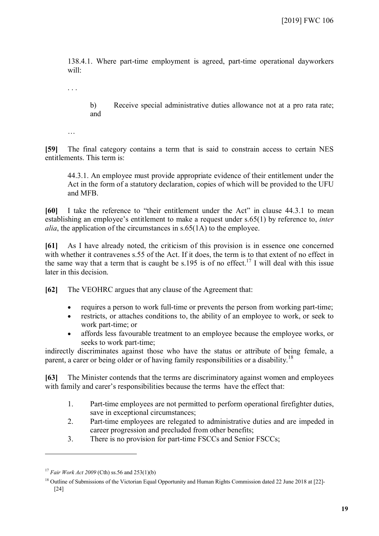138.4.1. Where part-time employment is agreed, part-time operational dayworkers will:

. . .

b) Receive special administrative duties allowance not at a pro rata rate; and

…

**[59]** The final category contains a term that is said to constrain access to certain NES entitlements. This term is:

44.3.1. An employee must provide appropriate evidence of their entitlement under the Act in the form of a statutory declaration, copies of which will be provided to the UFU and MFB.

**[60]** I take the reference to "their entitlement under the Act" in clause 44.3.1 to mean establishing an employee's entitlement to make a request under s.65(1) by reference to, *inter alia*, the application of the circumstances in s.65(1A) to the employee.

**[61]** As I have already noted, the criticism of this provision is in essence one concerned with whether it contravenes s.55 of the Act. If it does, the term is to that extent of no effect in the same way that a term that is caught be s.195 is of no effect.<sup>[17](#page-18-0)</sup> I will deal with this issue later in this decision.

**[62]** The VEOHRC argues that any clause of the Agreement that:

- requires a person to work full-time or prevents the person from working part-time;
- restricts, or attaches conditions to, the ability of an employee to work, or seek to work part-time; or
- affords less favourable treatment to an employee because the employee works, or seeks to work part-time;

indirectly discriminates against those who have the status or attribute of being female, a parent, a carer or being older or of having family responsibilities or a disability.<sup>[18](#page-18-1)</sup>

**[63]** The Minister contends that the terms are discriminatory against women and employees with family and carer's responsibilities because the terms have the effect that:

- 1. Part-time employees are not permitted to perform operational firefighter duties, save in exceptional circumstances;
- 2. Part-time employees are relegated to administrative duties and are impeded in career progression and precluded from other benefits;
- 3. There is no provision for part-time FSCCs and Senior FSCCs;

<span id="page-18-0"></span><sup>17</sup> *Fair Work Act 2009* (Cth) ss.56 and 253(1)(b)

<span id="page-18-1"></span><sup>&</sup>lt;sup>18</sup> Outline of Submissions of the Victorian Equal Opportunity and Human Rights Commission dated 22 June 2018 at [22]-[24]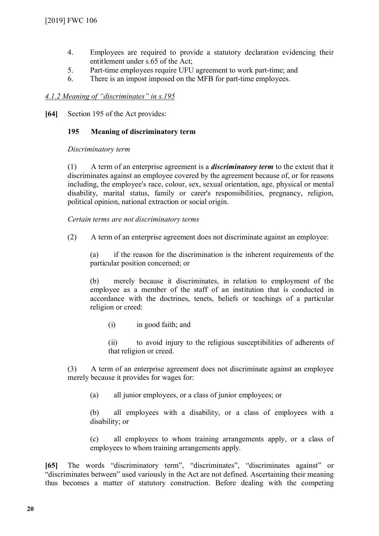- 4. Employees are required to provide a statutory declaration evidencing their entitlement under s.65 of the Act;
- 5. Part-time employees require UFU agreement to work part-time; and
- 6. There is an impost imposed on the MFB for part-time employees.

# *4.1.2 Meaning of "discriminates" in s.195*

**[64]** Section 195 of the Act provides:

# **195 Meaning of discriminatory term**

*Discriminatory term* 

(1) A term of an enterprise agreement is a *discriminatory term* to the extent that it discriminates against an employee covered by the agreement because of, or for reasons including, the employee's race, colour, sex, sexual orientation, age, physical or mental disability, marital status, family or carer's responsibilities, pregnancy, religion, political opinion, national extraction or social origin.

*Certain terms are not discriminatory terms* 

(2) A term of an enterprise agreement does not discriminate against an employee:

(a) if the reason for the discrimination is the inherent requirements of the particular position concerned; or

(b) merely because it discriminates, in relation to employment of the employee as a member of the staff of an institution that is conducted in accordance with the doctrines, tenets, beliefs or teachings of a particular religion or creed:

(i) in good faith; and

(ii) to avoid injury to the religious susceptibilities of adherents of that religion or creed.

(3) A term of an enterprise agreement does not discriminate against an employee merely because it provides for wages for:

(a) all junior employees, or a class of junior employees; or

(b) all employees with a disability, or a class of employees with a disability; or

(c) all employees to whom training arrangements apply, or a class of employees to whom training arrangements apply.

**[65]** The words "discriminatory term", "discriminates", "discriminates against" or "discriminates between" used variously in the Act are not defined. Ascertaining their meaning thus becomes a matter of statutory construction. Before dealing with the competing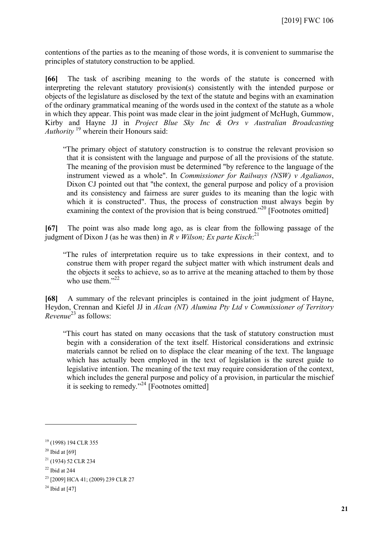contentions of the parties as to the meaning of those words, it is convenient to summarise the principles of statutory construction to be applied.

**[66]** The task of ascribing meaning to the words of the statute is concerned with interpreting the relevant statutory provision(s) consistently with the intended purpose or objects of the legislature as disclosed by the text of the statute and begins with an examination of the ordinary grammatical meaning of the words used in the context of the statute as a whole in which they appear. This point was made clear in the joint judgment of McHugh, Gummow, Kirby and Hayne JJ in *Project Blue Sky Inc & Ors v Australian Broadcasting Authority* [19](#page-20-0) wherein their Honours said:

"The primary object of statutory construction is to construe the relevant provision so that it is consistent with the language and purpose of all the provisions of the statute. The meaning of the provision must be determined "by reference to the language of the instrument viewed as a whole". In *Commissioner for Railways (NSW) v Agalianos*, Dixon CJ pointed out that "the context, the general purpose and policy of a provision and its consistency and fairness are surer guides to its meaning than the logic with which it is constructed". Thus, the process of construction must always begin by examining the context of the provision that is being construed."<sup>[20](#page-20-1)</sup> [Footnotes omitted]

**[67]** The point was also made long ago, as is clear from the following passage of the judgment of Dixon J (as he was then) in *R v Wilson; Ex parte Kisch*: [21](#page-20-2)

"The rules of interpretation require us to take expressions in their context, and to construe them with proper regard the subject matter with which instrument deals and the objects it seeks to achieve, so as to arrive at the meaning attached to them by those who use them." $^{22}$  $^{22}$  $^{22}$ 

**[68]** A summary of the relevant principles is contained in the joint judgment of Hayne, Heydon, Crennan and Kiefel JJ in *Alcan (NT) Alumina Pty Ltd v Commissioner of Territory Revenue*<sup>[23](#page-20-4)</sup> as follows:

"This court has stated on many occasions that the task of statutory construction must begin with a consideration of the text itself. Historical considerations and extrinsic materials cannot be relied on to displace the clear meaning of the text. The language which has actually been employed in the text of legislation is the surest guide to legislative intention. The meaning of the text may require consideration of the context, which includes the general purpose and policy of a provision, in particular the mischief it is seeking to remedy."<sup>[24](#page-20-5)</sup> [Footnotes omitted]

<span id="page-20-0"></span><sup>19</sup> (1998) 194 CLR 355

<span id="page-20-2"></span><span id="page-20-1"></span> $20$  Ibid at [69]

<sup>21</sup> (1934) 52 CLR 234

<span id="page-20-3"></span> $22$  Ibid at 244

<span id="page-20-4"></span><sup>&</sup>lt;sup>23</sup> [2009] HCA 41; (2009) 239 CLR 27

<span id="page-20-5"></span> $24$  Ibid at [47]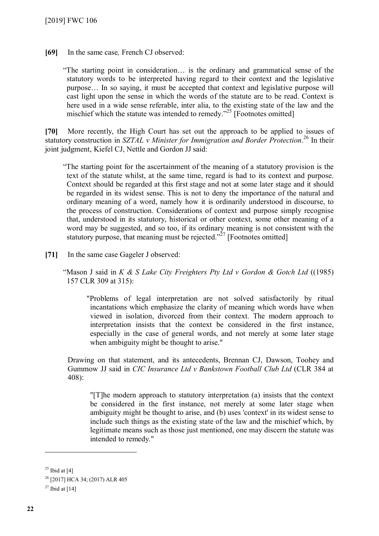**[69]** In the same case*,* French CJ observed:

"The starting point in consideration… is the ordinary and grammatical sense of the statutory words to be interpreted having regard to their context and the legislative purpose… In so saying, it must be accepted that context and legislative purpose will cast light upon the sense in which the words of the statute are to be read. Context is here used in a wide sense referable, inter alia, to the existing state of the law and the mischief which the statute was intended to remedy."<sup>[25](#page-21-0)</sup> [Footnotes omitted]

**[70]** More recently, the High Court has set out the approach to be applied to issues of statutory construction in *SZTAL v Minister for Immigration and Border Protection*.<sup>[26](#page-21-1)</sup> In their joint judgment, Kiefel CJ, Nettle and Gordon JJ said:

"The starting point for the ascertainment of the meaning of a statutory provision is the text of the statute whilst, at the same time, regard is had to its context and purpose. Context should be regarded at this first stage and not at some later stage and it should be regarded in its widest sense. This is not to deny the importance of the natural and ordinary meaning of a word, namely how it is ordinarily understood in discourse, to the process of construction. Considerations of context and purpose simply recognise that, understood in its statutory, historical or other context, some other meaning of a word may be suggested, and so too, if its ordinary meaning is not consistent with the statutory purpose, that meaning must be rejected."<sup>[27](#page-21-2)</sup> [Footnotes omitted]

**[71]** In the same case Gageler J observed:

"Mason J said in *K & S Lake City Freighters Pty Ltd v Gordon & Gotch Ltd* ((1985) 157 CLR 309 at 315):

"Problems of legal interpretation are not solved satisfactorily by ritual incantations which emphasize the clarity of meaning which words have when viewed in isolation, divorced from their context. The modern approach to interpretation insists that the context be considered in the first instance, especially in the case of general words, and not merely at some later stage when ambiguity might be thought to arise."

Drawing on that statement, and its antecedents, Brennan CJ, Dawson, Toohey and Gummow JJ said in *CIC Insurance Ltd v Bankstown Football Club Ltd* (CLR 384 at 408):

"[T]he modern approach to statutory interpretation (a) insists that the context be considered in the first instance, not merely at some later stage when ambiguity might be thought to arise, and (b) uses 'context' in its widest sense to include such things as the existing state of the law and the mischief which, by legitimate means such as those just mentioned, one may discern the statute was intended to remedy."

<span id="page-21-0"></span> $25$  Ibid at [4]

<span id="page-21-1"></span><sup>26</sup> [2017] HCA 34; (2017) ALR 405

<span id="page-21-2"></span> $27$  Ibid at [14]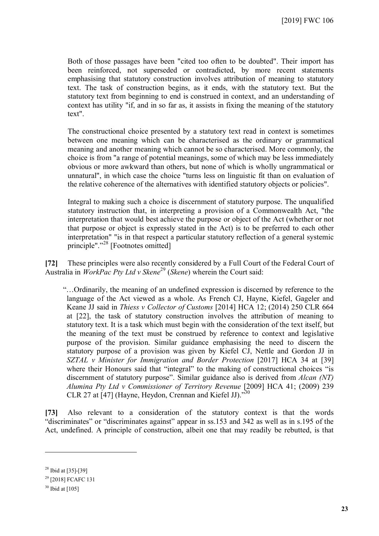Both of those passages have been "cited too often to be doubted". Their import has been reinforced, not superseded or contradicted, by more recent statements emphasising that statutory construction involves attribution of meaning to statutory text. The task of construction begins, as it ends, with the statutory text. But the statutory text from beginning to end is construed in context, and an understanding of context has utility "if, and in so far as, it assists in fixing the meaning of the statutory text".

The constructional choice presented by a statutory text read in context is sometimes between one meaning which can be characterised as the ordinary or grammatical meaning and another meaning which cannot be so characterised. More commonly, the choice is from "a range of potential meanings, some of which may be less immediately obvious or more awkward than others, but none of which is wholly ungrammatical or unnatural", in which case the choice "turns less on linguistic fit than on evaluation of the relative coherence of the alternatives with identified statutory objects or policies".

Integral to making such a choice is discernment of statutory purpose. The unqualified statutory instruction that, in interpreting a provision of a Commonwealth Act, "the interpretation that would best achieve the purpose or object of the Act (whether or not that purpose or object is expressly stated in the Act) is to be preferred to each other interpretation" "is in that respect a particular statutory reflection of a general systemic principle"."<sup>[28](#page-22-0)</sup> [Footnotes omitted]

**[72]** These principles were also recently considered by a Full Court of the Federal Court of Australia in *WorkPac Pty Ltd v Skene*[29](#page-22-1) (*Skene*) wherein the Court said:

"…Ordinarily, the meaning of an undefined expression is discerned by reference to the language of the Act viewed as a whole. As French CJ, Hayne, Kiefel, Gageler and Keane JJ said in *Thiess v Collector of Customs* [2014] HCA 12; (2014) 250 CLR 664 at [22], the task of statutory construction involves the attribution of meaning to statutory text. It is a task which must begin with the consideration of the text itself, but the meaning of the text must be construed by reference to context and legislative purpose of the provision. Similar guidance emphasising the need to discern the statutory purpose of a provision was given by Kiefel CJ, Nettle and Gordon JJ in *SZTAL v Minister for Immigration and Border Protection* [2017] HCA 34 at [39] where their Honours said that "integral" to the making of constructional choices "is discernment of statutory purpose". Similar guidance also is derived from *Alcan (NT) Alumina Pty Ltd v Commissioner of Territory Revenue* [2009] HCA 41; (2009) 239 CLR 27 at [47] (Hayne, Heydon, Crennan and Kiefel JJ)."[30](#page-22-2)

**[73]** Also relevant to a consideration of the statutory context is that the words "discriminates" or "discriminates against" appear in ss.153 and 342 as well as in s.195 of the Act, undefined. A principle of construction, albeit one that may readily be rebutted, is that

<span id="page-22-0"></span><sup>28</sup> Ibid at [35]-[39]

<span id="page-22-2"></span><span id="page-22-1"></span><sup>&</sup>lt;sup>29</sup> [2018] FCAFC 131

 $30$  Ibid at [105]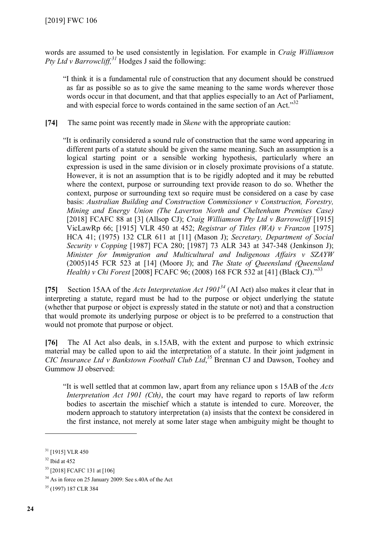words are assumed to be used consistently in legislation. For example in *Craig Williamson Pty Ltd v Barrowcliff, [31](#page-23-0)* Hodges J said the following:

"I think it is a fundamental rule of construction that any document should be construed as far as possible so as to give the same meaning to the same words wherever those words occur in that document, and that that applies especially to an Act of Parliament, and with especial force to words contained in the same section of an Act.<sup>3[32](#page-23-1)</sup>

**[74]** The same point was recently made in *Skene* with the appropriate caution:

"It is ordinarily considered a sound rule of construction that the same word appearing in different parts of a statute should be given the same meaning. Such an assumption is a logical starting point or a sensible working hypothesis, particularly where an expression is used in the same division or in closely proximate provisions of a statute. However, it is not an assumption that is to be rigidly adopted and it may be rebutted where the context, purpose or surrounding text provide reason to do so. Whether the context, purpose or surrounding text so require must be considered on a case by case basis: *Australian Building and Construction Commissioner v Construction, Forestry, Mining and Energy Union (The Laverton North and Cheltenham Premises Case)*  [2018] FCAFC 88 at [3] (Allsop CJ); *Craig Williamson Pty Ltd v Barrowcliff* [1915] VicLawRp 66; [1915] VLR 450 at 452; *Registrar of Titles (WA) v Franzon* [1975] HCA 41; (1975) 132 CLR 611 at [11] (Mason J); *Secretary, Department of Social Security v Copping* [1987] FCA 280; [1987] 73 ALR 343 at 347-348 (Jenkinson J); *Minister for Immigration and Multicultural and Indigenous Affairs v SZAYW* (2005)145 FCR 523 at [14] (Moore J); and *The State of Queensland (Queensland Health) v Chi Forest* [2008] FCAFC 96; (2008) 168 FCR 532 at [41] (Black CJ)."<sup>[33](#page-23-2)</sup>

**[75]** Section 15AA of the *Acts Interpretation Act 1901[34](#page-23-3)* (AI Act) also makes it clear that in interpreting a statute, regard must be had to the purpose or object underlying the statute (whether that purpose or object is expressly stated in the statute or not) and that a construction that would promote its underlying purpose or object is to be preferred to a construction that would not promote that purpose or object.

**[76]** The AI Act also deals, in s.15AB, with the extent and purpose to which extrinsic material may be called upon to aid the interpretation of a statute. In their joint judgment in *CIC Insurance Ltd v Bankstown Football Club Ltd*, [35](#page-23-4) Brennan CJ and Dawson, Toohey and Gummow JJ observed:

"It is well settled that at common law, apart from any reliance upon s 15AB of the *Acts Interpretation Act 1901 (Cth)*, the court may have regard to reports of law reform bodies to ascertain the mischief which a statute is intended to cure. Moreover, the modern approach to statutory interpretation (a) insists that the context be considered in the first instance, not merely at some later stage when ambiguity might be thought to

<span id="page-23-0"></span><sup>&</sup>lt;sup>31</sup> [1915] VLR 450

<span id="page-23-1"></span> $32$  Ibid at 452

<span id="page-23-2"></span><sup>33</sup> [2018] FCAFC 131 at [106]

<span id="page-23-3"></span><sup>34</sup> As in force on 25 January 2009: See s.40A of the Act

<span id="page-23-4"></span><sup>35</sup> (1997) 187 CLR 384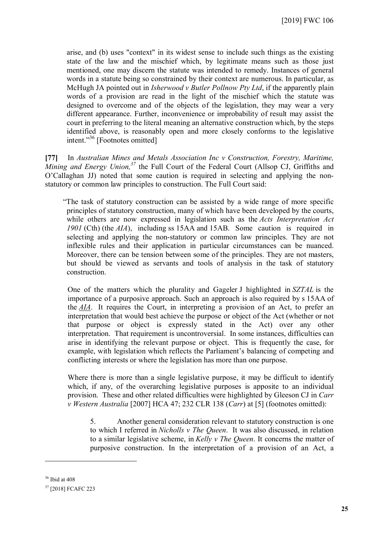arise, and (b) uses "context" in its widest sense to include such things as the existing state of the law and the mischief which, by legitimate means such as those just mentioned, one may discern the statute was intended to remedy. Instances of general words in a statute being so constrained by their context are numerous. In particular, as McHugh JA pointed out in *Isherwood v Butler Pollnow Pty Ltd*, if the apparently plain words of a provision are read in the light of the mischief which the statute was designed to overcome and of the objects of the legislation, they may wear a very different appearance. Further, inconvenience or improbability of result may assist the court in preferring to the literal meaning an alternative construction which, by the steps identified above, is reasonably open and more closely conforms to the legislative intent."[36](#page-24-0) [Footnotes omitted]

**[77]** In *Australian Mines and Metals Association Inc v Construction, Forestry, Maritime, Mining and Energy Union, [37](#page-24-1)* the Full Court of the Federal Court (Allsop CJ, Griffiths and O'Callaghan JJ) noted that some caution is required in selecting and applying the nonstatutory or common law principles to construction. The Full Court said:

"The task of statutory construction can be assisted by a wide range of more specific principles of statutory construction, many of which have been developed by the courts, while others are now expressed in legislation such as the *Acts Interpretation Act 1901* (Cth) (the *AIA*), including ss 15AA and 15AB. Some caution is required in selecting and applying the non-statutory or common law principles. They are not inflexible rules and their application in particular circumstances can be nuanced. Moreover, there can be tension between some of the principles. They are not masters, but should be viewed as servants and tools of analysis in the task of statutory construction.

One of the matters which the plurality and Gageler J highlighted in *SZTAL* is the importance of a purposive approach. Such an approach is also required by s 15AA of the *[AIA](https://jade.io/article/219526)*. It requires the Court, in interpreting a provision of an Act, to prefer an interpretation that would best achieve the purpose or object of the Act (whether or not that purpose or object is expressly stated in the Act) over any other interpretation. That requirement is uncontroversial. In some instances, difficulties can arise in identifying the relevant purpose or object. This is frequently the case, for example, with legislation which reflects the Parliament's balancing of competing and conflicting interests or where the legislation has more than one purpose.

Where there is more than a single legislative purpose, it may be difficult to identify which, if any, of the overarching legislative purposes is apposite to an individual provision. These and other related difficulties were highlighted by Gleeson CJ in *Carr v Western Australia* [2007] HCA 47; 232 CLR 138 (*[Carr](https://jade.io/article/16444)*) at [5] (footnotes omitted):

5. Another general consideration relevant to statutory construction is one to which I referred in *Nicholls v The Queen*. It was also discussed, in relation to a similar legislative scheme, in *Kelly v The Queen*. It concerns the matter of purposive construction. In the interpretation of a provision of an Act, a

<span id="page-24-0"></span><sup>36</sup> Ibid at 408

<span id="page-24-1"></span><sup>37</sup> [2018] FCAFC 223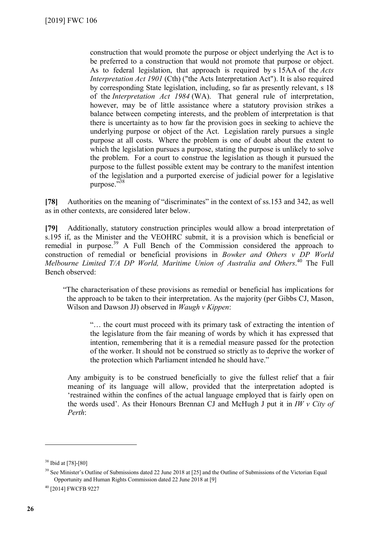construction that would promote the purpose or object underlying the Act is to be preferred to a construction that would not promote that purpose or object. As to federal legislation, that approach is required by s 15AA of the *Acts Interpretation Act 1901* [\(Cth\)](https://jade.io/article/219526) ("the Acts Interpretation Act"). It is also required by corresponding State legislation, including, so far as presently relevant, s 18 of the *Interpretation Act 1984* (WA). That general rule of interpretation, however, may be of little assistance where a statutory provision strikes a balance between competing interests, and the problem of interpretation is that there is uncertainty as to how far the provision goes in seeking to achieve the underlying purpose or object of the Act. Legislation rarely pursues a single purpose at all costs. Where the problem is one of doubt about the extent to which the legislation pursues a purpose, stating the purpose is unlikely to solve the problem. For a court to construe the legislation as though it pursued the purpose to the fullest possible extent may be contrary to the manifest intention of the legislation and a purported exercise of judicial power for a legislative purpose."[38](#page-25-0)

**[78]** Authorities on the meaning of "discriminates" in the context of ss.153 and 342, as well as in other contexts, are considered later below.

**[79]** Additionally, statutory construction principles would allow a broad interpretation of s.195 if, as the Minister and the VEOHRC submit, it is a provision which is beneficial or remedial in purpose.<sup>[39](#page-25-1)</sup> A Full Bench of the Commission considered the approach to construction of remedial or beneficial provisions in *Bowker and Others v DP World Melbourne Limited T/A DP World, Maritime Union of Australia and Others*. [40](#page-25-2) The Full Bench observed:

"The characterisation of these provisions as remedial or beneficial has implications for the approach to be taken to their interpretation. As the majority (per Gibbs CJ, Mason, Wilson and Dawson JJ) observed in *Waugh v Kippen*:

"… the court must proceed with its primary task of extracting the intention of the legislature from the fair meaning of words by which it has expressed that intention, remembering that it is a remedial measure passed for the protection of the worker. It should not be construed so strictly as to deprive the worker of the protection which Parliament intended he should have."

Any ambiguity is to be construed beneficially to give the fullest relief that a fair meaning of its language will allow, provided that the interpretation adopted is 'restrained within the confines of the actual language employed that is fairly open on the words used'. As their Honours Brennan CJ and McHugh J put it in *IW v City of Perth*:

<span id="page-25-0"></span><sup>38</sup> Ibid at [78]-[80]

<span id="page-25-1"></span><sup>&</sup>lt;sup>39</sup> See Minister's Outline of Submissions dated 22 June 2018 at [25] and the Outline of Submissions of the Victorian Equal Opportunity and Human Rights Commission dated 22 June 2018 at [9]

<span id="page-25-2"></span><sup>40</sup> [2014] FWCFB 9227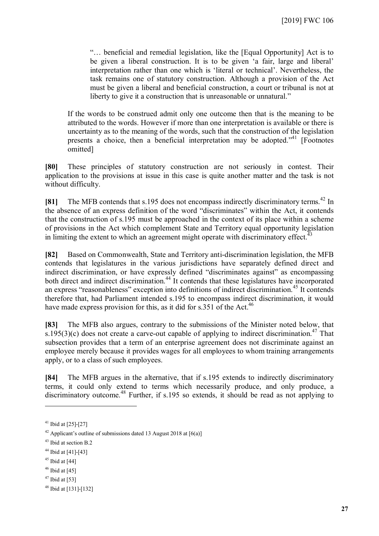"… beneficial and remedial legislation, like the [Equal Opportunity] Act is to be given a liberal construction. It is to be given 'a fair, large and liberal' interpretation rather than one which is 'literal or technical'. Nevertheless, the task remains one of statutory construction. Although a provision of the Act must be given a liberal and beneficial construction, a court or tribunal is not at liberty to give it a construction that is unreasonable or unnatural."

If the words to be construed admit only one outcome then that is the meaning to be attributed to the words. However if more than one interpretation is available or there is uncertainty as to the meaning of the words, such that the construction of the legislation presents a choice, then a beneficial interpretation may be adopted."<sup>[41](#page-26-0)</sup> [Footnotes omitted]

**[80]** These principles of statutory construction are not seriously in contest. Their application to the provisions at issue in this case is quite another matter and the task is not without difficulty.

**[81]** The MFB contends that s.195 does not encompass indirectly discriminatory terms.<sup>[42](#page-26-1)</sup> In the absence of an express definition of the word "discriminates" within the Act, it contends that the construction of s.195 must be approached in the context of its place within a scheme of provisions in the Act which complement State and Territory equal opportunity legislation in limiting the extent to which an agreement might operate with discriminatory effect. $\dot{A}$ 

**[82]** Based on Commonwealth, State and Territory anti-discrimination legislation, the MFB contends that legislatures in the various jurisdictions have separately defined direct and indirect discrimination, or have expressly defined "discriminates against" as encompassing both direct and indirect discrimination.<sup>[44](#page-26-3)</sup> It contends that these legislatures have incorporated an express "reasonableness" exception into definitions of indirect discrimination.<sup>[45](#page-26-4)</sup> It contends therefore that, had Parliament intended s.195 to encompass indirect discrimination, it would have made express provision for this, as it did for s.351 of the Act.<sup>[46](#page-26-5)</sup>

**[83]** The MFB also argues, contrary to the submissions of the Minister noted below, that s.195(3)(c) does not create a carve-out capable of applying to indirect discrimination.<sup>[47](#page-26-6)</sup> That subsection provides that a term of an enterprise agreement does not discriminate against an employee merely because it provides wages for all employees to whom training arrangements apply, or to a class of such employees.

**[84]** The MFB argues in the alternative, that if s.195 extends to indirectly discriminatory terms, it could only extend to terms which necessarily produce, and only produce, a discriminatory outcome.<sup>[48](#page-26-7)</sup> Further, if s.195 so extends, it should be read as not applying to

- <span id="page-26-5"></span> $46$  Ibid at [45]
- <span id="page-26-6"></span> $47$  Ibid at [53]

<span id="page-26-0"></span> $41$  Ibid at [25]-[27]

<span id="page-26-1"></span><sup>&</sup>lt;sup>42</sup> Applicant's outline of submissions dated 13 August 2018 at  $[6(a)]$ 

<span id="page-26-2"></span><sup>43</sup> Ibid at section B.2

<span id="page-26-4"></span><span id="page-26-3"></span><sup>44</sup> Ibid at [41]-[43]

 $45$  Ibid at [44]

<span id="page-26-7"></span><sup>48</sup> Ibid at [131]-[132]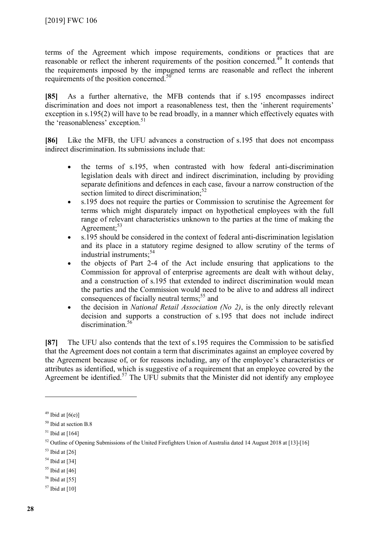terms of the Agreement which impose requirements, conditions or practices that are reasonable or reflect the inherent requirements of the position concerned.<sup>[49](#page-27-0)</sup> It contends that the requirements imposed by the impugned terms are reasonable and reflect the inherent requirements of the position concerned.<sup>[50](#page-27-1)</sup>

**[85]** As a further alternative, the MFB contends that if s.195 encompasses indirect discrimination and does not import a reasonableness test, then the 'inherent requirements' exception in s.195(2) will have to be read broadly, in a manner which effectively equates with the 'reasonableness' exception.<sup>[51](#page-27-2)</sup>

**[86]** Like the MFB, the UFU advances a construction of s.195 that does not encompass indirect discrimination. Its submissions include that:

- the terms of s.195, when contrasted with how federal anti-discrimination legislation deals with direct and indirect discrimination, including by providing separate definitions and defences in each case, favour a narrow construction of the section limited to direct discrimination.<sup>[52](#page-27-3)</sup>
- s.195 does not require the parties or Commission to scrutinise the Agreement for terms which might disparately impact on hypothetical employees with the full range of relevant characteristics unknown to the parties at the time of making the Agreement: $53$
- s.195 should be considered in the context of federal anti-discrimination legislation and its place in a statutory regime designed to allow scrutiny of the terms of industrial instruments:<sup>[54](#page-27-5)</sup>
- the objects of Part 2-4 of the Act include ensuring that applications to the Commission for approval of enterprise agreements are dealt with without delay, and a construction of s.195 that extended to indirect discrimination would mean the parties and the Commission would need to be alive to and address all indirect consequences of facially neutral terms;<sup>[55](#page-27-6)</sup> and
- the decision in *National Retail Association (No 2)*, is the only directly relevant decision and supports a construction of s.195 that does not include indirect discrimination<sup>[56](#page-27-7)</sup>

**[87]** The UFU also contends that the text of s.195 requires the Commission to be satisfied that the Agreement does not contain a term that discriminates against an employee covered by the Agreement because of, or for reasons including, any of the employee's characteristics or attributes as identified, which is suggestive of a requirement that an employee covered by the Agreement be identified.<sup>[57](#page-27-8)</sup> The UFU submits that the Minister did not identify any employee

<span id="page-27-0"></span> $49$  Ibid at [6(e)]

<span id="page-27-1"></span><sup>50</sup> Ibid at section B.8

<span id="page-27-3"></span><span id="page-27-2"></span> $51$  Ibid at [164]

<sup>&</sup>lt;sup>52</sup> Outline of Opening Submissions of the United Firefighters Union of Australia dated 14 August 2018 at [13]-[16]

<span id="page-27-4"></span> $53$  Ibid at [26]

<span id="page-27-5"></span> $54$  Ibid at [34]

<span id="page-27-6"></span> $55$  Ibid at [46]

<span id="page-27-7"></span> $56$  Ibid at [55]

<span id="page-27-8"></span> $57$  Ibid at [10]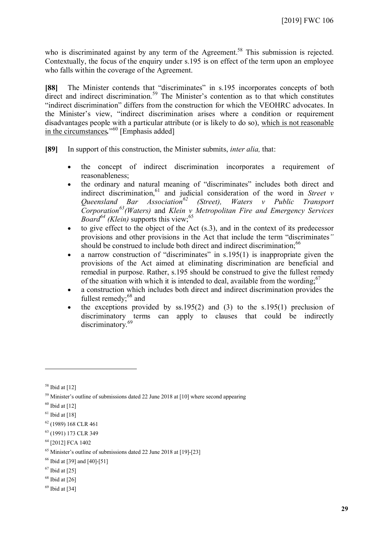who is discriminated against by any term of the Agreement.<sup>[58](#page-28-0)</sup> This submission is rejected. Contextually, the focus of the enquiry under s.195 is on effect of the term upon an employee who falls within the coverage of the Agreement.

**[88]** The Minister contends that "discriminates" in s.195 incorporates concepts of both direct and indirect discrimination.<sup>[59](#page-28-1)</sup> The Minister's contention as to that which constitutes "indirect discrimination" differs from the construction for which the VEOHRC advocates. In the Minister's view, "indirect discrimination arises where a condition or requirement disadvantages people with a particular attribute (or is likely to do so), which is not reasonable in the circumstances*.*" [60](#page-28-2) [Emphasis added]

**[89]** In support of this construction, the Minister submits, *inter alia,* that:

- the concept of indirect discrimination incorporates a requirement of reasonableness;
- the ordinary and natural meaning of "discriminates" includes both direct and indirect discrimination,<sup>[61](#page-28-3)</sup> and judicial consideration of the word in *Street v Queensland Bar Association[62](#page-28-4) (Street), Waters v Public Transport Corporation[63](#page-28-5)(Waters)* and *Klein v Metropolitan Fire and Emergency Services Board*<sup>[64](#page-28-6)</sup> *(Klein)* supports this view;<sup>[65](#page-28-7)</sup>
- $\bullet$  to give effect to the object of the Act (s.3), and in the context of its predecessor provisions and other provisions in the Act that include the term "discriminates*"* should be construed to include both direct and indirect discrimination;<sup>[66](#page-28-8)</sup>
- a narrow construction of "discriminates" in  $s.195(1)$  is inappropriate given the provisions of the Act aimed at eliminating discrimination are beneficial and remedial in purpose. Rather, s.195 should be construed to give the fullest remedy of the situation with which it is intended to deal, available from the wording: <sup>[67](#page-28-9)</sup>
- a construction which includes both direct and indirect discrimination provides the fullest remedy;<sup>[68](#page-28-10)</sup> and
- the exceptions provided by ss.195(2) and (3) to the s.195(1) preclusion of discriminatory terms can apply to clauses that could be indirectly discriminatory.<sup>[69](#page-28-11)</sup>

- <span id="page-28-9"></span> $67$  Ibid at [25]
- <span id="page-28-10"></span> $68$  Ibid at [26]
- <span id="page-28-11"></span> $69$  Ibid at [34]

<span id="page-28-0"></span> $58$  Ibid at [12]

<span id="page-28-1"></span> $59$  Minister's outline of submissions dated 22 June 2018 at [10] where second appearing

<span id="page-28-2"></span> $60$  Ibid at [12]

<span id="page-28-3"></span> $61$  Ibid at [18]

<span id="page-28-4"></span><sup>62</sup> (1989) 168 CLR 461

<span id="page-28-5"></span><sup>63</sup> (1991) 173 CLR 349

<span id="page-28-6"></span><sup>64</sup> [2012] FCA 1402

<span id="page-28-8"></span><span id="page-28-7"></span> $65$  Minister's outline of submissions dated 22 June 2018 at [19]-[23]

<sup>66</sup> Ibid at [39] and [40]-[51]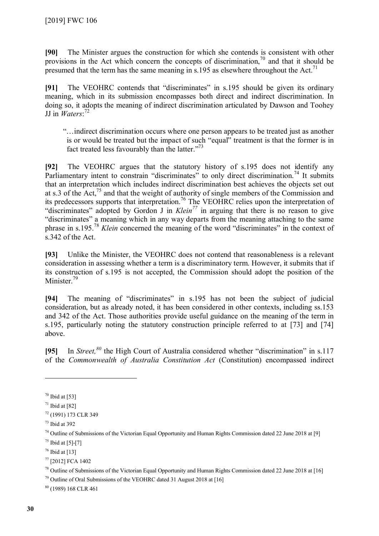**[90]** The Minister argues the construction for which she contends is consistent with other provisions in the Act which concern the concepts of discrimination,  $\frac{70}{10}$  $\frac{70}{10}$  $\frac{70}{10}$  and that it should be presumed that the term has the same meaning in s.195 as elsewhere throughout the Act.<sup>[71](#page-29-1)</sup>

**[91]** The VEOHRC contends that "discriminates" in s.195 should be given its ordinary meaning, which in its submission encompasses both direct and indirect discrimination. In doing so, it adopts the meaning of indirect discrimination articulated by Dawson and Toohey JJ in *Waters*: [72](#page-29-2)

"…indirect discrimination occurs where one person appears to be treated just as another is or would be treated but the impact of such "equal" treatment is that the former is in fact treated less favourably than the latter."<sup>[73](#page-29-3)</sup>

**[92]** The VEOHRC argues that the statutory history of s.195 does not identify any Parliamentary intent to constrain "discriminates" to only direct discrimination.<sup>[74](#page-29-4)</sup> It submits that an interpretation which includes indirect discrimination best achieves the objects set out at s.3 of the Act,<sup>[75](#page-29-5)</sup> and that the weight of authority of single members of the Commission and its predecessors supports that interpretation.<sup>[76](#page-29-6)</sup> The VEOHRC relies upon the interpretation of "discriminates" adopted by Gordon J in *Klein[77](#page-29-7)* in arguing that there is no reason to give "discriminates" a meaning which in any way departs from the meaning attaching to the same phrase in s.195.[78](#page-29-8) *Klein* concerned the meaning of the word "discriminates" in the context of s.342 of the Act.

**[93]** Unlike the Minister, the VEOHRC does not contend that reasonableness is a relevant consideration in assessing whether a term is a discriminatory term. However, it submits that if its construction of s.195 is not accepted, the Commission should adopt the position of the Minister.<sup>[79](#page-29-9)</sup>

**[94]** The meaning of "discriminates" in s.195 has not been the subject of judicial consideration, but as already noted, it has been considered in other contexts, including ss.153 and 342 of the Act. Those authorities provide useful guidance on the meaning of the term in s.195, particularly noting the statutory construction principle referred to at [73] and [74] above.

**[95]** In *Street,[80](#page-29-10)* the High Court of Australia considered whether "discrimination" in s.117 of the *Commonwealth of Australia Constitution Act* (Constitution) encompassed indirect

 $\overline{a}$ 

<span id="page-29-9"></span> $79$  Outline of Oral Submissions of the VEOHRC dated 31 August 2018 at [16]

<span id="page-29-10"></span><sup>80</sup> (1989) 168 CLR 461

<span id="page-29-0"></span> $70$  Ibid at [53]

<span id="page-29-1"></span> $71$  Ibid at [82]

<span id="page-29-2"></span><sup>72</sup> (1991) 173 CLR 349

<span id="page-29-3"></span><sup>73</sup> Ibid at 392

<span id="page-29-4"></span><sup>&</sup>lt;sup>74</sup> Outline of Submissions of the Victorian Equal Opportunity and Human Rights Commission dated 22 June 2018 at [9]

<span id="page-29-6"></span><span id="page-29-5"></span> $75$  Ibid at [5]-[7]

 $76$  Ibid at [13]

<span id="page-29-7"></span><sup>77</sup> [2012] FCA 1402

<span id="page-29-8"></span><sup>78</sup> Outline of Submissions of the Victorian Equal Opportunity and Human Rights Commission dated 22 June 2018 at [16]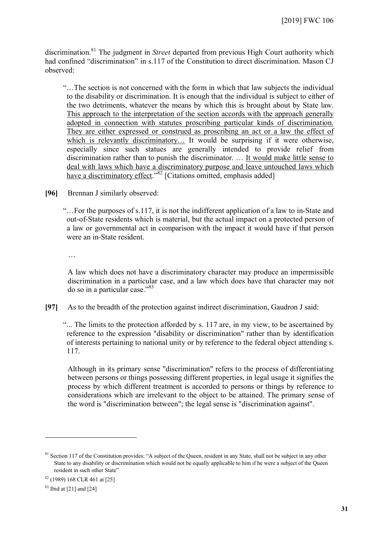discrimination.[81](#page-30-0) The judgment in *Street* departed from previous High Court authority which had confined "discrimination" in s.117 of the Constitution to direct discrimination. Mason CJ observed:

"…The section is not concerned with the form in which that law subjects the individual to the disability or discrimination. It is enough that the individual is subject to either of the two detriments, whatever the means by which this is brought about by State law. This approach to the interpretation of the section accords with the approach generally adopted in connection with statutes proscribing particular kinds of discrimination. They are either expressed or construed as proscribing an act or a law the effect of which is relevantly discriminatory... It would be surprising if it were otherwise, especially since such statues are generally intended to provide relief from discrimination rather than to punish the discriminator. … It would make little sense to deal with laws which have a discriminatory purpose and leave untouched laws which have a discriminatory effect."<sup>[82](#page-30-1)</sup> [Citations omitted, emphasis added]

**[96]** Brennan J similarly observed:

"…For the purposes of s.117, it is not the indifferent application of a law to in-State and out-of-State residents which is material, but the actual impact on a protected person of a law or governmental act in comparison with the impact it would have if that person were an in-State resident.

…

A law which does not have a discriminatory character may produce an impermissible discrimination in a particular case, and a law which does have that character may not do so in a particular case."[83](#page-30-2)

**[97]** As to the breadth of the protection against indirect discrimination, Gaudron J said:

"... The limits to the protection afforded by s. 117 are, in my view, to be ascertained by reference to the expression "disability or discrimination" rather than by identification of interests pertaining to national unity or by reference to the federal object attending s. 117.

Although in its primary sense "discrimination" refers to the process of differentiating between persons or things possessing different properties, in legal usage it signifies the process by which different treatment is accorded to persons or things by reference to considerations which are irrelevant to the object to be attained. The primary sense of the word is "discrimination between"; the legal sense is "discrimination against".

<span id="page-30-0"></span><sup>&</sup>lt;sup>81</sup> Section 117 of the Constitution provides: "A subject of the Queen, resident in any State, shall not be subject in any other State to any disability or discrimination which would not be equally applicable to him if he were a subject of the Queen resident in such other State"

<span id="page-30-2"></span><span id="page-30-1"></span><sup>82</sup> (1989) 168 CLR 461 at [25]

 $83$  Ibid at [21] and [24]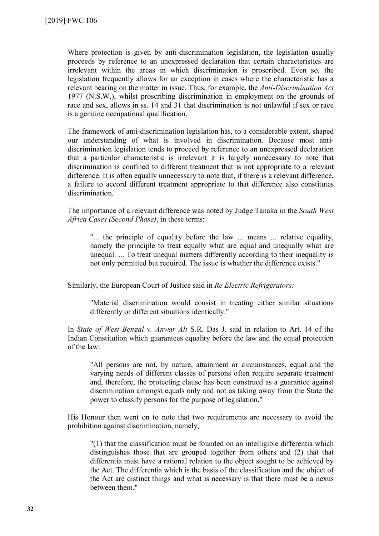Where protection is given by anti-discrimination legislation, the legislation usually proceeds by reference to an unexpressed declaration that certain characteristics are irrelevant within the areas in which discrimination is proscribed. Even so, the legislation frequently allows for an exception in cases where the characteristic has a relevant bearing on the matter in issue. Thus, for example, the *Anti-Discrimination Act*  1977 (N.S.W.), whilst proscribing discrimination in employment on the grounds of race and sex, allows in ss. 14 and 31 that discrimination is not unlawful if sex or race is a genuine occupational qualification.

The framework of anti-discrimination legislation has, to a considerable extent, shaped our understanding of what is involved in discrimination. Because most antidiscrimination legislation tends to proceed by reference to an unexpressed declaration that a particular characteristic is irrelevant it is largely unnecessary to note that discrimination is confined to different treatment that is not appropriate to a relevant difference. It is often equally unnecessary to note that, if there is a relevant difference, a failure to accord different treatment appropriate to that difference also constitutes discrimination.

The importance of a relevant difference was noted by Judge Tanaka in the *South West Africa Cases (Second Phase)*, in these terms:

"... the principle of equality before the law ... means ... relative equality, namely the principle to treat equally what are equal and unequally what are unequal. ... To treat unequal matters differently according to their inequality is not only permitted but required. The issue is whether the difference exists."

Similarly, the European Court of Justice said in *Re Electric Refrigerators:*

"Material discrimination would consist in treating either similar situations differently or different situations identically."

In *State of West Bengal v. Anwar Ali* S.R. Das J. said in relation to Art. 14 of the Indian Constitution which guarantees equality before the law and the equal protection of the law:

"All persons are not, by nature, attainment or circumstances, equal and the varying needs of different classes of persons often require separate treatment and, therefore, the protecting clause has been construed as a guarantee against discrimination amongst equals only and not as taking away from the State the power to classify persons for the purpose of legislation."

His Honour then went on to note that two requirements are necessary to avoid the prohibition against discrimination, namely,

"(1) that the classification must be founded on an intelligible differentia which distinguishes those that are grouped together from others and (2) that that differentia must have a rational relation to the object sought to be achieved by the Act. The differentia which is the basis of the classification and the object of the Act are distinct things and what is necessary is that there must be a nexus between them."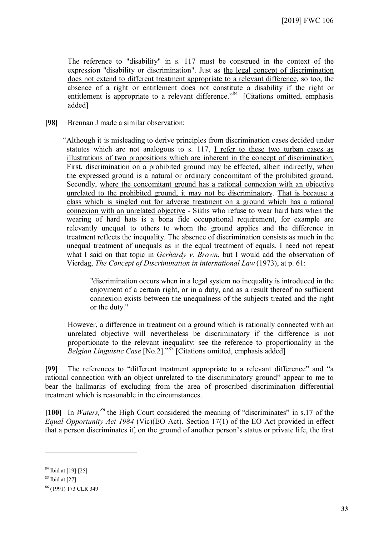The reference to "disability" in s. 117 must be construed in the context of the expression "disability or discrimination". Just as the legal concept of discrimination does not extend to different treatment appropriate to a relevant difference, so too, the absence of a right or entitlement does not constitute a disability if the right or entitlement is appropriate to a relevant difference."<sup>[84](#page-32-0)</sup> [Citations omitted, emphasis added]

**[98]** Brennan J made a similar observation:

"Although it is misleading to derive principles from discrimination cases decided under statutes which are not analogous to s. 117, I refer to these two turban cases as illustrations of two propositions which are inherent in the concept of discrimination. First, discrimination on a prohibited ground may be effected, albeit indirectly, when the expressed ground is a natural or ordinary concomitant of the prohibited ground. Secondly, where the concomitant ground has a rational connexion with an objective unrelated to the prohibited ground, it may not be discriminatory. That is because a class which is singled out for adverse treatment on a ground which has a rational connexion with an unrelated objective - Sikhs who refuse to wear hard hats when the wearing of hard hats is a bona fide occupational requirement, for example are relevantly unequal to others to whom the ground applies and the difference in treatment reflects the inequality. The absence of discrimination consists as much in the unequal treatment of unequals as in the equal treatment of equals. I need not repeat what I said on that topic in *Gerhardy v. Brown*, but I would add the observation of Vierdag, *The Concept of Discrimination in international Law* (1973), at p. 61:

"discrimination occurs when in a legal system no inequality is introduced in the enjoyment of a certain right, or in a duty, and as a result thereof no sufficient connexion exists between the unequalness of the subjects treated and the right or the duty."

However, a difference in treatment on a ground which is rationally connected with an unrelated objective will nevertheless be discriminatory if the difference is not proportionate to the relevant inequality: see the reference to proportionality in the *Belgian Linguistic Case* [No.2]."[85](#page-32-1) [Citations omitted, emphasis added]

**[99]** The references to "different treatment appropriate to a relevant difference" and "a rational connection with an object unrelated to the discriminatory ground" appear to me to bear the hallmarks of excluding from the area of proscribed discrimination differential treatment which is reasonable in the circumstances.

**[100]** In *Waters, [86](#page-32-2)* the High Court considered the meaning of "discriminates" in s.17 of the *Equal Opportunity Act 1984* (Vic)(EO Act). Section 17(1) of the EO Act provided in effect that a person discriminates if, on the ground of another person's status or private life, the first

<span id="page-32-0"></span><sup>84</sup> Ibid at [19]-[25]

<span id="page-32-1"></span> $85$  Ibid at [27]

<span id="page-32-2"></span><sup>86</sup> (1991) 173 CLR 349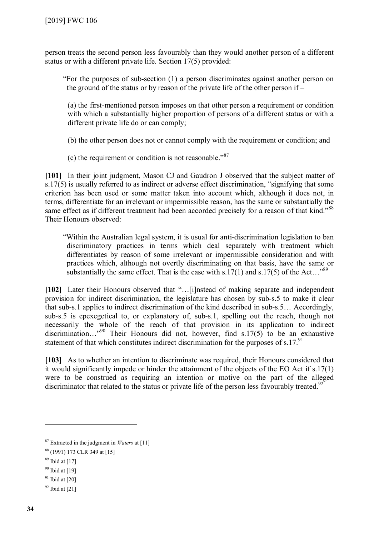person treats the second person less favourably than they would another person of a different status or with a different private life. Section 17(5) provided:

"For the purposes of sub-section (1) a person discriminates against another person on the ground of the status or by reason of the private life of the other person if –

(a) the first-mentioned person imposes on that other person a requirement or condition with which a substantially higher proportion of persons of a different status or with a different private life do or can comply;

(b) the other person does not or cannot comply with the requirement or condition; and

(c) the requirement or condition is not reasonable." $87$ 

**[101]** In their joint judgment, Mason CJ and Gaudron J observed that the subject matter of s.17(5) is usually referred to as indirect or adverse effect discrimination, "signifying that some criterion has been used or some matter taken into account which, although it does not, in terms, differentiate for an irrelevant or impermissible reason, has the same or substantially the same effect as if different treatment had been accorded precisely for a reason of that kind."<sup>[88](#page-33-1)</sup> Their Honours observed:

"Within the Australian legal system, it is usual for anti-discrimination legislation to ban discriminatory practices in terms which deal separately with treatment which differentiates by reason of some irrelevant or impermissible consideration and with practices which, although not overtly discriminating on that basis, have the same or substantially the same effect. That is the case with s.17(1) and s.17(5) of the Act...<sup>[89](#page-33-2)</sup>

**[102]** Later their Honours observed that "…[i]nstead of making separate and independent provision for indirect discrimination, the legislature has chosen by sub-s.5 to make it clear that sub-s.1 applies to indirect discrimination of the kind described in sub-s.5… Accordingly, sub-s.5 is epexegetical to, or explanatory of, sub-s.1, spelling out the reach, though not necessarily the whole of the reach of that provision in its application to indirect discrimination..."<sup>[90](#page-33-3)</sup> Their Honours did not, however, find s.17(5) to be an exhaustive statement of that which constitutes indirect discrimination for the purposes of s.17. $\frac{91}{2}$  $\frac{91}{2}$  $\frac{91}{2}$ 

**[103]** As to whether an intention to discriminate was required, their Honours considered that it would significantly impede or hinder the attainment of the objects of the EO Act if s.17(1) were to be construed as requiring an intention or motive on the part of the alleged discriminator that related to the status or private life of the person less favourably treated.<sup>[92](#page-33-5)</sup>

<span id="page-33-0"></span><sup>87</sup> Extracted in the judgment in *Waters* at [11]

<span id="page-33-1"></span><sup>88</sup> (1991) 173 CLR 349 at [15]

<span id="page-33-2"></span><sup>89</sup> Ibid at [17]

<span id="page-33-3"></span><sup>90</sup> Ibid at [19]

<span id="page-33-4"></span> $91$  Ibid at [20]

<span id="page-33-5"></span> $92$  Ibid at [21]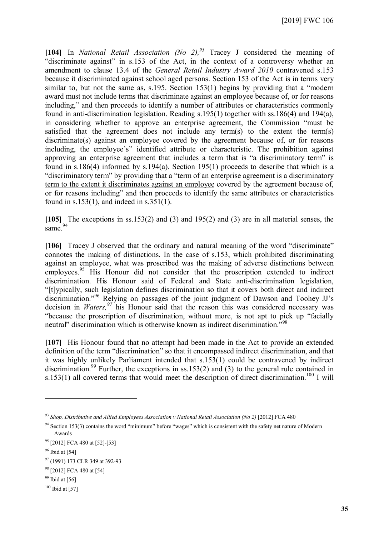**[104]** In *National Retail Association (No 2), [93](#page-34-0)* Tracey J considered the meaning of "discriminate against" in s.153 of the Act, in the context of a controversy whether an amendment to clause 13.4 of the *General Retail Industry Award 2010* contravened s.153 because it discriminated against school aged persons. Section 153 of the Act is in terms very similar to, but not the same as, s.195. Section 153(1) begins by providing that a "modern award must not include terms that discriminate against an employee because of, or for reasons including," and then proceeds to identify a number of attributes or characteristics commonly found in anti-discrimination legislation. Reading s.195(1) together with ss.186(4) and 194(a), in considering whether to approve an enterprise agreement, the Commission "must be satisfied that the agreement does not include any term(s) to the extent the term(s) discriminate(s) against an employee covered by the agreement because of, or for reasons including, the employee's" identified attribute or characteristic. The prohibition against approving an enterprise agreement that includes a term that is "a discriminatory term" is found in s.186(4) informed by s.194(a). Section 195(1) proceeds to describe that which is a "discriminatory term" by providing that a "term of an enterprise agreement is a discriminatory term to the extent it discriminates against an employee covered by the agreement because of, or for reasons including" and then proceeds to identify the same attributes or characteristics found in s.153(1), and indeed in s.351(1).

**[105]** The exceptions in ss.153(2) and (3) and 195(2) and (3) are in all material senses, the same.<sup>[94](#page-34-1)</sup>

**[106]** Tracey J observed that the ordinary and natural meaning of the word "discriminate" connotes the making of distinctions. In the case of s.153, which prohibited discriminating against an employee, what was proscribed was the making of adverse distinctions between employees.<sup>[95](#page-34-2)</sup> His Honour did not consider that the proscription extended to indirect discrimination. His Honour said of Federal and State anti-discrimination legislation, "[t]ypically, such legislation defines discrimination so that it covers both direct and indirect discrimination." [96](#page-34-3) Relying on passages of the joint judgment of Dawson and Toohey JJ's decision in *Waters, [97](#page-34-4)* his Honour said that the reason this was considered necessary was "because the proscription of discrimination, without more, is not apt to pick up "facially neutral" discrimination which is otherwise known as indirect discrimination.<sup>5[98](#page-34-5)</sup>

**[107]** His Honour found that no attempt had been made in the Act to provide an extended definition of the term "discrimination" so that it encompassed indirect discrimination, and that it was highly unlikely Parliament intended that s.153(1) could be contravened by indirect discrimination.<sup>[99](#page-34-6)</sup> Further, the exceptions in ss.153(2) and (3) to the general rule contained in s.153(1) all covered terms that would meet the description of direct discrimination.<sup>[100](#page-34-7)</sup> I will

<span id="page-34-0"></span><sup>93</sup> *Shop, Distributive and Allied Employees Association v National Retail Association (No 2)* [2012] FCA 480

<span id="page-34-1"></span><sup>94</sup> Section 153(3) contains the word "minimum" before "wages" which is consistent with the safety net nature of Modern Awards

<span id="page-34-2"></span><sup>95</sup> [2012] FCA 480 at [52]-[53]

<span id="page-34-4"></span><span id="page-34-3"></span> $96$  Ibid at [54]

<sup>97</sup> (1991) 173 CLR 349 at 392-93

<span id="page-34-6"></span><span id="page-34-5"></span><sup>&</sup>lt;sup>98</sup> [2012] FCA 480 at [54]

 $99$  Ibid at [56]

<span id="page-34-7"></span> $100$  Ibid at [57]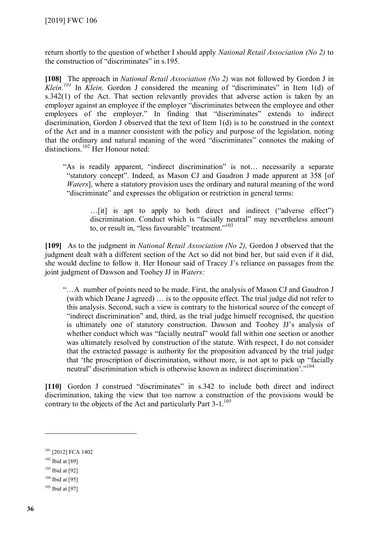return shortly to the question of whether I should apply *National Retail Association (No 2)* to the construction of "discriminates" in s.195.

**[108]** The approach in *National Retail Association (No 2)* was not followed by Gordon J in *Klein. [101](#page-35-0)* In *Klein,* Gordon J considered the meaning of "discriminates" in Item 1(d) of s.342(1) of the Act. That section relevantly provides that adverse action is taken by an employer against an employee if the employer "discriminates between the employee and other employees of the employer." In finding that "discriminates" extends to indirect discrimination, Gordon J observed that the text of Item 1(d) is to be construed in the context of the Act and in a manner consistent with the policy and purpose of the legislation, noting that the ordinary and natural meaning of the word "discriminates" connotes the making of distinctions.[102](#page-35-1) Her Honour noted:

"As is readily apparent, "indirect discrimination" is not… necessarily a separate "statutory concept". Indeed, as Mason CJ and Gaudron J made apparent at 358 [of *Waters*], where a statutory provision uses the ordinary and natural meaning of the word "discriminate" and expresses the obligation or restriction in general terms:

…[it] is apt to apply to both direct and indirect ("adverse effect") discrimination. Conduct which is "facially neutral" may nevertheless amount to, or result in, "less favourable" treatment."<sup>[103](#page-35-2)</sup>

**[109]** As to the judgment in *National Retail Association (No 2),* Gordon J observed that the judgment dealt with a different section of the Act so did not bind her, but said even if it did, she would decline to follow it. Her Honour said of Tracey J's reliance on passages from the joint judgment of Dawson and Toohey JJ in *Waters:*

"…A number of points need to be made. First, the analysis of Mason CJ and Gaudron J (with which Deane J agreed) … is to the opposite effect. The trial judge did not refer to this analysis. Second, such a view is contrary to the historical source of the concept of "indirect discrimination" and, third, as the trial judge himself recognised, the question is ultimately one of statutory construction. Dawson and Toohey JJ's analysis of whether conduct which was "facially neutral" would fall within one section or another was ultimately resolved by construction of the statute. With respect, I do not consider that the extracted passage is authority for the proposition advanced by the trial judge that 'the proscription of discrimination, without more, is not apt to pick up "facially neutral" discrimination which is otherwise known as indirect discrimination'."<sup>[104](#page-35-3)</sup>

[110] Gordon J construed "discriminates" in s.342 to include both direct and indirect discrimination, taking the view that too narrow a construction of the provisions would be contrary to the objects of the Act and particularly Part  $3-1$ <sup>[105](#page-35-4)</sup>

<span id="page-35-0"></span><sup>&</sup>lt;sup>101</sup> [2012] FCA 1402

<span id="page-35-1"></span> $102$  Ibid at [89]

<span id="page-35-2"></span> $103$  Ibid at [92]

<span id="page-35-3"></span> $104$  Ibid at [95]

<span id="page-35-4"></span> $105$  Ibid at [97]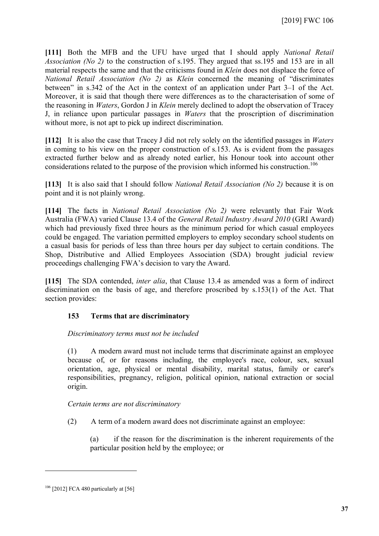**[111]** Both the MFB and the UFU have urged that I should apply *National Retail Association (No 2)* to the construction of s.195. They argued that ss.195 and 153 are in all material respects the same and that the criticisms found in *Klein* does not displace the force of *National Retail Association (No 2)* as *Klein* concerned the meaning of "discriminates between" in s.342 of the Act in the context of an application under Part 3–1 of the Act. Moreover, it is said that though there were differences as to the characterisation of some of the reasoning in *Waters*, Gordon J in *Klein* merely declined to adopt the observation of Tracey J, in reliance upon particular passages in *Waters* that the proscription of discrimination without more, is not apt to pick up indirect discrimination.

**[112]** It is also the case that Tracey J did not rely solely on the identified passages in *Waters* in coming to his view on the proper construction of s.153. As is evident from the passages extracted further below and as already noted earlier, his Honour took into account other considerations related to the purpose of the provision which informed his construction.<sup>[106](#page-36-0)</sup>

**[113]** It is also said that I should follow *National Retail Association (No 2)* because it is on point and it is not plainly wrong.

**[114]** The facts in *National Retail Association (No 2)* were relevantly that Fair Work Australia (FWA) varied Clause 13.4 of the *General Retail Industry Award 2010* (GRI Award) which had previously fixed three hours as the minimum period for which casual employees could be engaged. The variation permitted employers to employ secondary school students on a casual basis for periods of less than three hours per day subject to certain conditions. The Shop, Distributive and Allied Employees Association (SDA) brought judicial review proceedings challenging FWA's decision to vary the Award.

**[115]** The SDA contended, *inter alia*, that Clause 13.4 as amended was a form of indirect discrimination on the basis of age, and therefore proscribed by s.153(1) of the Act. That section provides:

## **153 Terms that are discriminatory**

*Discriminatory terms must not be included* 

(1) A modern award must not include terms that discriminate against an employee because of, or for reasons including, the employee's race, colour, sex, sexual orientation, age, physical or mental disability, marital status, family or carer's responsibilities, pregnancy, religion, political opinion, national extraction or social origin.

*Certain terms are not discriminatory* 

(2) A term of a modern award does not discriminate against an employee:

(a) if the reason for the discrimination is the inherent requirements of the particular position held by the employee; or

<span id="page-36-0"></span><sup>&</sup>lt;sup>106</sup> [2012] FCA 480 particularly at [56]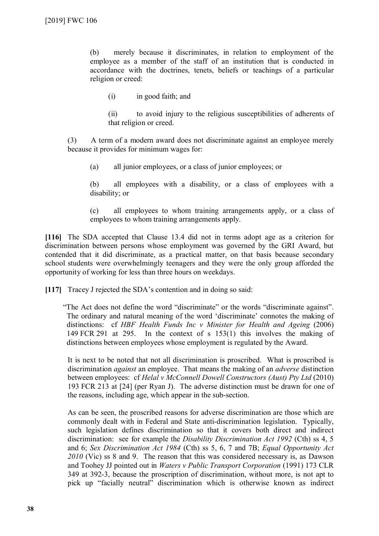(b) merely because it discriminates, in relation to employment of the employee as a member of the staff of an institution that is conducted in accordance with the doctrines, tenets, beliefs or teachings of a particular religion or creed:

(i) in good faith; and

(ii) to avoid injury to the religious susceptibilities of adherents of that religion or creed.

(3) A term of a modern award does not discriminate against an employee merely because it provides for minimum wages for:

(a) all junior employees, or a class of junior employees; or

(b) all employees with a disability, or a class of employees with a disability; or

(c) all employees to whom training arrangements apply, or a class of employees to whom training arrangements apply.

**[116]** The SDA accepted that Clause 13.4 did not in terms adopt age as a criterion for discrimination between persons whose employment was governed by the GRI Award, but contended that it did discriminate, as a practical matter, on that basis because secondary school students were overwhelmingly teenagers and they were the only group afforded the opportunity of working for less than three hours on weekdays.

**[117]** Tracey J rejected the SDA's contention and in doing so said:

"The Act does not define the word "discriminate" or the words "discriminate against". The ordinary and natural meaning of the word 'discriminate' connotes the making of distinctions: cf *HBF Health Funds Inc v Minister for Health and Ageing* (2006) 149 FCR 291 at 295. In the context of s 153(1) this involves the making of distinctions between employees whose employment is regulated by the Award.

It is next to be noted that not all discrimination is proscribed. What is proscribed is discrimination *against* an employee. That means the making of an *adverse* distinction between employees: cf *Helal v McConnell Dowell Constructors (Aust) Pty Ltd* (2010) 193 FCR 213 at [24] (per Ryan J). The adverse distinction must be drawn for one of the reasons, including age, which appear in the sub-section.

As can be seen, the proscribed reasons for adverse discrimination are those which are commonly dealt with in Federal and State anti-discrimination legislation. Typically, such legislation defines discrimination so that it covers both direct and indirect discrimination: see for example the *Disability Discrimination Act 1992* (Cth) ss 4, 5 and 6; *Sex Discrimination Act 1984* (Cth) ss 5, 6, 7 and 7B; *Equal Opportunity Act 2010* (Vic) ss 8 and 9. The reason that this was considered necessary is, as Dawson and Toohey JJ pointed out in *Waters v Public Transport Corporation* (1991) 173 CLR 349 at 392-3, because the proscription of discrimination, without more, is not apt to pick up "facially neutral" discrimination which is otherwise known as indirect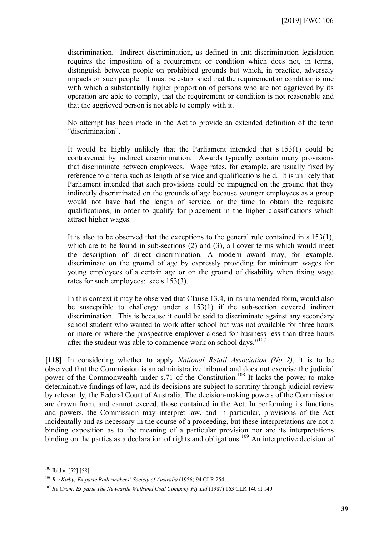discrimination. Indirect discrimination, as defined in anti-discrimination legislation requires the imposition of a requirement or condition which does not, in terms, distinguish between people on prohibited grounds but which, in practice, adversely impacts on such people. It must be established that the requirement or condition is one with which a substantially higher proportion of persons who are not aggrieved by its operation are able to comply, that the requirement or condition is not reasonable and that the aggrieved person is not able to comply with it.

No attempt has been made in the Act to provide an extended definition of the term "discrimination".

It would be highly unlikely that the Parliament intended that s 153(1) could be contravened by indirect discrimination. Awards typically contain many provisions that discriminate between employees. Wage rates, for example, are usually fixed by reference to criteria such as length of service and qualifications held. It is unlikely that Parliament intended that such provisions could be impugned on the ground that they indirectly discriminated on the grounds of age because younger employees as a group would not have had the length of service, or the time to obtain the requisite qualifications, in order to qualify for placement in the higher classifications which attract higher wages.

It is also to be observed that the exceptions to the general rule contained in s 153(1), which are to be found in sub-sections (2) and (3), all cover terms which would meet the description of direct discrimination. A modern award may, for example, discriminate on the ground of age by expressly providing for minimum wages for young employees of a certain age or on the ground of disability when fixing wage rates for such employees: see s 153(3).

In this context it may be observed that Clause 13.4, in its unamended form, would also be susceptible to challenge under s 153(1) if the sub-section covered indirect discrimination. This is because it could be said to discriminate against any secondary school student who wanted to work after school but was not available for three hours or more or where the prospective employer closed for business less than three hours after the student was able to commence work on school days."<sup>[107](#page-38-0)</sup>

**[118]** In considering whether to apply *National Retail Association (No 2)*, it is to be observed that the Commission is an administrative tribunal and does not exercise the judicial power of the Commonwealth under s.71 of the Constitution.<sup>[108](#page-38-1)</sup> It lacks the power to make determinative findings of law, and its decisions are subject to scrutiny through judicial review by relevantly, the Federal Court of Australia. The decision-making powers of the Commission are drawn from, and cannot exceed, those contained in the Act. In performing its functions and powers, the Commission may interpret law, and in particular, provisions of the Act incidentally and as necessary in the course of a proceeding, but these interpretations are not a binding exposition as to the meaning of a particular provision nor are its interpretations binding on the parties as a declaration of rights and obligations.<sup>[109](#page-38-2)</sup> An interpretive decision of

<span id="page-38-0"></span><sup>107</sup> Ibid at [52]-[58]

<span id="page-38-1"></span><sup>108</sup> *R v Kirby; Ex parte Boilermakers' Society of Australia* (1956) 94 CLR 254

<span id="page-38-2"></span><sup>109</sup> *Re Cram; Ex parte The Newcastle Wallsend Coal Company Pty Ltd* (1987) 163 CLR 140 at 149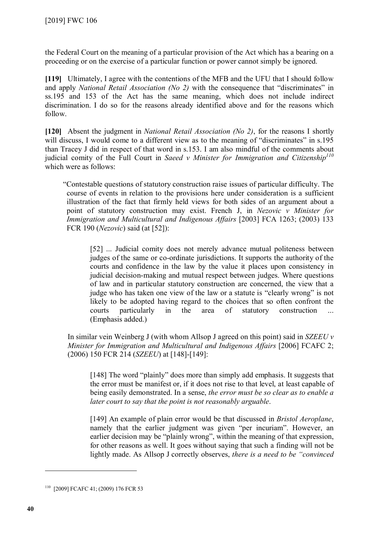the Federal Court on the meaning of a particular provision of the Act which has a bearing on a proceeding or on the exercise of a particular function or power cannot simply be ignored.

**[119]** Ultimately, I agree with the contentions of the MFB and the UFU that I should follow and apply *National Retail Association (No 2)* with the consequence that "discriminates" in ss.195 and 153 of the Act has the same meaning, which does not include indirect discrimination. I do so for the reasons already identified above and for the reasons which follow.

**[120]** Absent the judgment in *National Retail Association (No 2)*, for the reasons I shortly will discuss, I would come to a different view as to the meaning of "discriminates" in s.195 than Tracey J did in respect of that word in s.153. I am also mindful of the comments about judicial comity of the Full Court in *Saeed v Minister for Immigration and Citizenship[110](#page-39-0)* which were as follows:

"Contestable questions of statutory construction raise issues of particular difficulty. The course of events in relation to the provisions here under consideration is a sufficient illustration of the fact that firmly held views for both sides of an argument about a point of statutory construction may exist. French J, in *Nezovic v Minister for Immigration and Multicultural and Indigenous Affairs* [2003] FCA 1263; (2003) 133 FCR 190 (*Nezovic*) said (at [52]):

[52] ... Judicial comity does not merely advance mutual politeness between judges of the same or co-ordinate jurisdictions. It supports the authority of the courts and confidence in the law by the value it places upon consistency in judicial decision-making and mutual respect between judges. Where questions of law and in particular statutory construction are concerned, the view that a judge who has taken one view of the law or a statute is "clearly wrong" is not likely to be adopted having regard to the choices that so often confront the courts particularly in the area of statutory construction ... (Emphasis added.)

In similar vein Weinberg J (with whom Allsop J agreed on this point) said in *SZEEU v Minister for Immigration and Multicultural and Indigenous Affairs* [2006] FCAFC 2; (2006) 150 FCR 214 (*SZEEU*) at [148]-[149]:

[148] The word "plainly" does more than simply add emphasis. It suggests that the error must be manifest or, if it does not rise to that level, at least capable of being easily demonstrated. In a sense, *the error must be so clear as to enable a later court to say that the point is not reasonably arguable*.

[149] An example of plain error would be that discussed in *Bristol Aeroplane*, namely that the earlier judgment was given "per incuriam". However, an earlier decision may be "plainly wrong", within the meaning of that expression, for other reasons as well. It goes without saying that such a finding will not be lightly made. As Allsop J correctly observes, *there is a need to be "convinced* 

<span id="page-39-0"></span><sup>110</sup> [2009] FCAFC 41; (2009) 176 FCR 53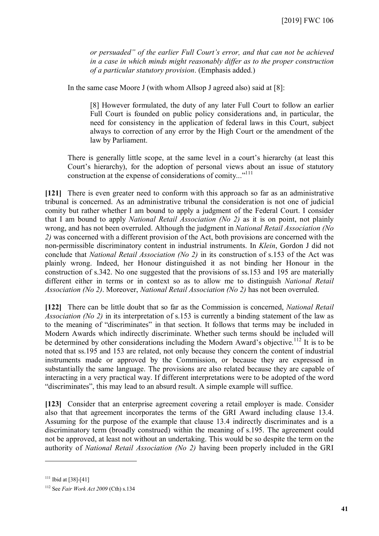*or persuaded" of the earlier Full Court's error, and that can not be achieved in a case in which minds might reasonably differ as to the proper construction of a particular statutory provision*. (Emphasis added.)

In the same case Moore J (with whom Allsop J agreed also) said at [8]:

[8] However formulated, the duty of any later Full Court to follow an earlier Full Court is founded on public policy considerations and, in particular, the need for consistency in the application of federal laws in this Court, subject always to correction of any error by the High Court or the amendment of the law by Parliament.

There is generally little scope, at the same level in a court's hierarchy (at least this Court's hierarchy), for the adoption of personal views about an issue of statutory construction at the expense of considerations of comity..."<sup>[111](#page-40-0)</sup>

**[121]** There is even greater need to conform with this approach so far as an administrative tribunal is concerned. As an administrative tribunal the consideration is not one of judicial comity but rather whether I am bound to apply a judgment of the Federal Court. I consider that I am bound to apply *National Retail Association (No 2)* as it is on point, not plainly wrong, and has not been overruled. Although the judgment in *National Retail Association (No 2)* was concerned with a different provision of the Act, both provisions are concerned with the non-permissible discriminatory content in industrial instruments. In *Klein*, Gordon J did not conclude that *National Retail Association (No 2)* in its construction of s.153 of the Act was plainly wrong. Indeed, her Honour distinguished it as not binding her Honour in the construction of s.342. No one suggested that the provisions of ss.153 and 195 are materially different either in terms or in context so as to allow me to distinguish *National Retail Association (No 2)*. Moreover, *National Retail Association (No 2)* has not been overruled.

**[122]** There can be little doubt that so far as the Commission is concerned, *National Retail Association (No 2)* in its interpretation of s.153 is currently a binding statement of the law as to the meaning of "discriminates" in that section. It follows that terms may be included in Modern Awards which indirectly discriminate. Whether such terms should be included will be determined by other considerations including the Modern Award's objective.<sup>[112](#page-40-1)</sup> It is to be noted that ss.195 and 153 are related, not only because they concern the content of industrial instruments made or approved by the Commission, or because they are expressed in substantially the same language. The provisions are also related because they are capable of interacting in a very practical way. If different interpretations were to be adopted of the word "discriminates", this may lead to an absurd result. A simple example will suffice.

**[123]** Consider that an enterprise agreement covering a retail employer is made. Consider also that that agreement incorporates the terms of the GRI Award including clause 13.4. Assuming for the purpose of the example that clause 13.4 indirectly discriminates and is a discriminatory term (broadly construed) within the meaning of s.195. The agreement could not be approved, at least not without an undertaking. This would be so despite the term on the authority of *National Retail Association (No 2)* having been properly included in the GRI

<span id="page-40-0"></span> $111$  Ibid at [38]-[41]

<span id="page-40-1"></span><sup>112</sup> See *Fair Work Act 2009* (Cth) s.134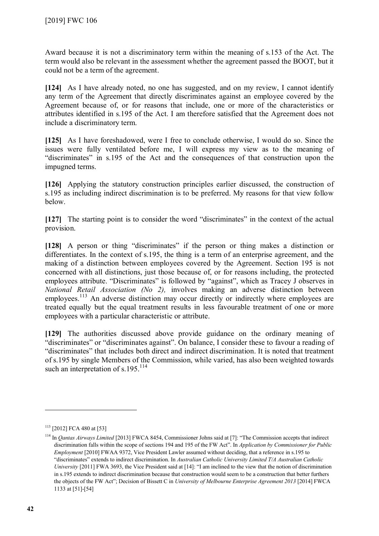Award because it is not a discriminatory term within the meaning of s.153 of the Act. The term would also be relevant in the assessment whether the agreement passed the BOOT, but it could not be a term of the agreement.

**[124]** As I have already noted, no one has suggested, and on my review, I cannot identify any term of the Agreement that directly discriminates against an employee covered by the Agreement because of, or for reasons that include, one or more of the characteristics or attributes identified in s.195 of the Act. I am therefore satisfied that the Agreement does not include a discriminatory term.

**[125]** As I have foreshadowed, were I free to conclude otherwise, I would do so. Since the issues were fully ventilated before me, I will express my view as to the meaning of "discriminates" in s.195 of the Act and the consequences of that construction upon the impugned terms.

**[126]** Applying the statutory construction principles earlier discussed, the construction of s.195 as including indirect discrimination is to be preferred. My reasons for that view follow below.

**[127]** The starting point is to consider the word "discriminates" in the context of the actual provision.

[128] A person or thing "discriminates" if the person or thing makes a distinction or differentiates. In the context of s.195, the thing is a term of an enterprise agreement, and the making of a distinction between employees covered by the Agreement. Section 195 is not concerned with all distinctions, just those because of, or for reasons including, the protected employees attribute. "Discriminates" is followed by "against", which as Tracey J observes in *National Retail Association (No 2),* involves making an adverse distinction between employees.<sup>[113](#page-41-0)</sup> An adverse distinction may occur directly or indirectly where employees are treated equally but the equal treatment results in less favourable treatment of one or more employees with a particular characteristic or attribute.

**[129]** The authorities discussed above provide guidance on the ordinary meaning of "discriminates" or "discriminates against". On balance, I consider these to favour a reading of "discriminates" that includes both direct and indirect discrimination. It is noted that treatment of s.195 by single Members of the Commission, while varied, has also been weighted towards such an interpretation of s.195.<sup>[114](#page-41-1)</sup>

<span id="page-41-0"></span><sup>113</sup> [2012] FCA 480 at [53]

<span id="page-41-1"></span><sup>&</sup>lt;sup>114</sup> In *Qantas Airways Limited* [2013] FWCA 8454, Commissioner Johns said at [7]: "The Commission accepts that indirect discrimination falls within the scope of sections 194 and 195 of the FW Act". In *Application by Commissioner for Public Employment* [2010] FWAA 9372, Vice President Lawler assumed without deciding, that a reference in s.195 to "discriminates" extends to indirect discrimination. In *Australian Catholic University Limited T/A Australian Catholic University* [2011] FWA 3693, the Vice President said at [14]: "I am inclined to the view that the notion of discrimination in s.195 extends to indirect discrimination because that construction would seem to be a construction that better furthers the objects of the FW Act"; Decision of Bissett C in *University of Melbourne Enterprise Agreement 2013* [2014] FWCA 1133 at [51]-[54]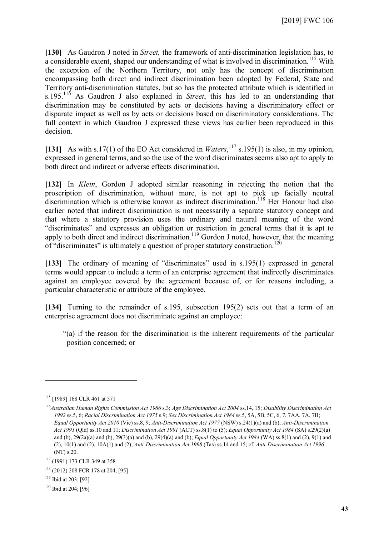**[130]** As Gaudron J noted in *Street,* the framework of anti-discrimination legislation has, to a considerable extent, shaped our understanding of what is involved in discrimination.<sup>[115](#page-42-0)</sup> With the exception of the Northern Territory, not only has the concept of discrimination encompassing both direct and indirect discrimination been adopted by Federal, State and Territory anti-discrimination statutes, but so has the protected attribute which is identified in s.195.[116](#page-42-1) As Gaudron J also explained in *Street*, this has led to an understanding that discrimination may be constituted by acts or decisions having a discriminatory effect or disparate impact as well as by acts or decisions based on discriminatory considerations. The full context in which Gaudron J expressed these views has earlier been reproduced in this decision.

[131] As with s.17(1) of the EO Act considered in *Waters*, <sup>[117](#page-42-2)</sup> s.195(1) is also, in my opinion, expressed in general terms, and so the use of the word discriminates seems also apt to apply to both direct and indirect or adverse effects discrimination.

**[132]** In *Klein*, Gordon J adopted similar reasoning in rejecting the notion that the proscription of discrimination, without more, is not apt to pick up facially neutral discrimination which is otherwise known as indirect discrimination.<sup>[118](#page-42-3)</sup> Her Honour had also earlier noted that indirect discrimination is not necessarily a separate statutory concept and that where a statutory provision uses the ordinary and natural meaning of the word "discriminates" and expresses an obligation or restriction in general terms that it is apt to apply to both direct and indirect discrimination.<sup>[119](#page-42-4)</sup> Gordon J noted, however, that the meaning of "discriminates" is ultimately a question of proper statutory construction.<sup>[120](#page-42-5)</sup>

**[133]** The ordinary of meaning of "discriminates" used in s.195(1) expressed in general terms would appear to include a term of an enterprise agreement that indirectly discriminates against an employee covered by the agreement because of, or for reasons including, a particular characteristic or attribute of the employee.

**[134]** Turning to the remainder of s.195, subsection 195(2) sets out that a term of an enterprise agreement does not discriminate against an employee:

"(a) if the reason for the discrimination is the inherent requirements of the particular position concerned; or

<span id="page-42-0"></span><sup>115</sup> [1989] 168 CLR 461 at 571

<span id="page-42-1"></span><sup>116</sup>*Australian Human Rights Commission Act 1986* s.3; *Age Discrimination Act 2004* ss.14, 15; *Disability Discrimination Act 1992* ss.5, 6; *Racial Discrimination Act 1975* s.9; *Sex Discrimination Act 1984* ss.5, 5A, 5B, 5C, 6, 7, 7AA, 7A, 7B; *Equal Opportunity Act 2010* (Vic) ss.8, 9; *Anti-Discrimination Act 1977* (NSW) s.24(1)(a) and (b); *Anti-Discrimination Act 1991* (Qld) ss.10 and 11; *Discrimination Act 1991* (ACT) ss.8(1) to (5); *Equal Opportunity Act 1984* (SA) s.29(2)(a) and (b), 29(2a)(a) and (b), 29(3)(a) and (b), 29(4)(a) and (b); *Equal Opportunity Act 1984* (WA) ss.8(1) and (2), 9(1) and (2), 10(1) and (2), 10A(1) and (2); *Anti-Discrimination Act 1998* (Tas) ss.14 and 15; cf. *Anti-Discrimination Act 1996*  (NT) s.20.

<span id="page-42-2"></span><sup>117</sup> (1991) 173 CLR 349 at 358

<span id="page-42-3"></span><sup>118</sup> (2012) 208 FCR 178 at 204; [95]

<span id="page-42-4"></span><sup>119</sup> Ibid at 203; [92]

<span id="page-42-5"></span><sup>&</sup>lt;sup>120</sup> Ibid at 204; [96]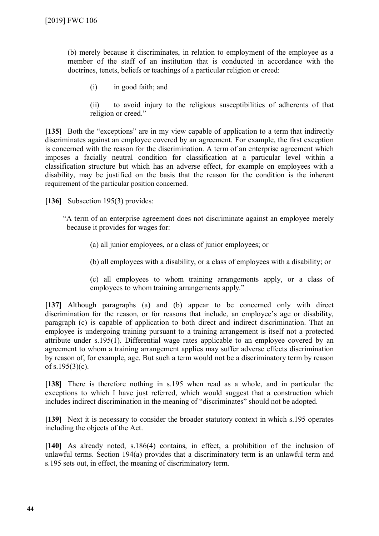(b) merely because it discriminates, in relation to employment of the employee as a member of the staff of an institution that is conducted in accordance with the doctrines, tenets, beliefs or teachings of a particular religion or creed:

(i) in good faith; and

(ii) to avoid injury to the religious susceptibilities of adherents of that religion or creed."

**[135]** Both the "exceptions" are in my view capable of application to a term that indirectly discriminates against an employee covered by an agreement. For example, the first exception is concerned with the reason for the discrimination. A term of an enterprise agreement which imposes a facially neutral condition for classification at a particular level within a classification structure but which has an adverse effect, for example on employees with a disability, may be justified on the basis that the reason for the condition is the inherent requirement of the particular position concerned.

**[136]** Subsection 195(3) provides:

"A term of an enterprise agreement does not discriminate against an employee merely because it provides for wages for:

(a) all junior employees, or a class of junior employees; or

(b) all employees with a disability, or a class of employees with a disability; or

(c) all employees to whom training arrangements apply, or a class of employees to whom training arrangements apply."

**[137]** Although paragraphs (a) and (b) appear to be concerned only with direct discrimination for the reason, or for reasons that include, an employee's age or disability, paragraph (c) is capable of application to both direct and indirect discrimination. That an employee is undergoing training pursuant to a training arrangement is itself not a protected attribute under s.195(1). Differential wage rates applicable to an employee covered by an agreement to whom a training arrangement applies may suffer adverse effects discrimination by reason of, for example, age. But such a term would not be a discriminatory term by reason of s.195(3)(c).

**[138]** There is therefore nothing in s.195 when read as a whole, and in particular the exceptions to which I have just referred, which would suggest that a construction which includes indirect discrimination in the meaning of "discriminates" should not be adopted.

**[139]** Next it is necessary to consider the broader statutory context in which s.195 operates including the objects of the Act.

**[140]** As already noted, s.186(4) contains, in effect, a prohibition of the inclusion of unlawful terms. Section 194(a) provides that a discriminatory term is an unlawful term and s.195 sets out, in effect, the meaning of discriminatory term.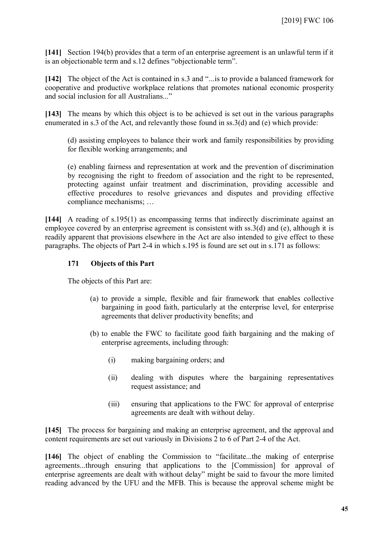**[141]** Section 194(b) provides that a term of an enterprise agreement is an unlawful term if it is an objectionable term and s.12 defines "objectionable term".

**[142]** The object of the Act is contained in s.3 and "...is to provide a balanced framework for cooperative and productive workplace relations that promotes national economic prosperity and social inclusion for all Australians..."

**[143]** The means by which this object is to be achieved is set out in the various paragraphs enumerated in s.3 of the Act, and relevantly those found in ss.3(d) and (e) which provide:

(d) assisting employees to balance their work and family responsibilities by providing for flexible working arrangements; and

(e) enabling fairness and representation at work and the prevention of discrimination by recognising the right to freedom of association and the right to be represented, protecting against unfair treatment and discrimination, providing accessible and effective procedures to resolve grievances and disputes and providing effective compliance mechanisms; …

**[144]** A reading of s.195(1) as encompassing terms that indirectly discriminate against an employee covered by an enterprise agreement is consistent with ss.3(d) and (e), although it is readily apparent that provisions elsewhere in the Act are also intended to give effect to these paragraphs. The objects of Part 2-4 in which s.195 is found are set out in s.171 as follows:

# **171 Objects of this Part**

The objects of this Part are:

- (a) to provide a simple, flexible and fair framework that enables collective bargaining in good faith, particularly at the enterprise level, for enterprise agreements that deliver productivity benefits; and
- (b) to enable the FWC to facilitate good faith bargaining and the making of enterprise agreements, including through:
	- (i) making bargaining orders; and
	- (ii) dealing with disputes where the bargaining representatives request assistance; and
	- (iii) ensuring that applications to the FWC for approval of enterprise agreements are dealt with without delay.

**[145]** The process for bargaining and making an enterprise agreement, and the approval and content requirements are set out variously in Divisions 2 to 6 of Part 2-4 of the Act.

**[146]** The object of enabling the Commission to "facilitate...the making of enterprise agreements...through ensuring that applications to the [Commission] for approval of enterprise agreements are dealt with without delay" might be said to favour the more limited reading advanced by the UFU and the MFB. This is because the approval scheme might be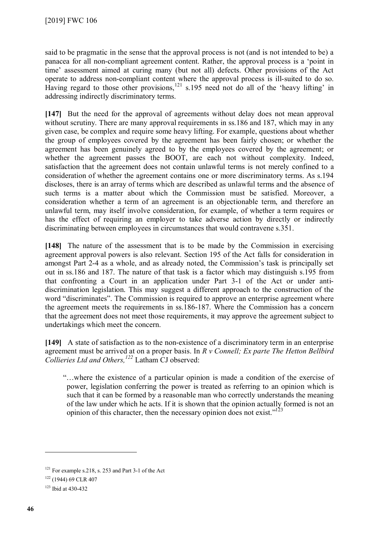said to be pragmatic in the sense that the approval process is not (and is not intended to be) a panacea for all non-compliant agreement content. Rather, the approval process is a 'point in time' assessment aimed at curing many (but not all) defects. Other provisions of the Act operate to address non-compliant content where the approval process is ill-suited to do so. Having regard to those other provisions,<sup>[121](#page-45-0)</sup> s.195 need not do all of the 'heavy lifting' in addressing indirectly discriminatory terms.

**[147]** But the need for the approval of agreements without delay does not mean approval without scrutiny. There are many approval requirements in ss.186 and 187, which may in any given case, be complex and require some heavy lifting. For example, questions about whether the group of employees covered by the agreement has been fairly chosen; or whether the agreement has been genuinely agreed to by the employees covered by the agreement; or whether the agreement passes the BOOT, are each not without complexity. Indeed, satisfaction that the agreement does not contain unlawful terms is not merely confined to a consideration of whether the agreement contains one or more discriminatory terms. As s.194 discloses, there is an array of terms which are described as unlawful terms and the absence of such terms is a matter about which the Commission must be satisfied. Moreover, a consideration whether a term of an agreement is an objectionable term, and therefore an unlawful term, may itself involve consideration, for example, of whether a term requires or has the effect of requiring an employer to take adverse action by directly or indirectly discriminating between employees in circumstances that would contravene s.351.

**[148]** The nature of the assessment that is to be made by the Commission in exercising agreement approval powers is also relevant. Section 195 of the Act falls for consideration in amongst Part 2-4 as a whole, and as already noted, the Commission's task is principally set out in ss.186 and 187. The nature of that task is a factor which may distinguish s.195 from that confronting a Court in an application under Part 3-1 of the Act or under antidiscrimination legislation. This may suggest a different approach to the construction of the word "discriminates". The Commission is required to approve an enterprise agreement where the agreement meets the requirements in ss.186-187. Where the Commission has a concern that the agreement does not meet those requirements, it may approve the agreement subject to undertakings which meet the concern.

**[149]** A state of satisfaction as to the non-existence of a discriminatory term in an enterprise agreement must be arrived at on a proper basis. In *R v Connell; Ex parte The Hetton Bellbird Collieries Ltd and Others, [122](#page-45-1)* Latham CJ observed:

"…where the existence of a particular opinion is made a condition of the exercise of power, legislation conferring the power is treated as referring to an opinion which is such that it can be formed by a reasonable man who correctly understands the meaning of the law under which he acts. If it is shown that the opinion actually formed is not an opinion of this character, then the necessary opinion does not exist." $123$ 

<span id="page-45-0"></span><sup>121</sup> For example s.218, s. 253 and Part 3-1 of the Act

<span id="page-45-1"></span><sup>122</sup> (1944) 69 CLR 407

<span id="page-45-2"></span><sup>123</sup> Ibid at 430-432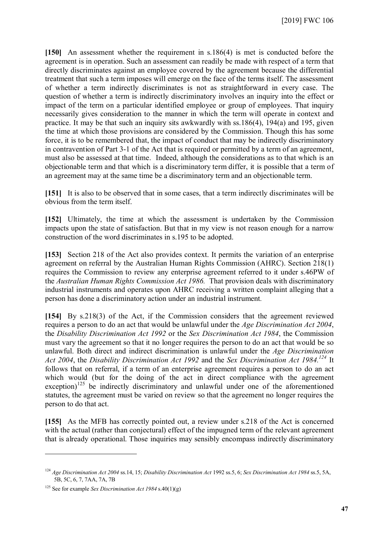**[150]** An assessment whether the requirement in s.186(4) is met is conducted before the agreement is in operation. Such an assessment can readily be made with respect of a term that directly discriminates against an employee covered by the agreement because the differential treatment that such a term imposes will emerge on the face of the terms itself. The assessment of whether a term indirectly discriminates is not as straightforward in every case. The question of whether a term is indirectly discriminatory involves an inquiry into the effect or impact of the term on a particular identified employee or group of employees. That inquiry necessarily gives consideration to the manner in which the term will operate in context and practice. It may be that such an inquiry sits awkwardly with ss.186(4), 194(a) and 195, given the time at which those provisions are considered by the Commission. Though this has some force, it is to be remembered that, the impact of conduct that may be indirectly discriminatory in contravention of Part 3-1 of the Act that is required or permitted by a term of an agreement, must also be assessed at that time. Indeed, although the considerations as to that which is an objectionable term and that which is a discriminatory term differ, it is possible that a term of an agreement may at the same time be a discriminatory term and an objectionable term.

**[151]** It is also to be observed that in some cases, that a term indirectly discriminates will be obvious from the term itself.

**[152]** Ultimately, the time at which the assessment is undertaken by the Commission impacts upon the state of satisfaction. But that in my view is not reason enough for a narrow construction of the word discriminates in s.195 to be adopted.

**[153]** Section 218 of the Act also provides context. It permits the variation of an enterprise agreement on referral by the Australian Human Rights Commission (AHRC). Section 218(1) requires the Commission to review any enterprise agreement referred to it under s.46PW of the *Australian Human Rights Commission Act 1986.* That provision deals with discriminatory industrial instruments and operates upon AHRC receiving a written complaint alleging that a person has done a discriminatory action under an industrial instrument*.* 

**[154]** By s.218(3) of the Act, if the Commission considers that the agreement reviewed requires a person to do an act that would be unlawful under the *Age Discrimination Act 2004*, the *Disability Discrimination Act 1992* or the *Sex Discrimination Act 1984*, the Commission must vary the agreement so that it no longer requires the person to do an act that would be so unlawful. Both direct and indirect discrimination is unlawful under the *Age Discrimination Act 2004*, the *Disability Discrimination Act 1992* and the *Sex Discrimination Act 1984.[124](#page-46-0)* It follows that on referral, if a term of an enterprise agreement requires a person to do an act which would (but for the doing of the act in direct compliance with the agreement exception)<sup>[125](#page-46-1)</sup> be indirectly discriminatory and unlawful under one of the aforementioned statutes, the agreement must be varied on review so that the agreement no longer requires the person to do that act.

**[155]** As the MFB has correctly pointed out, a review under s.218 of the Act is concerned with the actual (rather than conjectural) effect of the impugned term of the relevant agreement that is already operational. Those inquiries may sensibly encompass indirectly discriminatory

<span id="page-46-0"></span><sup>124</sup> *Age Discrimination Act 2004* ss.14, 15; *Disability Discrimination Act* 1992 ss.5, 6; *Sex Discrimination Act 1984* ss.5, 5A, 5B, 5C, 6, 7, 7AA, 7A, 7B

<span id="page-46-1"></span><sup>125</sup> See for example *Sex Discrimination Act 1984* s.40(1)(g)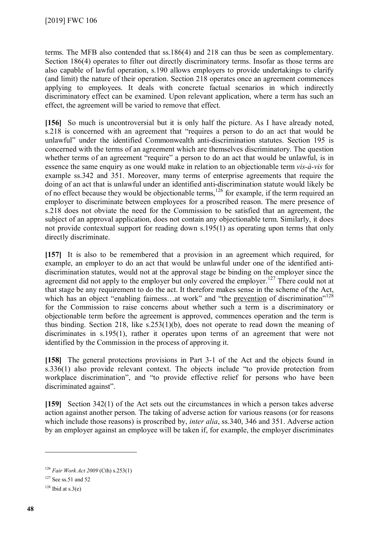terms. The MFB also contended that ss.186(4) and 218 can thus be seen as complementary. Section 186(4) operates to filter out directly discriminatory terms. Insofar as those terms are also capable of lawful operation, s.190 allows employers to provide undertakings to clarify (and limit) the nature of their operation. Section 218 operates once an agreement commences applying to employees. It deals with concrete factual scenarios in which indirectly discriminatory effect can be examined. Upon relevant application, where a term has such an effect, the agreement will be varied to remove that effect.

**[156]** So much is uncontroversial but it is only half the picture. As I have already noted, s.218 is concerned with an agreement that "requires a person to do an act that would be unlawful" under the identified Commonwealth anti-discrimination statutes. Section 195 is concerned with the terms of an agreement which are themselves discriminatory. The question whether terms of an agreement "require" a person to do an act that would be unlawful, is in essence the same enquiry as one would make in relation to an objectionable term *vis-à-vis* for example ss.342 and 351. Moreover, many terms of enterprise agreements that require the doing of an act that is unlawful under an identified anti-discrimination statute would likely be of no effect because they would be objectionable terms,<sup>[126](#page-47-0)</sup> for example, if the term required an employer to discriminate between employees for a proscribed reason. The mere presence of s.218 does not obviate the need for the Commission to be satisfied that an agreement, the subject of an approval application, does not contain any objectionable term. Similarly, it does not provide contextual support for reading down s.195(1) as operating upon terms that only directly discriminate.

**[157]** It is also to be remembered that a provision in an agreement which required, for example, an employer to do an act that would be unlawful under one of the identified antidiscrimination statutes, would not at the approval stage be binding on the employer since the agreement did not apply to the employer but only covered the employer.<sup>[127](#page-47-1)</sup> There could not at that stage be any requirement to do the act. It therefore makes sense in the scheme of the Act, which has an object "enabling fairness...at work" and "the prevention of discrimination"<sup>[128](#page-47-2)</sup> for the Commission to raise concerns about whether such a term is a discriminatory or objectionable term before the agreement is approved, commences operation and the term is thus binding. Section 218, like s.253(1)(b), does not operate to read down the meaning of discriminates in s.195(1), rather it operates upon terms of an agreement that were not identified by the Commission in the process of approving it.

**[158]** The general protections provisions in Part 3-1 of the Act and the objects found in s.336(1) also provide relevant context. The objects include "to provide protection from workplace discrimination", and "to provide effective relief for persons who have been discriminated against".

**[159]** Section 342(1) of the Act sets out the circumstances in which a person takes adverse action against another person. The taking of adverse action for various reasons (or for reasons which include those reasons) is proscribed by, *inter alia*, ss.340, 346 and 351. Adverse action by an employer against an employee will be taken if, for example, the employer discriminates

<span id="page-47-0"></span><sup>126</sup> *Fair Work Act 2009* (Cth) s.253(1)

<span id="page-47-1"></span> $127$  See ss.51 and 52

<span id="page-47-2"></span> $128$  Ibid at s.3(e)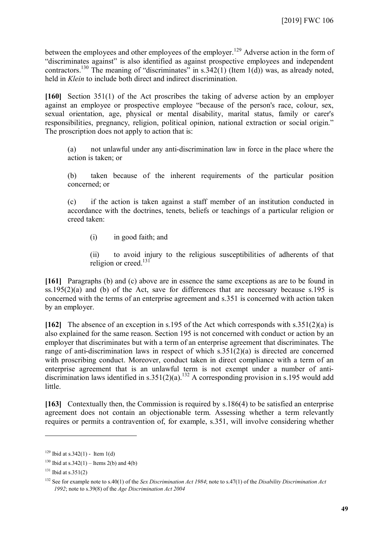between the employees and other employees of the employer.<sup>[129](#page-48-0)</sup> Adverse action in the form of "discriminates against" is also identified as against prospective employees and independent contractors.<sup>[130](#page-48-1)</sup> The meaning of "discriminates" in s.342(1) (Item 1(d)) was, as already noted, held in *Klein* to include both direct and indirect discrimination.

**[160]** Section 351(1) of the Act proscribes the taking of adverse action by an employer against an employee or prospective employee "because of the person's race, colour, sex, sexual orientation, age, physical or mental disability, marital status, family or carer's responsibilities, pregnancy, religion, political opinion, national extraction or social origin." The proscription does not apply to action that is:

(a) not unlawful under any anti-discrimination law in force in the place where the action is taken; or

(b) taken because of the inherent requirements of the particular position concerned; or

(c) if the action is taken against a staff member of an institution conducted in accordance with the doctrines, tenets, beliefs or teachings of a particular religion or creed taken:

(i) in good faith; and

(ii) to avoid injury to the religious susceptibilities of adherents of that religion or creed.<sup>[131](#page-48-2)</sup>

**[161]** Paragraphs (b) and (c) above are in essence the same exceptions as are to be found in ss.195(2)(a) and (b) of the Act, save for differences that are necessary because s.195 is concerned with the terms of an enterprise agreement and s.351 is concerned with action taken by an employer.

**[162]** The absence of an exception in s.195 of the Act which corresponds with s.351(2)(a) is also explained for the same reason. Section 195 is not concerned with conduct or action by an employer that discriminates but with a term of an enterprise agreement that discriminates. The range of anti-discrimination laws in respect of which s.351(2)(a) is directed are concerned with proscribing conduct. Moreover, conduct taken in direct compliance with a term of an enterprise agreement that is an unlawful term is not exempt under a number of anti-discrimination laws identified in s.351(2)(a).<sup>[132](#page-48-3)</sup> A corresponding provision in s.195 would add little.

**[163]** Contextually then, the Commission is required by s.186(4) to be satisfied an enterprise agreement does not contain an objectionable term. Assessing whether a term relevantly requires or permits a contravention of, for example, s.351, will involve considering whether

<span id="page-48-0"></span> $129$  Ibid at s.342(1) - Item 1(d)

<span id="page-48-1"></span><sup>&</sup>lt;sup>130</sup> Ibid at s.342(1) – Items 2(b) and 4(b)

<span id="page-48-2"></span> $131$  Ibid at s.351(2)

<span id="page-48-3"></span><sup>132</sup> See for example note to s.40(1) of the *Sex Discrimination Act 1984*; note to s.47(1) of the *Disability Discrimination Act 1992*; note to s.39(8) of the *Age Discrimination Act 2004*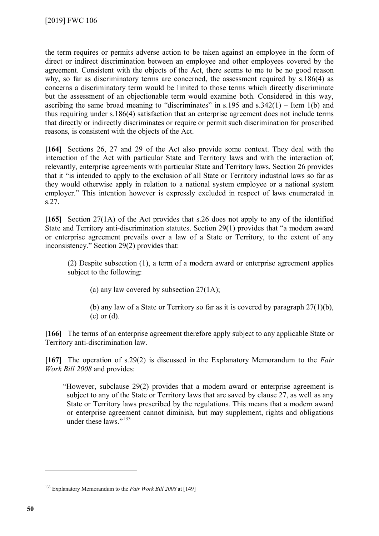the term requires or permits adverse action to be taken against an employee in the form of direct or indirect discrimination between an employee and other employees covered by the agreement. Consistent with the objects of the Act, there seems to me to be no good reason why, so far as discriminatory terms are concerned, the assessment required by s.186(4) as concerns a discriminatory term would be limited to those terms which directly discriminate but the assessment of an objectionable term would examine both. Considered in this way, ascribing the same broad meaning to "discriminates" in s.195 and  $s.342(1)$  – Item 1(b) and thus requiring under s.186(4) satisfaction that an enterprise agreement does not include terms that directly or indirectly discriminates or require or permit such discrimination for proscribed reasons, is consistent with the objects of the Act.

**[164]** Sections 26, 27 and 29 of the Act also provide some context. They deal with the interaction of the Act with particular State and Territory laws and with the interaction of, relevantly, enterprise agreements with particular State and Territory laws. Section 26 provides that it "is intended to apply to the exclusion of all State or Territory industrial laws so far as they would otherwise apply in relation to a national system employee or a national system employer." This intention however is expressly excluded in respect of laws enumerated in s.27.

**[165]** Section 27(1A) of the Act provides that s.26 does not apply to any of the identified State and Territory anti-discrimination statutes. Section 29(1) provides that "a modern award or enterprise agreement prevails over a law of a State or Territory, to the extent of any inconsistency." Section 29(2) provides that:

(2) Despite subsection (1), a term of a modern award or enterprise agreement applies subject to the following:

(a) any law covered by subsection 27(1A);

(b) any law of a State or Territory so far as it is covered by paragraph 27(1)(b), (c) or (d).

**[166]** The terms of an enterprise agreement therefore apply subject to any applicable State or Territory anti-discrimination law.

**[167]** The operation of s.29(2) is discussed in the Explanatory Memorandum to the *Fair Work Bill 2008* and provides:

"However, subclause 29(2) provides that a modern award or enterprise agreement is subject to any of the State or Territory laws that are saved by clause 27, as well as any State or Territory laws prescribed by the regulations. This means that a modern award or enterprise agreement cannot diminish, but may supplement, rights and obligations under these laws."<sup>[133](#page-49-0)</sup>

<span id="page-49-0"></span><sup>133</sup> Explanatory Memorandum to the *Fair Work Bill 2008* at [149]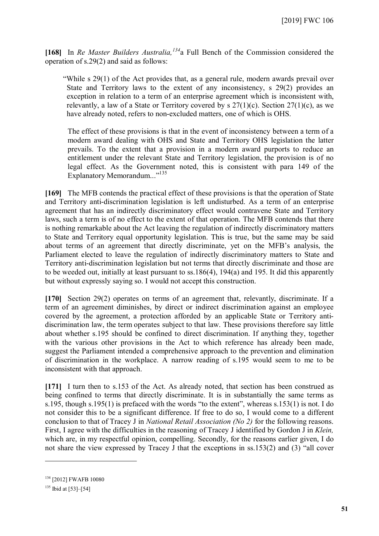**[168]** In *Re Master Builders Australia, [134](#page-50-0)*a Full Bench of the Commission considered the operation of s.29(2) and said as follows:

"While s 29(1) of the Act provides that, as a general rule, modern awards prevail over State and Territory laws to the extent of any inconsistency, s 29(2) provides an exception in relation to a term of an enterprise agreement which is inconsistent with, relevantly, a law of a State or Territory covered by s  $27(1)(c)$ . Section  $27(1)(c)$ , as we have already noted, refers to non-excluded matters, one of which is OHS.

The effect of these provisions is that in the event of inconsistency between a term of a modern award dealing with OHS and State and Territory OHS legislation the latter prevails. To the extent that a provision in a modern award purports to reduce an entitlement under the relevant State and Territory legislation, the provision is of no legal effect. As the Government noted, this is consistent with para 149 of the Explanatory Memorandum..."<sup>[135](#page-50-1)</sup>

**[169]** The MFB contends the practical effect of these provisions is that the operation of State and Territory anti-discrimination legislation is left undisturbed. As a term of an enterprise agreement that has an indirectly discriminatory effect would contravene State and Territory laws, such a term is of no effect to the extent of that operation. The MFB contends that there is nothing remarkable about the Act leaving the regulation of indirectly discriminatory matters to State and Territory equal opportunity legislation. This is true, but the same may be said about terms of an agreement that directly discriminate, yet on the MFB's analysis, the Parliament elected to leave the regulation of indirectly discriminatory matters to State and Territory anti-discrimination legislation but not terms that directly discriminate and those are to be weeded out, initially at least pursuant to ss.186(4), 194(a) and 195. It did this apparently but without expressly saying so. I would not accept this construction.

**[170]** Section 29(2) operates on terms of an agreement that, relevantly, discriminate. If a term of an agreement diminishes, by direct or indirect discrimination against an employee covered by the agreement, a protection afforded by an applicable State or Territory antidiscrimination law, the term operates subject to that law. These provisions therefore say little about whether s.195 should be confined to direct discrimination. If anything they, together with the various other provisions in the Act to which reference has already been made, suggest the Parliament intended a comprehensive approach to the prevention and elimination of discrimination in the workplace. A narrow reading of s.195 would seem to me to be inconsistent with that approach.

**[171]** I turn then to s.153 of the Act. As already noted, that section has been construed as being confined to terms that directly discriminate. It is in substantially the same terms as s.195, though s.195(1) is prefaced with the words "to the extent", whereas s.153(1) is not. I do not consider this to be a significant difference. If free to do so, I would come to a different conclusion to that of Tracey J in *National Retail Association (No 2)* for the following reasons. First, I agree with the difficulties in the reasoning of Tracey J identified by Gordon J in *Klein,* which are, in my respectful opinion, compelling. Secondly, for the reasons earlier given, I do not share the view expressed by Tracey J that the exceptions in ss.153(2) and (3) "all cover

<span id="page-50-0"></span><sup>&</sup>lt;sup>134</sup> [2012] FWAFB 10080

<span id="page-50-1"></span> $135$  Ibid at [53]–[54]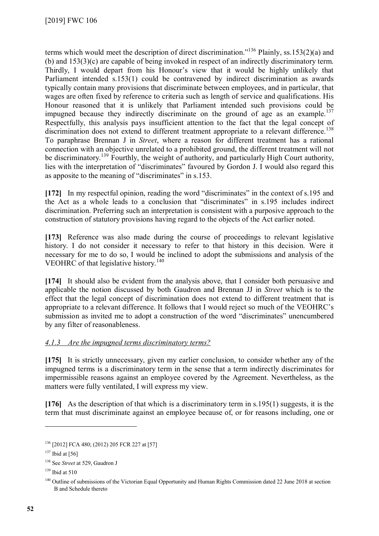terms which would meet the description of direct discrimination."[136](#page-51-0) Plainly, ss.153(2)(a) and (b) and 153(3)(c) are capable of being invoked in respect of an indirectly discriminatory term. Thirdly, I would depart from his Honour's view that it would be highly unlikely that Parliament intended s.153(1) could be contravened by indirect discrimination as awards typically contain many provisions that discriminate between employees, and in particular, that wages are often fixed by reference to criteria such as length of service and qualifications. His Honour reasoned that it is unlikely that Parliament intended such provisions could be impugned because they indirectly discriminate on the ground of age as an example.<sup>[137](#page-51-1)</sup> Respectfully, this analysis pays insufficient attention to the fact that the legal concept of discrimination does not extend to different treatment appropriate to a relevant difference.<sup>[138](#page-51-2)</sup> To paraphrase Brennan J in *Street*, where a reason for different treatment has a rational connection with an objective unrelated to a prohibited ground, the different treatment will not be discriminatory.<sup>[139](#page-51-3)</sup> Fourthly, the weight of authority, and particularly High Court authority, lies with the interpretation of "discriminates" favoured by Gordon J. I would also regard this as apposite to the meaning of "discriminates" in s.153.

**[172]** In my respectful opinion, reading the word "discriminates" in the context of s.195 and the Act as a whole leads to a conclusion that "discriminates" in s.195 includes indirect discrimination. Preferring such an interpretation is consistent with a purposive approach to the construction of statutory provisions having regard to the objects of the Act earlier noted.

**[173]** Reference was also made during the course of proceedings to relevant legislative history. I do not consider it necessary to refer to that history in this decision. Were it necessary for me to do so, I would be inclined to adopt the submissions and analysis of the VEOHRC of that legislative history.<sup>[140](#page-51-4)</sup>

**[174]** It should also be evident from the analysis above, that I consider both persuasive and applicable the notion discussed by both Gaudron and Brennan JJ in *Street* which is to the effect that the legal concept of discrimination does not extend to different treatment that is appropriate to a relevant difference. It follows that I would reject so much of the VEOHRC's submission as invited me to adopt a construction of the word "discriminates" unencumbered by any filter of reasonableness.

# *4.1.3 Are the impugned terms discriminatory terms?*

**[175]** It is strictly unnecessary, given my earlier conclusion, to consider whether any of the impugned terms is a discriminatory term in the sense that a term indirectly discriminates for impermissible reasons against an employee covered by the Agreement. Nevertheless, as the matters were fully ventilated, I will express my view.

**[176]** As the description of that which is a discriminatory term in s.195(1) suggests, it is the term that must discriminate against an employee because of, or for reasons including, one or

<span id="page-51-0"></span><sup>136</sup> [2012] FCA 480; (2012) 205 FCR 227 at [57]

<span id="page-51-1"></span> $137$  Ibid at [56]

<span id="page-51-2"></span><sup>138</sup> See *Street* at 529, Gaudron J

<span id="page-51-3"></span> $139$  Ibid at 510

<span id="page-51-4"></span><sup>&</sup>lt;sup>140</sup> Outline of submissions of the Victorian Equal Opportunity and Human Rights Commission dated 22 June 2018 at section B and Schedule thereto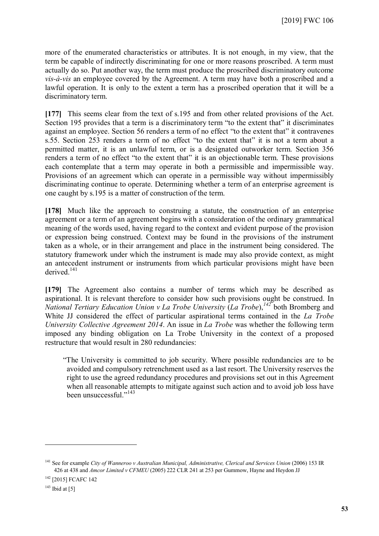more of the enumerated characteristics or attributes. It is not enough, in my view, that the term be capable of indirectly discriminating for one or more reasons proscribed. A term must actually do so. Put another way, the term must produce the proscribed discriminatory outcome *vis-à-vis* an employee covered by the Agreement. A term may have both a proscribed and a lawful operation. It is only to the extent a term has a proscribed operation that it will be a discriminatory term.

**[177]** This seems clear from the text of s.195 and from other related provisions of the Act. Section 195 provides that a term is a discriminatory term "to the extent that" it discriminates against an employee. Section 56 renders a term of no effect "to the extent that" it contravenes s.55. Section 253 renders a term of no effect "to the extent that" it is not a term about a permitted matter, it is an unlawful term, or is a designated outworker term. Section 356 renders a term of no effect "to the extent that" it is an objectionable term. These provisions each contemplate that a term may operate in both a permissible and impermissible way. Provisions of an agreement which can operate in a permissible way without impermissibly discriminating continue to operate. Determining whether a term of an enterprise agreement is one caught by s.195 is a matter of construction of the term.

**[178]** Much like the approach to construing a statute, the construction of an enterprise agreement or a term of an agreement begins with a consideration of the ordinary grammatical meaning of the words used, having regard to the context and evident purpose of the provision or expression being construed. Context may be found in the provisions of the instrument taken as a whole, or in their arrangement and place in the instrument being considered. The statutory framework under which the instrument is made may also provide context, as might an antecedent instrument or instruments from which particular provisions might have been derived.[141](#page-52-0)

**[179]** The Agreement also contains a number of terms which may be described as aspirational. It is relevant therefore to consider how such provisions ought be construed. In *National Tertiary Education Union v La Trobe University* (*La Trobe*), *[142](#page-52-1)* both Bromberg and White JJ considered the effect of particular aspirational terms contained in the *La Trobe University Collective Agreement 2014*. An issue in *La Trobe* was whether the following term imposed any binding obligation on La Trobe University in the context of a proposed restructure that would result in 280 redundancies:

"The University is committed to job security. Where possible redundancies are to be avoided and compulsory retrenchment used as a last resort. The University reserves the right to use the agreed redundancy procedures and provisions set out in this Agreement when all reasonable attempts to mitigate against such action and to avoid job loss have been unsuccessful."<sup>[143](#page-52-2)</sup>

<span id="page-52-0"></span><sup>141</sup> See for example *City of Wanneroo v Australian Municipal, Administrative, Clerical and Services Union* (2006) 153 IR 426 at 438 and *Amcor Limited v CFMEU* (2005) 222 CLR 241 at 253 per Gummow, Hayne and Heydon JJ

<span id="page-52-1"></span><sup>142</sup> [2015] FCAFC 142

<span id="page-52-2"></span> $143$  Ibid at [5]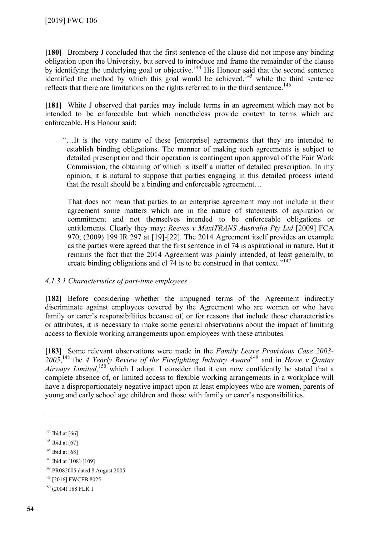**[180]** Bromberg J concluded that the first sentence of the clause did not impose any binding obligation upon the University, but served to introduce and frame the remainder of the clause by identifying the underlying goal or objective.<sup>[144](#page-53-0)</sup> His Honour said that the second sentence identified the method by which this goal would be achieved,<sup>[145](#page-53-1)</sup> while the third sentence reflects that there are limitations on the rights referred to in the third sentence.<sup>[146](#page-53-2)</sup>

**[181]** White J observed that parties may include terms in an agreement which may not be intended to be enforceable but which nonetheless provide context to terms which are enforceable. His Honour said:

"…It is the very nature of these [enterprise] agreements that they are intended to establish binding obligations. The manner of making such agreements is subject to detailed prescription and their operation is contingent upon approval of the Fair Work Commission, the obtaining of which is itself a matter of detailed prescription. In my opinion, it is natural to suppose that parties engaging in this detailed process intend that the result should be a binding and enforceable agreement…

That does not mean that parties to an enterprise agreement may not include in their agreement some matters which are in the nature of statements of aspiration or commitment and not themselves intended to be enforceable obligations or entitlements. Clearly they may: *Reeves v MaxiTRANS Australia Pty Ltd* [2009] FCA 970; (2009) 199 IR 297 at [19]-[22]. The 2014 Agreement itself provides an example as the parties were agreed that the first sentence in cl 74 is aspirational in nature. But it remains the fact that the 2014 Agreement was plainly intended, at least generally, to create binding obligations and cl 74 is to be construed in that context."<sup>[147](#page-53-3)</sup>

## *4.1.3.1 Characteristics of part-time employees*

**[182]** Before considering whether the impugned terms of the Agreement indirectly discriminate against employees covered by the Agreement who are women or who have family or carer's responsibilities because of, or for reasons that include those characteristics or attributes, it is necessary to make some general observations about the impact of limiting access to flexible working arrangements upon employees with these attributes.

**[183]** Some relevant observations were made in the *Family Leave Provisions Case 2003- 2005*, [148](#page-53-4) the *4 Yearly Review of the Firefighting Industry Award*[149](#page-53-5) and in *Howe v Qantas*  Airways Limited,<sup>[150](#page-53-6)</sup> which I adopt. I consider that it can now confidently be stated that a complete absence of, or limited access to flexible working arrangements in a workplace will have a disproportionately negative impact upon at least employees who are women, parents of young and early school age children and those with family or carer's responsibilities.

<span id="page-53-0"></span> $144$  Ibid at [66]

<span id="page-53-1"></span> $145$  Ibid at [67]

<span id="page-53-2"></span> $146$  Ibid at [68]

<span id="page-53-3"></span><sup>&</sup>lt;sup>147</sup> Ibid at [108]-[109]

<span id="page-53-4"></span><sup>148</sup> PR082005 dated 8 August 2005

<span id="page-53-5"></span><sup>&</sup>lt;sup>149</sup> [2016] FWCFB 8025

<span id="page-53-6"></span><sup>150</sup> (2004) 188 FLR 1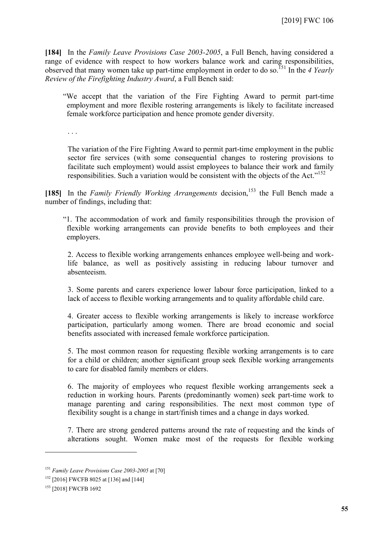**[184]** In the *Family Leave Provisions Case 2003-2005*, a Full Bench, having considered a range of evidence with respect to how workers balance work and caring responsibilities, observed that many women take up part-time employment in order to do so.[151](#page-54-0) In the *4 Yearly Review of the Firefighting Industry Award*, a Full Bench said:

"We accept that the variation of the Fire Fighting Award to permit part-time employment and more flexible rostering arrangements is likely to facilitate increased female workforce participation and hence promote gender diversity.

. . .

The variation of the Fire Fighting Award to permit part-time employment in the public sector fire services (with some consequential changes to rostering provisions to facilitate such employment) would assist employees to balance their work and family responsibilities. Such a variation would be consistent with the objects of the Act."<sup>[152](#page-54-1)</sup>

[185] In the *Family Friendly Working Arrangements* decision,<sup>[153](#page-54-2)</sup> the Full Bench made a number of findings, including that:

"1. The accommodation of work and family responsibilities through the provision of flexible working arrangements can provide benefits to both employees and their employers.

2. Access to flexible working arrangements enhances employee well-being and worklife balance, as well as positively assisting in reducing labour turnover and absenteeism.

3. Some parents and carers experience lower labour force participation, linked to a lack of access to flexible working arrangements and to quality affordable child care.

4. Greater access to flexible working arrangements is likely to increase workforce participation, particularly among women. There are broad economic and social benefits associated with increased female workforce participation.

5. The most common reason for requesting flexible working arrangements is to care for a child or children; another significant group seek flexible working arrangements to care for disabled family members or elders.

6. The majority of employees who request flexible working arrangements seek a reduction in working hours. Parents (predominantly women) seek part-time work to manage parenting and caring responsibilities. The next most common type of flexibility sought is a change in start/finish times and a change in days worked.

7. There are strong gendered patterns around the rate of requesting and the kinds of alterations sought. Women make most of the requests for flexible working

<span id="page-54-0"></span><sup>151</sup> *Family Leave Provisions Case 2003-2005* at [70]

<span id="page-54-1"></span><sup>&</sup>lt;sup>152</sup> [2016] FWCFB 8025 at [136] and [144]

<span id="page-54-2"></span><sup>153</sup> [2018] FWCFB 1692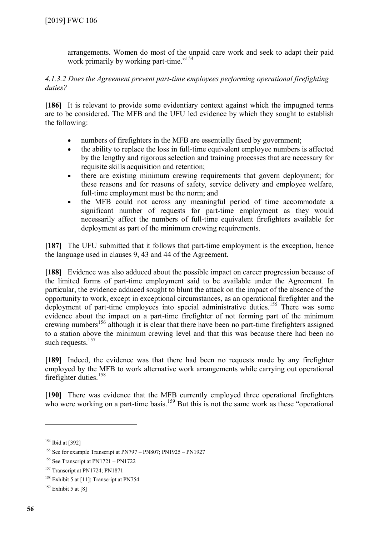arrangements. Women do most of the unpaid care work and seek to adapt their paid work primarily by working part-time."<sup>[154](#page-55-0)</sup>

## *4.1.3.2 Does the Agreement prevent part-time employees performing operational firefighting duties?*

**[186]** It is relevant to provide some evidentiary context against which the impugned terms are to be considered. The MFB and the UFU led evidence by which they sought to establish the following:

- numbers of firefighters in the MFB are essentially fixed by government;
- the ability to replace the loss in full-time equivalent employee numbers is affected by the lengthy and rigorous selection and training processes that are necessary for requisite skills acquisition and retention;
- there are existing minimum crewing requirements that govern deployment; for these reasons and for reasons of safety, service delivery and employee welfare, full-time employment must be the norm; and
- the MFB could not across any meaningful period of time accommodate a significant number of requests for part-time employment as they would necessarily affect the numbers of full-time equivalent firefighters available for deployment as part of the minimum crewing requirements.

**[187]** The UFU submitted that it follows that part-time employment is the exception, hence the language used in clauses 9, 43 and 44 of the Agreement.

**[188]** Evidence was also adduced about the possible impact on career progression because of the limited forms of part-time employment said to be available under the Agreement. In particular, the evidence adduced sought to blunt the attack on the impact of the absence of the opportunity to work, except in exceptional circumstances, as an operational firefighter and the deployment of part-time employees into special administrative duties.<sup>[155](#page-55-1)</sup> There was some evidence about the impact on a part-time firefighter of not forming part of the minimum crewing numbers<sup>[156](#page-55-2)</sup> although it is clear that there have been no part-time firefighters assigned to a station above the minimum crewing level and that this was because there had been no such requests. $157$ 

**[189]** Indeed, the evidence was that there had been no requests made by any firefighter employed by the MFB to work alternative work arrangements while carrying out operational firefighter duties.<sup>[158](#page-55-4)</sup>

**[190]** There was evidence that the MFB currently employed three operational firefighters who were working on a part-time basis.<sup>[159](#page-55-5)</sup> But this is not the same work as these "operational"

<span id="page-55-0"></span><sup>&</sup>lt;sup>154</sup> Ibid at [392]

<span id="page-55-1"></span><sup>155</sup> See for example Transcript at PN797 – PN807; PN1925 – PN1927

<span id="page-55-2"></span><sup>&</sup>lt;sup>156</sup> See Transcript at PN1721 – PN1722

<span id="page-55-3"></span><sup>&</sup>lt;sup>157</sup> Transcript at PN1724; PN1871

<span id="page-55-4"></span><sup>&</sup>lt;sup>158</sup> Exhibit 5 at [11]; Transcript at PN754

<span id="page-55-5"></span> $159$  Exhibit 5 at [8]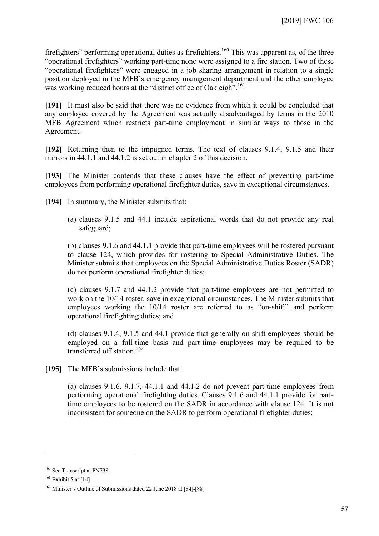firefighters" performing operational duties as firefighters.<sup>[160](#page-56-0)</sup> This was apparent as, of the three "operational firefighters" working part-time none were assigned to a fire station. Two of these "operational firefighters" were engaged in a job sharing arrangement in relation to a single position deployed in the MFB's emergency management department and the other employee was working reduced hours at the "district office of Oakleigh".<sup>[161](#page-56-1)</sup>

**[191]** It must also be said that there was no evidence from which it could be concluded that any employee covered by the Agreement was actually disadvantaged by terms in the 2010 MFB Agreement which restricts part-time employment in similar ways to those in the Agreement.

**[192]** Returning then to the impugned terms. The text of clauses 9.1.4, 9.1.5 and their mirrors in 44.1.1 and 44.1.2 is set out in chapter 2 of this decision.

**[193]** The Minister contends that these clauses have the effect of preventing part-time employees from performing operational firefighter duties, save in exceptional circumstances.

**[194]** In summary, the Minister submits that:

(a) clauses 9.1.5 and 44.1 include aspirational words that do not provide any real safeguard;

(b) clauses 9.1.6 and 44.1.1 provide that part-time employees will be rostered pursuant to clause 124, which provides for rostering to Special Administrative Duties. The Minister submits that employees on the Special Administrative Duties Roster (SADR) do not perform operational firefighter duties;

(c) clauses 9.1.7 and 44.1.2 provide that part-time employees are not permitted to work on the 10/14 roster, save in exceptional circumstances. The Minister submits that employees working the 10/14 roster are referred to as "on-shift" and perform operational firefighting duties; and

(d) clauses 9.1.4, 9.1.5 and 44.1 provide that generally on-shift employees should be employed on a full-time basis and part-time employees may be required to be transferred off station.<sup>[162](#page-56-2)</sup>

**[195]** The MFB's submissions include that:

(a) clauses 9.1.6. 9.1.7, 44.1.1 and 44.1.2 do not prevent part-time employees from performing operational firefighting duties. Clauses 9.1.6 and 44.1.1 provide for parttime employees to be rostered on the SADR in accordance with clause 124. It is not inconsistent for someone on the SADR to perform operational firefighter duties;

<span id="page-56-0"></span><sup>160</sup> See Transcript at PN738

<span id="page-56-1"></span> $161$  Exhibit 5 at [14]

<span id="page-56-2"></span><sup>162</sup> Minister's Outline of Submissions dated 22 June 2018 at [84]-[88]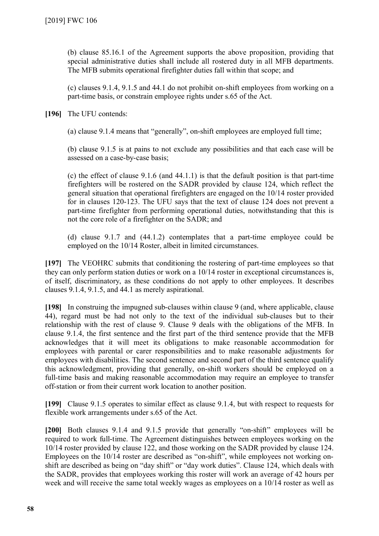(b) clause 85.16.1 of the Agreement supports the above proposition, providing that special administrative duties shall include all rostered duty in all MFB departments. The MFB submits operational firefighter duties fall within that scope; and

(c) clauses 9.1.4, 9.1.5 and 44.1 do not prohibit on-shift employees from working on a part-time basis, or constrain employee rights under s.65 of the Act.

**[196]** The UFU contends:

(a) clause 9.1.4 means that "generally", on-shift employees are employed full time;

(b) clause 9.1.5 is at pains to not exclude any possibilities and that each case will be assessed on a case-by-case basis;

(c) the effect of clause 9.1.6 (and 44.1.1) is that the default position is that part-time firefighters will be rostered on the SADR provided by clause 124, which reflect the general situation that operational firefighters are engaged on the 10/14 roster provided for in clauses 120-123. The UFU says that the text of clause 124 does not prevent a part-time firefighter from performing operational duties, notwithstanding that this is not the core role of a firefighter on the SADR; and

(d) clause 9.1.7 and (44.1.2) contemplates that a part-time employee could be employed on the 10/14 Roster, albeit in limited circumstances.

**[197]** The VEOHRC submits that conditioning the rostering of part-time employees so that they can only perform station duties or work on a 10/14 roster in exceptional circumstances is, of itself, discriminatory, as these conditions do not apply to other employees. It describes clauses 9.1.4, 9.1.5, and 44.1 as merely aspirational.

**[198]** In construing the impugned sub-clauses within clause 9 (and, where applicable, clause 44), regard must be had not only to the text of the individual sub-clauses but to their relationship with the rest of clause 9. Clause 9 deals with the obligations of the MFB. In clause 9.1.4, the first sentence and the first part of the third sentence provide that the MFB acknowledges that it will meet its obligations to make reasonable accommodation for employees with parental or carer responsibilities and to make reasonable adjustments for employees with disabilities. The second sentence and second part of the third sentence qualify this acknowledgment, providing that generally, on-shift workers should be employed on a full-time basis and making reasonable accommodation may require an employee to transfer off-station or from their current work location to another position.

**[199]** Clause 9.1.5 operates to similar effect as clause 9.1.4, but with respect to requests for flexible work arrangements under s.65 of the Act.

[200] Both clauses 9.1.4 and 9.1.5 provide that generally "on-shift" employees will be required to work full-time. The Agreement distinguishes between employees working on the 10/14 roster provided by clause 122, and those working on the SADR provided by clause 124. Employees on the 10/14 roster are described as "on-shift", while employees not working onshift are described as being on "day shift" or "day work duties". Clause 124, which deals with the SADR, provides that employees working this roster will work an average of 42 hours per week and will receive the same total weekly wages as employees on a 10/14 roster as well as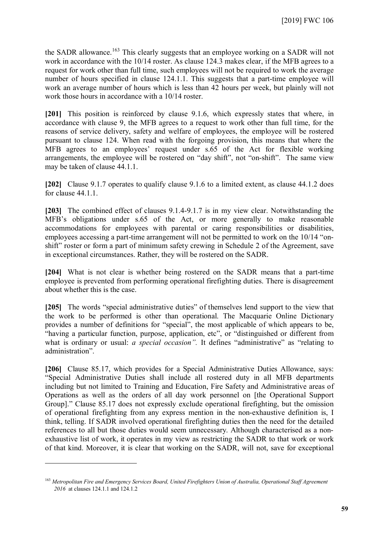the SADR allowance.<sup>[163](#page-58-0)</sup> This clearly suggests that an employee working on a SADR will not work in accordance with the 10/14 roster. As clause 124.3 makes clear, if the MFB agrees to a request for work other than full time, such employees will not be required to work the average number of hours specified in clause 124.1.1. This suggests that a part-time employee will work an average number of hours which is less than 42 hours per week, but plainly will not work those hours in accordance with a 10/14 roster.

**[201]** This position is reinforced by clause 9.1.6, which expressly states that where, in accordance with clause 9, the MFB agrees to a request to work other than full time, for the reasons of service delivery, safety and welfare of employees, the employee will be rostered pursuant to clause 124. When read with the forgoing provision, this means that where the MFB agrees to an employees' request under s.65 of the Act for flexible working arrangements, the employee will be rostered on "day shift", not "on-shift". The same view may be taken of clause 44.1.1.

**[202]** Clause 9.1.7 operates to qualify clause 9.1.6 to a limited extent, as clause 44.1.2 does for clause 44.1.1.

**[203]** The combined effect of clauses 9.1.4-9.1.7 is in my view clear. Notwithstanding the MFB's obligations under s.65 of the Act, or more generally to make reasonable accommodations for employees with parental or caring responsibilities or disabilities, employees accessing a part-time arrangement will not be permitted to work on the 10/14 "onshift" roster or form a part of minimum safety crewing in Schedule 2 of the Agreement, save in exceptional circumstances. Rather, they will be rostered on the SADR.

**[204]** What is not clear is whether being rostered on the SADR means that a part-time employee is prevented from performing operational firefighting duties. There is disagreement about whether this is the case.

**[205]** The words "special administrative duties" of themselves lend support to the view that the work to be performed is other than operational. The Macquarie Online Dictionary provides a number of definitions for "special", the most applicable of which appears to be, "having a particular function, purpose, application, etc", or "distinguished or different from what is ordinary or usual: *a special occasion*". It defines "administrative" as "relating to administration".

[206] Clause 85.17, which provides for a Special Administrative Duties Allowance, says: "Special Administrative Duties shall include all rostered duty in all MFB departments including but not limited to Training and Education, Fire Safety and Administrative areas of Operations as well as the orders of all day work personnel on [the Operational Support Group]." Clause 85.17 does not expressly exclude operational firefighting, but the omission of operational firefighting from any express mention in the non-exhaustive definition is, I think, telling. If SADR involved operational firefighting duties then the need for the detailed references to all but those duties would seem unnecessary. Although characterised as a nonexhaustive list of work, it operates in my view as restricting the SADR to that work or work of that kind. Moreover, it is clear that working on the SADR, will not, save for exceptional

<span id="page-58-0"></span><sup>163</sup> *Metropolitan Fire and Emergency Services Board, United Firefighters Union of Australia, Operational Staff Agreement 2016* at clauses 124.1.1 and 124.1.2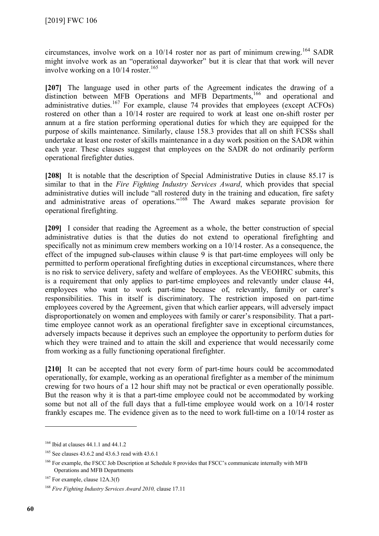circumstances, involve work on a  $10/14$  roster nor as part of minimum crewing.<sup>[164](#page-59-0)</sup> SADR might involve work as an "operational dayworker" but it is clear that that work will never involve working on a  $10/14$  roster.<sup>[165](#page-59-1)</sup>

**[207]** The language used in other parts of the Agreement indicates the drawing of a distinction between MFB Operations and MFB Departments,<sup>[166](#page-59-2)</sup> and operational and administrative duties.<sup>[167](#page-59-3)</sup> For example, clause 74 provides that employees (except ACFOs) rostered on other than a 10/14 roster are required to work at least one on-shift roster per annum at a fire station performing operational duties for which they are equipped for the purpose of skills maintenance. Similarly, clause 158.3 provides that all on shift FCSSs shall undertake at least one roster of skills maintenance in a day work position on the SADR within each year. These clauses suggest that employees on the SADR do not ordinarily perform operational firefighter duties.

[208] It is notable that the description of Special Administrative Duties in clause 85.17 is similar to that in the *Fire Fighting Industry Services Award*, which provides that special administrative duties will include "all rostered duty in the training and education, fire safety and administrative areas of operations."<sup>[168](#page-59-4)</sup> The Award makes separate provision for operational firefighting.

**[209]** I consider that reading the Agreement as a whole, the better construction of special administrative duties is that the duties do not extend to operational firefighting and specifically not as minimum crew members working on a 10/14 roster. As a consequence, the effect of the impugned sub-clauses within clause 9 is that part-time employees will only be permitted to perform operational firefighting duties in exceptional circumstances, where there is no risk to service delivery, safety and welfare of employees. As the VEOHRC submits, this is a requirement that only applies to part-time employees and relevantly under clause 44, employees who want to work part-time because of, relevantly, family or carer's responsibilities. This in itself is discriminatory. The restriction imposed on part-time employees covered by the Agreement, given that which earlier appears, will adversely impact disproportionately on women and employees with family or carer's responsibility. That a parttime employee cannot work as an operational firefighter save in exceptional circumstances, adversely impacts because it deprives such an employee the opportunity to perform duties for which they were trained and to attain the skill and experience that would necessarily come from working as a fully functioning operational firefighter.

**[210]** It can be accepted that not every form of part-time hours could be accommodated operationally, for example, working as an operational firefighter as a member of the minimum crewing for two hours of a 12 hour shift may not be practical or even operationally possible. But the reason why it is that a part-time employee could not be accommodated by working some but not all of the full days that a full-time employee would work on a 10/14 roster frankly escapes me. The evidence given as to the need to work full-time on a 10/14 roster as

<span id="page-59-0"></span><sup>&</sup>lt;sup>164</sup> Ibid at clauses 44.1.1 and 44.1.2

<span id="page-59-1"></span><sup>&</sup>lt;sup>165</sup> See clauses 43.6.2 and 43.6.3 read with 43.6.1

<span id="page-59-2"></span><sup>&</sup>lt;sup>166</sup> For example, the FSCC Job Description at Schedule 8 provides that FSCC's communicate internally with MFB Operations and MFB Departments

<span id="page-59-3"></span> $167$  For example, clause 12A.3(f)

<span id="page-59-4"></span><sup>168</sup> *Fire Fighting Industry Services Award 2010,* clause 17.11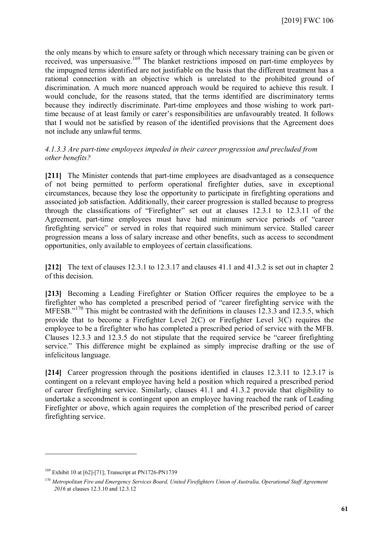the only means by which to ensure safety or through which necessary training can be given or received, was unpersuasive.<sup>[169](#page-60-0)</sup> The blanket restrictions imposed on part-time employees by the impugned terms identified are not justifiable on the basis that the different treatment has a rational connection with an objective which is unrelated to the prohibited ground of discrimination. A much more nuanced approach would be required to achieve this result. I would conclude, for the reasons stated, that the terms identified are discriminatory terms because they indirectly discriminate. Part-time employees and those wishing to work parttime because of at least family or carer's responsibilities are unfavourably treated. It follows that I would not be satisfied by reason of the identified provisions that the Agreement does not include any unlawful terms.

### *4.1.3.3 Are part-time employees impeded in their career progression and precluded from other benefits?*

**[211]** The Minister contends that part-time employees are disadvantaged as a consequence of not being permitted to perform operational firefighter duties, save in exceptional circumstances, because they lose the opportunity to participate in firefighting operations and associated job satisfaction. Additionally, their career progression is stalled because to progress through the classifications of "Firefighter" set out at clauses 12.3.1 to 12.3.11 of the Agreement, part-time employees must have had minimum service periods of "career firefighting service" or served in roles that required such minimum service. Stalled career progression means a loss of salary increase and other benefits, such as access to secondment opportunities, only available to employees of certain classifications.

**[212]** The text of clauses 12.3.1 to 12.3.17 and clauses 41.1 and 41.3.2 is set out in chapter 2 of this decision.

**[213]** Becoming a Leading Firefighter or Station Officer requires the employee to be a firefighter who has completed a prescribed period of "career firefighting service with the MFESB."<sup>[170](#page-60-1)</sup> This might be contrasted with the definitions in clauses 12.3.3 and 12.3.5, which provide that to become a Firefighter Level 2(C) or Firefighter Level 3(C) requires the employee to be a firefighter who has completed a prescribed period of service with the MFB. Clauses 12.3.3 and 12.3.5 do not stipulate that the required service be "career firefighting service." This difference might be explained as simply imprecise drafting or the use of infelicitous language.

**[214]** Career progression through the positions identified in clauses 12.3.11 to 12.3.17 is contingent on a relevant employee having held a position which required a prescribed period of career firefighting service. Similarly, clauses 41.1 and 41.3.2 provide that eligibility to undertake a secondment is contingent upon an employee having reached the rank of Leading Firefighter or above, which again requires the completion of the prescribed period of career firefighting service.

<span id="page-60-1"></span><span id="page-60-0"></span><sup>169</sup> Exhibit 10 at [62]-[71]; Transcript at PN1726-PN1739

<sup>170</sup> *Metropolitan Fire and Emergency Services Board, United Firefighters Union of Australia, Operational Staff Agreement 2016* at clauses 12.3.10 and 12.3.12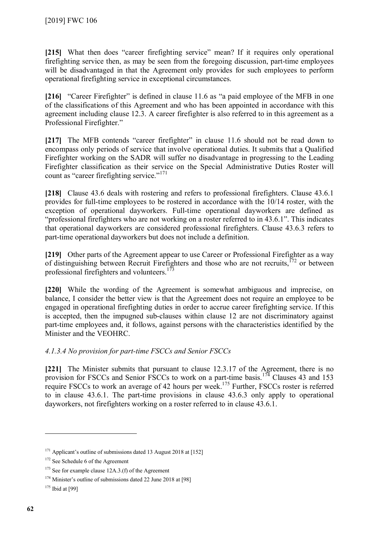**[215]** What then does "career firefighting service" mean? If it requires only operational firefighting service then, as may be seen from the foregoing discussion, part-time employees will be disadvantaged in that the Agreement only provides for such employees to perform operational firefighting service in exceptional circumstances.

**[216]** "Career Firefighter" is defined in clause 11.6 as "a paid employee of the MFB in one of the classifications of this Agreement and who has been appointed in accordance with this agreement including clause 12.3. A career firefighter is also referred to in this agreement as a Professional Firefighter."

[217] The MFB contends "career firefighter" in clause 11.6 should not be read down to encompass only periods of service that involve operational duties. It submits that a Qualified Firefighter working on the SADR will suffer no disadvantage in progressing to the Leading Firefighter classification as their service on the Special Administrative Duties Roster will count as "career firefighting service." [171](#page-61-0)

[218] Clause 43.6 deals with rostering and refers to professional firefighters. Clause 43.6.1 provides for full-time employees to be rostered in accordance with the 10/14 roster, with the exception of operational dayworkers. Full-time operational dayworkers are defined as "professional firefighters who are not working on a roster referred to in 43.6.1". This indicates that operational dayworkers are considered professional firefighters. Clause 43.6.3 refers to part-time operational dayworkers but does not include a definition.

**[219]** Other parts of the Agreement appear to use Career or Professional Firefighter as a way of distinguishing between Recruit Firefighters and those who are not recruits,[172](#page-61-1) or between professional firefighters and volunteers.<sup>[173](#page-61-2)</sup>

**[220]** While the wording of the Agreement is somewhat ambiguous and imprecise, on balance, I consider the better view is that the Agreement does not require an employee to be engaged in operational firefighting duties in order to accrue career firefighting service. If this is accepted, then the impugned sub-clauses within clause 12 are not discriminatory against part-time employees and, it follows, against persons with the characteristics identified by the Minister and the VEOHRC.

# *4.1.3.4 No provision for part-time FSCCs and Senior FSCCs*

**[221]** The Minister submits that pursuant to clause 12.3.17 of the Agreement, there is no provision for FSCCs and Senior FSCCs to work on a part-time basis.<sup>[174](#page-61-3)</sup> Clauses 43 and 153 require FSCCs to work an average of 42 hours per week.<sup>[175](#page-61-4)</sup> Further, FSCCs roster is referred to in clause 43.6.1. The part-time provisions in clause 43.6.3 only apply to operational dayworkers, not firefighters working on a roster referred to in clause 43.6.1.

<span id="page-61-1"></span><span id="page-61-0"></span><sup>&</sup>lt;sup>171</sup> Applicant's outline of submissions dated 13 August 2018 at [152]

<sup>&</sup>lt;sup>172</sup> See Schedule 6 of the Agreement

<span id="page-61-2"></span> $173$  See for example clause 12A.3.(f) of the Agreement

<span id="page-61-3"></span><sup>&</sup>lt;sup>174</sup> Minister's outline of submissions dated 22 June 2018 at [98]

<span id="page-61-4"></span> $175$  Ibid at [99]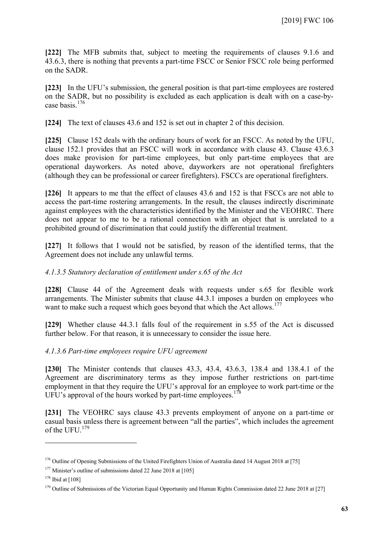**[222]** The MFB submits that, subject to meeting the requirements of clauses 9.1.6 and 43.6.3, there is nothing that prevents a part-time FSCC or Senior FSCC role being performed on the SADR.

**[223]** In the UFU's submission, the general position is that part-time employees are rostered on the SADR, but no possibility is excluded as each application is dealt with on a case-bycase basis.[176](#page-62-0)

**[224]** The text of clauses 43.6 and 152 is set out in chapter 2 of this decision.

**[225]** Clause 152 deals with the ordinary hours of work for an FSCC. As noted by the UFU, clause 152.1 provides that an FSCC will work in accordance with clause 43. Clause 43.6.3 does make provision for part-time employees, but only part-time employees that are operational dayworkers. As noted above, dayworkers are not operational firefighters (although they can be professional or career firefighters). FSCCs are operational firefighters.

**[226]** It appears to me that the effect of clauses 43.6 and 152 is that FSCCs are not able to access the part-time rostering arrangements. In the result, the clauses indirectly discriminate against employees with the characteristics identified by the Minister and the VEOHRC. There does not appear to me to be a rational connection with an object that is unrelated to a prohibited ground of discrimination that could justify the differential treatment.

**[227]** It follows that I would not be satisfied, by reason of the identified terms, that the Agreement does not include any unlawful terms.

#### *4.1.3.5 Statutory declaration of entitlement under s.65 of the Act*

**[228]** Clause 44 of the Agreement deals with requests under s.65 for flexible work arrangements. The Minister submits that clause 44.3.1 imposes a burden on employees who want to make such a request which goes beyond that which the Act allows.<sup>[177](#page-62-1)</sup>

**[229]** Whether clause 44.3.1 falls foul of the requirement in s.55 of the Act is discussed further below. For that reason, it is unnecessary to consider the issue here.

*4.1.3.6 Part-time employees require UFU agreement*

**[230]** The Minister contends that clauses 43.3, 43.4, 43.6.3, 138.4 and 138.4.1 of the Agreement are discriminatory terms as they impose further restrictions on part-time employment in that they require the UFU's approval for an employee to work part-time or the UFU's approval of the hours worked by part-time employees.<sup>[178](#page-62-2)</sup>

**[231]** The VEOHRC says clause 43.3 prevents employment of anyone on a part-time or casual basis unless there is agreement between "all the parties", which includes the agreement of the UFU.<sup>[179](#page-62-3)</sup>

<span id="page-62-0"></span><sup>&</sup>lt;sup>176</sup> Outline of Opening Submissions of the United Firefighters Union of Australia dated 14 August 2018 at [75]

<span id="page-62-1"></span><sup>&</sup>lt;sup>177</sup> Minister's outline of submissions dated 22 June 2018 at [105]

<span id="page-62-2"></span> $178$  Ibid at [108]

<span id="page-62-3"></span><sup>&</sup>lt;sup>179</sup> Outline of Submissions of the Victorian Equal Opportunity and Human Rights Commission dated 22 June 2018 at [27]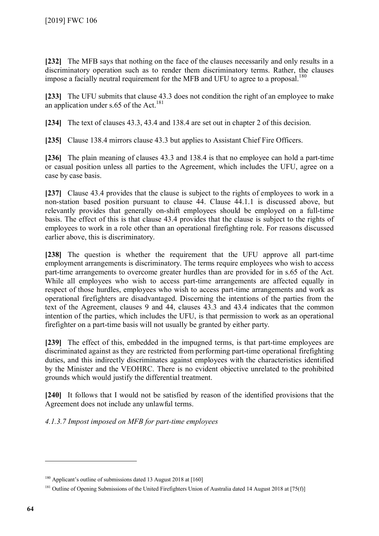**[232]** The MFB says that nothing on the face of the clauses necessarily and only results in a discriminatory operation such as to render them discriminatory terms. Rather, the clauses impose a facially neutral requirement for the MFB and UFU to agree to a proposal.<sup>[180](#page-63-0)</sup>

**[233]** The UFU submits that clause 43.3 does not condition the right of an employee to make an application under s.65 of the Act.<sup>[181](#page-63-1)</sup>

**[234]** The text of clauses 43.3, 43.4 and 138.4 are set out in chapter 2 of this decision.

[235] Clause 138.4 mirrors clause 43.3 but applies to Assistant Chief Fire Officers.

**[236]** The plain meaning of clauses 43.3 and 138.4 is that no employee can hold a part-time or casual position unless all parties to the Agreement, which includes the UFU, agree on a case by case basis.

**[237]** Clause 43.4 provides that the clause is subject to the rights of employees to work in a non-station based position pursuant to clause 44. Clause 44.1.1 is discussed above, but relevantly provides that generally on-shift employees should be employed on a full-time basis. The effect of this is that clause 43.4 provides that the clause is subject to the rights of employees to work in a role other than an operational firefighting role. For reasons discussed earlier above, this is discriminatory.

**[238]** The question is whether the requirement that the UFU approve all part-time employment arrangements is discriminatory. The terms require employees who wish to access part-time arrangements to overcome greater hurdles than are provided for in s.65 of the Act. While all employees who wish to access part-time arrangements are affected equally in respect of those hurdles, employees who wish to access part-time arrangements and work as operational firefighters are disadvantaged. Discerning the intentions of the parties from the text of the Agreement, clauses 9 and 44, clauses 43.3 and 43.4 indicates that the common intention of the parties, which includes the UFU, is that permission to work as an operational firefighter on a part-time basis will not usually be granted by either party.

**[239]** The effect of this, embedded in the impugned terms, is that part-time employees are discriminated against as they are restricted from performing part-time operational firefighting duties, and this indirectly discriminates against employees with the characteristics identified by the Minister and the VEOHRC. There is no evident objective unrelated to the prohibited grounds which would justify the differential treatment.

**[240]** It follows that I would not be satisfied by reason of the identified provisions that the Agreement does not include any unlawful terms.

*4.1.3.7 Impost imposed on MFB for part-time employees*

<span id="page-63-0"></span><sup>&</sup>lt;sup>180</sup> Applicant's outline of submissions dated 13 August 2018 at [160]

<span id="page-63-1"></span><sup>&</sup>lt;sup>181</sup> Outline of Opening Submissions of the United Firefighters Union of Australia dated 14 August 2018 at [75(f)]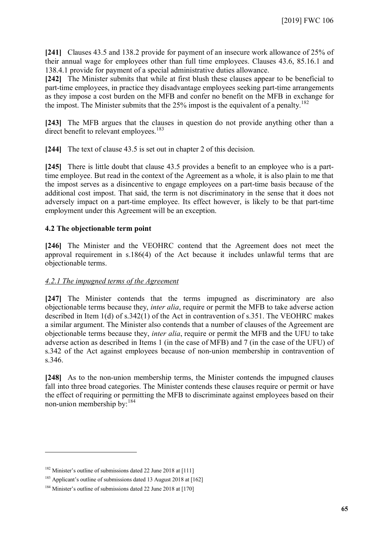**[241]** Clauses 43.5 and 138.2 provide for payment of an insecure work allowance of 25% of their annual wage for employees other than full time employees. Clauses 43.6, 85.16.1 and 138.4.1 provide for payment of a special administrative duties allowance.

**[242]** The Minister submits that while at first blush these clauses appear to be beneficial to part-time employees, in practice they disadvantage employees seeking part-time arrangements as they impose a cost burden on the MFB and confer no benefit on the MFB in exchange for the impost. The Minister submits that the 25% impost is the equivalent of a penalty.<sup>[182](#page-64-0)</sup>

**[243]** The MFB argues that the clauses in question do not provide anything other than a direct benefit to relevant employees.<sup>[183](#page-64-1)</sup>

**[244]** The text of clause 43.5 is set out in chapter 2 of this decision.

**[245]** There is little doubt that clause 43.5 provides a benefit to an employee who is a parttime employee. But read in the context of the Agreement as a whole, it is also plain to me that the impost serves as a disincentive to engage employees on a part-time basis because of the additional cost impost. That said, the term is not discriminatory in the sense that it does not adversely impact on a part-time employee. Its effect however, is likely to be that part-time employment under this Agreement will be an exception.

### **4.2 The objectionable term point**

**[246]** The Minister and the VEOHRC contend that the Agreement does not meet the approval requirement in s.186(4) of the Act because it includes unlawful terms that are objectionable terms.

#### *4.2.1 The impugned terms of the Agreement*

**[247]** The Minister contends that the terms impugned as discriminatory are also objectionable terms because they, *inter alia*, require or permit the MFB to take adverse action described in Item 1(d) of s.342(1) of the Act in contravention of s.351. The VEOHRC makes a similar argument. The Minister also contends that a number of clauses of the Agreement are objectionable terms because they, *inter alia*, require or permit the MFB and the UFU to take adverse action as described in Items 1 (in the case of MFB) and 7 (in the case of the UFU) of s.342 of the Act against employees because of non-union membership in contravention of s.346.

**[248]** As to the non-union membership terms, the Minister contends the impugned clauses fall into three broad categories. The Minister contends these clauses require or permit or have the effect of requiring or permitting the MFB to discriminate against employees based on their non-union membership by:[184](#page-64-2)

<span id="page-64-0"></span><sup>&</sup>lt;sup>182</sup> Minister's outline of submissions dated 22 June 2018 at [111]

<span id="page-64-1"></span><sup>&</sup>lt;sup>183</sup> Applicant's outline of submissions dated 13 August 2018 at [162]

<span id="page-64-2"></span><sup>&</sup>lt;sup>184</sup> Minister's outline of submissions dated 22 June 2018 at [170]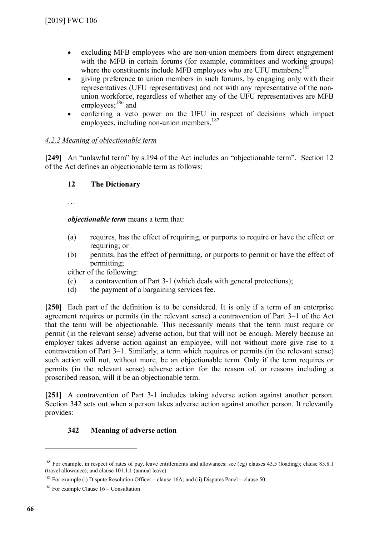- excluding MFB employees who are non-union members from direct engagement with the MFB in certain forums (for example, committees and working groups) where the constituents include MFB employees who are UFU members;<sup>[185](#page-65-0)</sup>
- giving preference to union members in such forums, by engaging only with their representatives (UFU representatives) and not with any representative of the nonunion workforce, regardless of whether any of the UFU representatives are MFB employees;<sup>[186](#page-65-1)</sup> and
- conferring a veto power on the UFU in respect of decisions which impact employees, including non-union members. $187$

# *4.2.2 Meaning of objectionable term*

**[249]** An "unlawful term" by s.194 of the Act includes an "objectionable term". Section 12 of the Act defines an objectionable term as follows:

# **12 The Dictionary**

…

*objectionable term* means a term that:

- (a) requires, has the effect of requiring, or purports to require or have the effect or requiring; or
- (b) permits, has the effect of permitting, or purports to permit or have the effect of permitting;

either of the following:

- (c) a contravention of Part 3-1 (which deals with general protections);
- (d) the payment of a bargaining services fee.

**[250]** Each part of the definition is to be considered. It is only if a term of an enterprise agreement requires or permits (in the relevant sense) a contravention of Part 3–1 of the Act that the term will be objectionable. This necessarily means that the term must require or permit (in the relevant sense) adverse action, but that will not be enough. Merely because an employer takes adverse action against an employee, will not without more give rise to a contravention of Part 3–1. Similarly, a term which requires or permits (in the relevant sense) such action will not, without more, be an objectionable term. Only if the term requires or permits (in the relevant sense) adverse action for the reason of, or reasons including a proscribed reason, will it be an objectionable term.

**[251]** A contravention of Part 3-1 includes taking adverse action against another person. Section 342 sets out when a person takes adverse action against another person. It relevantly provides:

## **342 Meaning of adverse action**

<span id="page-65-0"></span><sup>&</sup>lt;sup>185</sup> For example, in respect of rates of pay, leave entitlements and allowances: see (eg) clauses 43.5 (loading); clause 85.8.1 (travel allowance); and clause 101.1.1 (annual leave)

<span id="page-65-1"></span><sup>&</sup>lt;sup>186</sup> For example (i) Dispute Resolution Officer – clause 16A; and (ii) Disputes Panel – clause 50

<span id="page-65-2"></span> $187$  For example Clause  $16$  – Consultation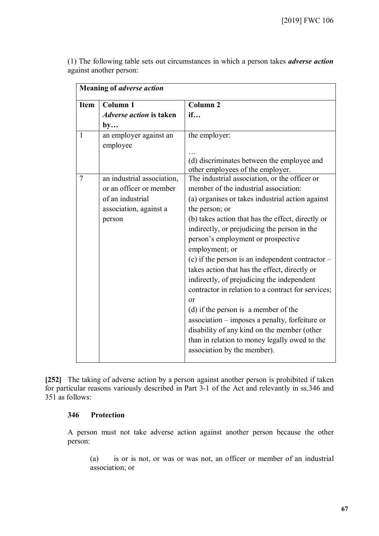| Item         | Column <sub>1</sub>                                                                                           | <b>Column 2</b>                                                                                                                                                                                                                                                                                                                                                                                                                                                                                                                                                                                                                                                                                                                                                     |
|--------------|---------------------------------------------------------------------------------------------------------------|---------------------------------------------------------------------------------------------------------------------------------------------------------------------------------------------------------------------------------------------------------------------------------------------------------------------------------------------------------------------------------------------------------------------------------------------------------------------------------------------------------------------------------------------------------------------------------------------------------------------------------------------------------------------------------------------------------------------------------------------------------------------|
|              | <i><b>Adverse action is taken</b></i>                                                                         | if                                                                                                                                                                                                                                                                                                                                                                                                                                                                                                                                                                                                                                                                                                                                                                  |
|              | by                                                                                                            |                                                                                                                                                                                                                                                                                                                                                                                                                                                                                                                                                                                                                                                                                                                                                                     |
| $\mathbf{1}$ | an employer against an<br>employee                                                                            | the employer:                                                                                                                                                                                                                                                                                                                                                                                                                                                                                                                                                                                                                                                                                                                                                       |
|              |                                                                                                               | (d) discriminates between the employee and<br>other employees of the employer.                                                                                                                                                                                                                                                                                                                                                                                                                                                                                                                                                                                                                                                                                      |
| 7            | an industrial association,<br>or an officer or member<br>of an industrial<br>association, against a<br>person | The industrial association, or the officer or<br>member of the industrial association:<br>(a) organises or takes industrial action against<br>the person; or<br>(b) takes action that has the effect, directly or<br>indirectly, or prejudicing the person in the<br>person's employment or prospective<br>employment; or<br>(c) if the person is an independent contractor $-$<br>takes action that has the effect, directly or<br>indirectly, of prejudicing the independent<br>contractor in relation to a contract for services;<br>or<br>(d) if the person is a member of the<br>association – imposes a penalty, forfeiture or<br>disability of any kind on the member (other<br>than in relation to money legally owed to the<br>association by the member). |

(1) The following table sets out circumstances in which a person takes *adverse action* against another person:

**[252]** The taking of adverse action by a person against another person is prohibited if taken for particular reasons variously described in Part 3-1 of the Act and relevantly in ss.346 and 351 as follows:

### **346 Protection**

A person must not take adverse action against another person because the other person:

(a) is or is not, or was or was not, an officer or member of an industrial association; or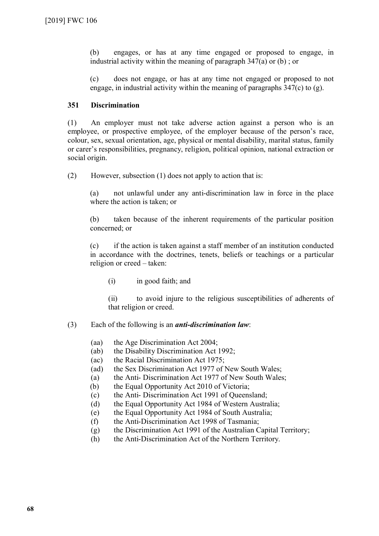(b) engages, or has at any time engaged or proposed to engage, in industrial activity within the meaning of paragraph 347(a) or (b) ; or

(c) does not engage, or has at any time not engaged or proposed to not engage, in industrial activity within the meaning of paragraphs  $347(c)$  to (g).

## **351 Discrimination**

(1) An employer must not take adverse action against a person who is an employee, or prospective employee, of the employer because of the person's race, colour, sex, sexual orientation, age, physical or mental disability, marital status, family or carer's responsibilities, pregnancy, religion, political opinion, national extraction or social origin.

(2) However, subsection (1) does not apply to action that is:

(a) not unlawful under any anti-discrimination law in force in the place where the action is taken; or

(b) taken because of the inherent requirements of the particular position concerned; or

(c) if the action is taken against a staff member of an institution conducted in accordance with the doctrines, tenets, beliefs or teachings or a particular religion or creed – taken:

(i) in good faith; and

(ii) to avoid injure to the religious susceptibilities of adherents of that religion or creed.

## (3) Each of the following is an *anti-discrimination law*:

- (aa) the Age Discrimination Act 2004;
- (ab) the Disability Discrimination Act 1992;
- (ac) the Racial Discrimination Act 1975;
- (ad) the Sex Discrimination Act 1977 of New South Wales;
- (a) the Anti- Discrimination Act 1977 of New South Wales;
- (b) the Equal Opportunity Act 2010 of Victoria;
- (c) the Anti- Discrimination Act 1991 of Queensland;
- (d) the Equal Opportunity Act 1984 of Western Australia;
- (e) the Equal Opportunity Act 1984 of South Australia;
- (f) the Anti-Discrimination Act 1998 of Tasmania;
- (g) the Discrimination Act 1991 of the Australian Capital Territory;
- (h) the Anti-Discrimination Act of the Northern Territory.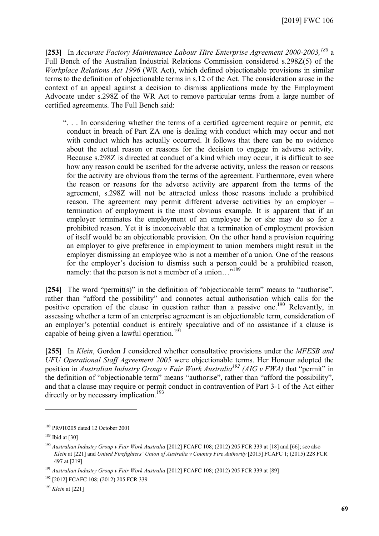**[253]** In *Accurate Factory Maintenance Labour Hire Enterprise Agreement 2000-2003,[188](#page-68-0)* a Full Bench of the Australian Industrial Relations Commission considered s.298Z(5) of the *Workplace Relations Act 1996* (WR Act), which defined objectionable provisions in similar terms to the definition of objectionable terms in s.12 of the Act. The consideration arose in the context of an appeal against a decision to dismiss applications made by the Employment Advocate under s.298Z of the WR Act to remove particular terms from a large number of certified agreements. The Full Bench said:

". . . In considering whether the terms of a certified agreement require or permit, etc conduct in breach of Part ZA one is dealing with conduct which may occur and not with conduct which has actually occurred. It follows that there can be no evidence about the actual reason or reasons for the decision to engage in adverse activity. Because s.298Z is directed at conduct of a kind which may occur, it is difficult to see how any reason could be ascribed for the adverse activity, unless the reason or reasons for the activity are obvious from the terms of the agreement. Furthermore, even where the reason or reasons for the adverse activity are apparent from the terms of the agreement, s.298Z will not be attracted unless those reasons include a prohibited reason. The agreement may permit different adverse activities by an employer – termination of employment is the most obvious example. It is apparent that if an employer terminates the employment of an employee he or she may do so for a prohibited reason. Yet it is inconceivable that a termination of employment provision of itself would be an objectionable provision. On the other hand a provision requiring an employer to give preference in employment to union members might result in the employer dismissing an employee who is not a member of a union. One of the reasons for the employer's decision to dismiss such a person could be a prohibited reason, namely: that the person is not a member of a union..."<sup>[189](#page-68-1)</sup>

**[254]** The word "permit(s)" in the definition of "objectionable term" means to "authorise", rather than "afford the possibility" and connotes actual authorisation which calls for the positive operation of the clause in question rather than a passive one.<sup>[190](#page-68-2)</sup> Relevantly, in assessing whether a term of an enterprise agreement is an objectionable term, consideration of an employer's potential conduct is entirely speculative and of no assistance if a clause is capable of being given a lawful operation.<sup>[191](#page-68-3)</sup>

**[255]** In *Klein*, Gordon J considered whether consultative provisions under the *MFESB and UFU Operational Staff Agreement 2005* were objectionable terms. Her Honour adopted the position in *Australian Industry Group v Fair Work Australia[192](#page-68-4) (AIG v FWA)* that "permit" in the definition of "objectionable term" means "authorise", rather than "afford the possibility", and that a clause may require or permit conduct in contravention of Part 3-1 of the Act either directly or by necessary implication.<sup>[193](#page-68-5)</sup>

<span id="page-68-0"></span><sup>188</sup> PR910205 dated 12 October 2001

<span id="page-68-2"></span><span id="page-68-1"></span> $189$  Ibid at [30]

<sup>&</sup>lt;sup>190</sup> Australian Industry Group v Fair Work Australia [2012] FCAFC 108; (2012) 205 FCR 339 at [18] and [66]; see also *Klein* at [221] and *United Firefighters' Union of Australia v Country Fire Authority* [2015] FCAFC 1; (2015) 228 FCR 497 at [219]

<span id="page-68-3"></span><sup>&</sup>lt;sup>191</sup> Australian Industry Group v Fair Work Australia [2012] FCAFC 108; (2012) 205 FCR 339 at [89]

<span id="page-68-4"></span><sup>192</sup> [2012] FCAFC 108; (2012) 205 FCR 339

<span id="page-68-5"></span><sup>193</sup> *Klein* at [221]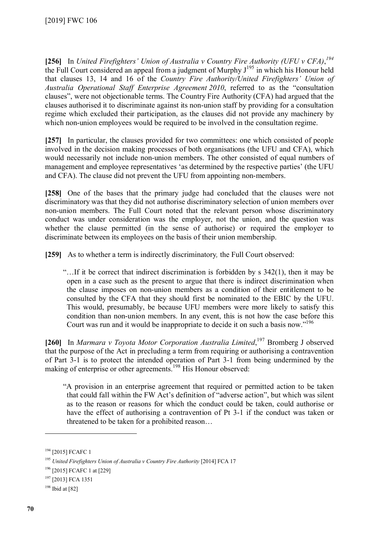**[256]** In *United Firefighters' Union of Australia v Country Fire Authority (UFU v CFA)*, *[194](#page-69-0)* the Full Court considered an appeal from a judgment of Murphy  $J^{195}$  $J^{195}$  $J^{195}$  in which his Honour held that clauses 13, 14 and 16 of the *Country Fire Authority/United Firefighters' Union of Australia Operational Staff Enterprise Agreement 2010*, referred to as the "consultation clauses", were not objectionable terms. The Country Fire Authority (CFA) had argued that the clauses authorised it to discriminate against its non-union staff by providing for a consultation regime which excluded their participation, as the clauses did not provide any machinery by which non-union employees would be required to be involved in the consultation regime.

**[257]** In particular, the clauses provided for two committees: one which consisted of people involved in the decision making processes of both organisations (the UFU and CFA), which would necessarily not include non-union members. The other consisted of equal numbers of management and employee representatives 'as determined by the respective parties' (the UFU and CFA). The clause did not prevent the UFU from appointing non-members.

**[258]** One of the bases that the primary judge had concluded that the clauses were not discriminatory was that they did not authorise discriminatory selection of union members over non-union members. The Full Court noted that the relevant person whose discriminatory conduct was under consideration was the employer, not the union, and the question was whether the clause permitted (in the sense of authorise) or required the employer to discriminate between its employees on the basis of their union membership.

**[259]** As to whether a term is indirectly discriminatory*,* the Full Court observed:

"…If it be correct that indirect discrimination is forbidden by s 342(1), then it may be open in a case such as the present to argue that there is indirect discrimination when the clause imposes on non-union members as a condition of their entitlement to be consulted by the CFA that they should first be nominated to the EBIC by the UFU. This would, presumably, be because UFU members were more likely to satisfy this condition than non-union members. In any event, this is not how the case before this Court was run and it would be inappropriate to decide it on such a basis now."[196](#page-69-2)

**[260]** In *Marmara v Toyota Motor Corporation Australia Limited*, [197](#page-69-3) Bromberg J observed that the purpose of the Act in precluding a term from requiring or authorising a contravention of Part 3-1 is to protect the intended operation of Part 3-1 from being undermined by the making of enterprise or other agreements.<sup>[198](#page-69-4)</sup> His Honour observed:

"A provision in an enterprise agreement that required or permitted action to be taken that could fall within the FW Act's definition of "adverse action", but which was silent as to the reason or reasons for which the conduct could be taken, could authorise or have the effect of authorising a contravention of Pt 3-1 if the conduct was taken or threatened to be taken for a prohibited reason…

<span id="page-69-0"></span><sup>&</sup>lt;sup>194</sup> [2015] FCAFC 1

<span id="page-69-1"></span><sup>&</sup>lt;sup>195</sup> *United Firefighters Union of Australia v Country Fire Authority* [2014] FCA 17

<span id="page-69-2"></span><sup>196</sup> [2015] FCAFC 1 at [229]

<span id="page-69-3"></span><sup>197</sup> [2013] FCA 1351

<span id="page-69-4"></span><sup>198</sup> Ibid at [82]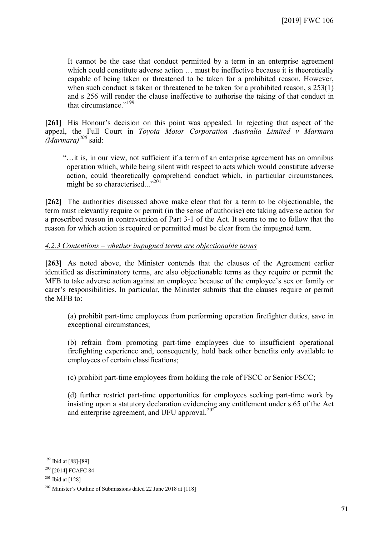It cannot be the case that conduct permitted by a term in an enterprise agreement which could constitute adverse action  $\ldots$  must be ineffective because it is theoretically capable of being taken or threatened to be taken for a prohibited reason. However, when such conduct is taken or threatened to be taken for a prohibited reason, s 253(1) and s 256 will render the clause ineffective to authorise the taking of that conduct in that circumstance."[199](#page-70-0)

**[261]** His Honour's decision on this point was appealed. In rejecting that aspect of the appeal, the Full Court in *Toyota Motor Corporation Australia Limited v Marmara (Marmara)[200](#page-70-1)* said:

"…it is, in our view, not sufficient if a term of an enterprise agreement has an omnibus operation which, while being silent with respect to acts which would constitute adverse action, could theoretically comprehend conduct which, in particular circumstances, might be so characterised..."<sup>[201](#page-70-2)</sup>

**[262]** The authorities discussed above make clear that for a term to be objectionable, the term must relevantly require or permit (in the sense of authorise) etc taking adverse action for a proscribed reason in contravention of Part 3-1 of the Act. It seems to me to follow that the reason for which action is required or permitted must be clear from the impugned term.

### *4.2.3 Contentions – whether impugned terms are objectionable terms*

**[263]** As noted above, the Minister contends that the clauses of the Agreement earlier identified as discriminatory terms, are also objectionable terms as they require or permit the MFB to take adverse action against an employee because of the employee's sex or family or carer's responsibilities. In particular, the Minister submits that the clauses require or permit the MFB to:

(a) prohibit part-time employees from performing operation firefighter duties, save in exceptional circumstances;

(b) refrain from promoting part-time employees due to insufficient operational firefighting experience and, consequently, hold back other benefits only available to employees of certain classifications;

(c) prohibit part-time employees from holding the role of FSCC or Senior FSCC;

(d) further restrict part-time opportunities for employees seeking part-time work by insisting upon a statutory declaration evidencing any entitlement under s.65 of the Act and enterprise agreement, and UFU approval.<sup>[202](#page-70-3)</sup>

<span id="page-70-0"></span><sup>199</sup> Ibid at [88]-[89]

<span id="page-70-1"></span><sup>&</sup>lt;sup>200</sup> [2014] FCAFC 84

<span id="page-70-2"></span> $201$  Ibid at [128]

<span id="page-70-3"></span><sup>202</sup> Minister's Outline of Submissions dated 22 June 2018 at [118]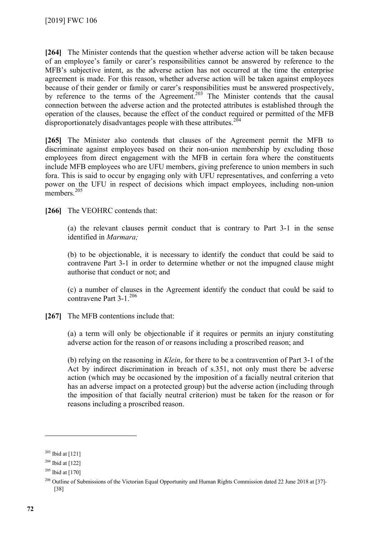**[264]** The Minister contends that the question whether adverse action will be taken because of an employee's family or carer's responsibilities cannot be answered by reference to the MFB's subjective intent, as the adverse action has not occurred at the time the enterprise agreement is made. For this reason, whether adverse action will be taken against employees because of their gender or family or carer's responsibilities must be answered prospectively, by reference to the terms of the Agreement.<sup>[203](#page-71-0)</sup> The Minister contends that the causal connection between the adverse action and the protected attributes is established through the operation of the clauses, because the effect of the conduct required or permitted of the MFB disproportionately disadvantages people with these attributes.<sup>[204](#page-71-1)</sup>

**[265]** The Minister also contends that clauses of the Agreement permit the MFB to discriminate against employees based on their non-union membership by excluding those employees from direct engagement with the MFB in certain fora where the constituents include MFB employees who are UFU members, giving preference to union members in such fora. This is said to occur by engaging only with UFU representatives, and conferring a veto power on the UFU in respect of decisions which impact employees, including non-union members $^{205}$  $^{205}$  $^{205}$ 

**[266]** The VEOHRC contends that:

(a) the relevant clauses permit conduct that is contrary to Part 3-1 in the sense identified in *Marmara;*

(b) to be objectionable, it is necessary to identify the conduct that could be said to contravene Part 3-1 in order to determine whether or not the impugned clause might authorise that conduct or not; and

(c) a number of clauses in the Agreement identify the conduct that could be said to contravene Part  $3-1$ <sup>[206](#page-71-3)</sup>

**[267]** The MFB contentions include that:

(a) a term will only be objectionable if it requires or permits an injury constituting adverse action for the reason of or reasons including a proscribed reason; and

(b) relying on the reasoning in *Klein*, for there to be a contravention of Part 3-1 of the Act by indirect discrimination in breach of s.351, not only must there be adverse action (which may be occasioned by the imposition of a facially neutral criterion that has an adverse impact on a protected group) but the adverse action (including through the imposition of that facially neutral criterion) must be taken for the reason or for reasons including a proscribed reason.

<span id="page-71-0"></span> $203$  Ibid at [121]

<span id="page-71-1"></span> $204$  Ibid at [122]

<span id="page-71-2"></span> $205$  Ibid at [170]

<span id="page-71-3"></span><sup>&</sup>lt;sup>206</sup> Outline of Submissions of the Victorian Equal Opportunity and Human Rights Commission dated 22 June 2018 at [37]-[38]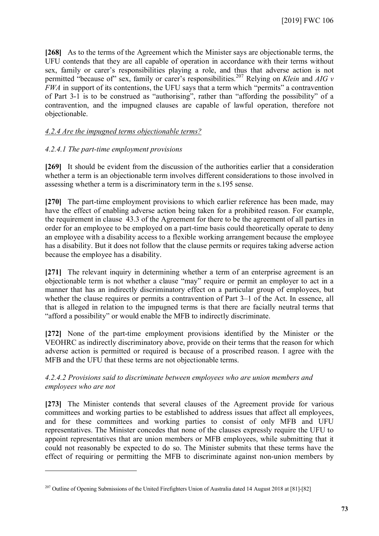**[268]** As to the terms of the Agreement which the Minister says are objectionable terms, the UFU contends that they are all capable of operation in accordance with their terms without sex, family or carer's responsibilities playing a role, and thus that adverse action is not permitted "because of" sex, family or carer's responsibilities.<sup>[207](#page-72-0)</sup> Relying on *Klein* and *AIG v FWA* in support of its contentions, the UFU says that a term which "permits" a contravention of Part 3-1 is to be construed as "authorising", rather than "affording the possibility" of a contravention, and the impugned clauses are capable of lawful operation, therefore not objectionable.

#### *4.2.4 Are the impugned terms objectionable terms?*

### *4.2.4.1 The part-time employment provisions*

 $\overline{a}$ 

**[269]** It should be evident from the discussion of the authorities earlier that a consideration whether a term is an objectionable term involves different considerations to those involved in assessing whether a term is a discriminatory term in the s.195 sense.

**[270]** The part-time employment provisions to which earlier reference has been made, may have the effect of enabling adverse action being taken for a prohibited reason. For example, the requirement in clause 43.3 of the Agreement for there to be the agreement of all parties in order for an employee to be employed on a part-time basis could theoretically operate to deny an employee with a disability access to a flexible working arrangement because the employee has a disability. But it does not follow that the clause permits or requires taking adverse action because the employee has a disability.

**[271]** The relevant inquiry in determining whether a term of an enterprise agreement is an objectionable term is not whether a clause "may" require or permit an employer to act in a manner that has an indirectly discriminatory effect on a particular group of employees, but whether the clause requires or permits a contravention of Part 3–1 of the Act. In essence, all that is alleged in relation to the impugned terms is that there are facially neutral terms that "afford a possibility" or would enable the MFB to indirectly discriminate.

**[272]** None of the part-time employment provisions identified by the Minister or the VEOHRC as indirectly discriminatory above, provide on their terms that the reason for which adverse action is permitted or required is because of a proscribed reason. I agree with the MFB and the UFU that these terms are not objectionable terms.

### *4.2.4.2 Provisions said to discriminate between employees who are union members and employees who are not*

**[273]** The Minister contends that several clauses of the Agreement provide for various committees and working parties to be established to address issues that affect all employees, and for these committees and working parties to consist of only MFB and UFU representatives. The Minister concedes that none of the clauses expressly require the UFU to appoint representatives that are union members or MFB employees, while submitting that it could not reasonably be expected to do so. The Minister submits that these terms have the effect of requiring or permitting the MFB to discriminate against non-union members by

<span id="page-72-0"></span><sup>&</sup>lt;sup>207</sup> Outline of Opening Submissions of the United Firefighters Union of Australia dated 14 August 2018 at [81]-[82]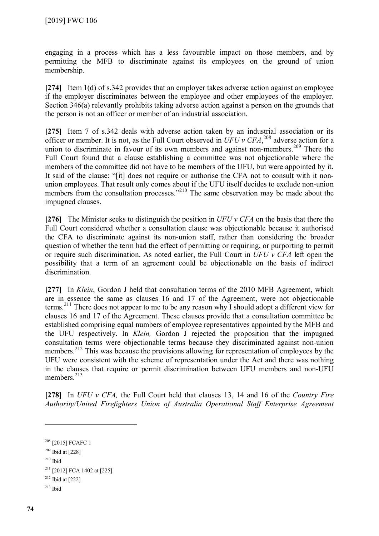engaging in a process which has a less favourable impact on those members, and by permitting the MFB to discriminate against its employees on the ground of union membership.

**[274]** Item 1(d) of s.342 provides that an employer takes adverse action against an employee if the employer discriminates between the employee and other employees of the employer. Section 346(a) relevantly prohibits taking adverse action against a person on the grounds that the person is not an officer or member of an industrial association.

**[275]** Item 7 of s.342 deals with adverse action taken by an industrial association or its officer or member. It is not, as the Full Court observed in  $UFU$   $v$   $CHA$ ,<sup>[208](#page-73-0)</sup> adverse action for a union to discriminate in favour of its own members and against non-members.<sup>[209](#page-73-1)</sup> There the Full Court found that a clause establishing a committee was not objectionable where the members of the committee did not have to be members of the UFU, but were appointed by it. It said of the clause: "[it] does not require or authorise the CFA not to consult with it nonunion employees. That result only comes about if the UFU itself decides to exclude non-union members from the consultation processes."<sup>[210](#page-73-2)</sup> The same observation may be made about the impugned clauses.

**[276]** The Minister seeks to distinguish the position in *UFU v CFA* on the basis that there the Full Court considered whether a consultation clause was objectionable because it authorised the CFA to discriminate against its non-union staff, rather than considering the broader question of whether the term had the effect of permitting or requiring, or purporting to permit or require such discrimination. As noted earlier, the Full Court in *UFU v CFA* left open the possibility that a term of an agreement could be objectionable on the basis of indirect discrimination.

**[277]** In *Klein*, Gordon J held that consultation terms of the 2010 MFB Agreement, which are in essence the same as clauses 16 and 17 of the Agreement, were not objectionable terms.<sup>[211](#page-73-3)</sup> There does not appear to me to be any reason why I should adopt a different view for clauses 16 and 17 of the Agreement. These clauses provide that a consultation committee be established comprising equal numbers of employee representatives appointed by the MFB and the UFU respectively. In *Klein,* Gordon J rejected the proposition that the impugned consultation terms were objectionable terms because they discriminated against non-union members.<sup>[212](#page-73-4)</sup> This was because the provisions allowing for representation of employees by the UFU were consistent with the scheme of representation under the Act and there was nothing in the clauses that require or permit discrimination between UFU members and non-UFU members.<sup>[213](#page-73-5)</sup>

**[278]** In *UFU v CFA,* the Full Court held that clauses 13, 14 and 16 of the *Country Fire Authority/United Firefighters Union of Australia Operational Staff Enterprise Agreement* 

 $210$  Ibid

- <span id="page-73-4"></span> $212$  Ibid at [222]
- <span id="page-73-5"></span> $213$  Ibid

<span id="page-73-0"></span><sup>&</sup>lt;sup>208</sup> [2015] FCAFC 1

<span id="page-73-2"></span><span id="page-73-1"></span> $209$  Ibid at [228]

<span id="page-73-3"></span> $211$  [2012] FCA 1402 at [225]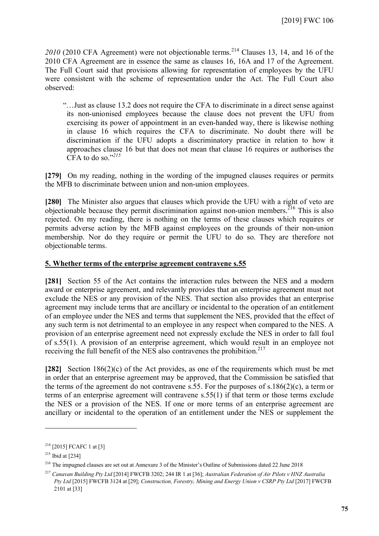2010 (2010 CFA Agreement) were not objectionable terms.<sup>[214](#page-74-0)</sup> Clauses 13, 14, and 16 of the 2010 CFA Agreement are in essence the same as clauses 16, 16A and 17 of the Agreement. The Full Court said that provisions allowing for representation of employees by the UFU were consistent with the scheme of representation under the Act. The Full Court also observed:

"…Just as clause 13.2 does not require the CFA to discriminate in a direct sense against its non-unionised employees because the clause does not prevent the UFU from exercising its power of appointment in an even-handed way, there is likewise nothing in clause 16 which requires the CFA to discriminate. No doubt there will be discrimination if the UFU adopts a discriminatory practice in relation to how it approaches clause 16 but that does not mean that clause 16 requires or authorises the CFA to do so." *[215](#page-74-1)*

**[279]** On my reading, nothing in the wording of the impugned clauses requires or permits the MFB to discriminate between union and non-union employees.

**[280]** The Minister also argues that clauses which provide the UFU with a right of veto are objectionable because they permit discrimination against non-union members.<sup>[216](#page-74-2)</sup> This is also rejected. On my reading, there is nothing on the terms of these clauses which requires or permits adverse action by the MFB against employees on the grounds of their non-union membership. Nor do they require or permit the UFU to do so. They are therefore not objectionable terms.

### **5. Whether terms of the enterprise agreement contravene s.55**

**[281]** Section 55 of the Act contains the interaction rules between the NES and a modern award or enterprise agreement, and relevantly provides that an enterprise agreement must not exclude the NES or any provision of the NES. That section also provides that an enterprise agreement may include terms that are ancillary or incidental to the operation of an entitlement of an employee under the NES and terms that supplement the NES, provided that the effect of any such term is not detrimental to an employee in any respect when compared to the NES. A provision of an enterprise agreement need not expressly exclude the NES in order to fall foul of s.55(1). A provision of an enterprise agreement, which would result in an employee not receiving the full benefit of the NES also contravenes the prohibition.<sup>[217](#page-74-3)</sup>

**[282]** Section 186(2)(c) of the Act provides, as one of the requirements which must be met in order that an enterprise agreement may be approved, that the Commission be satisfied that the terms of the agreement do not contravene s.55. For the purposes of s.186(2)(c), a term or terms of an enterprise agreement will contravene s.55(1) if that term or those terms exclude the NES or a provision of the NES. If one or more terms of an enterprise agreement are ancillary or incidental to the operation of an entitlement under the NES or supplement the

<span id="page-74-0"></span> $214$  [2015] FCAFC 1 at [3]

<span id="page-74-1"></span> $215$  Ibid at [234]

<span id="page-74-2"></span><sup>216</sup> The impugned clauses are set out at Annexure 3 of the Minister's Outline of Submissions dated 22 June 2018

<span id="page-74-3"></span><sup>217</sup> *Canavan Building Pty Ltd* [2014] FWCFB 3202; 244 IR 1 at [36]; *Australian Federation of Air Pilots v HNZ Australia Pty Ltd* [2015] FWCFB 3124 at [29]; *Construction, Forestry, Mining and Energy Union v CSRP Pty Ltd* [2017] FWCFB 2101 at [33]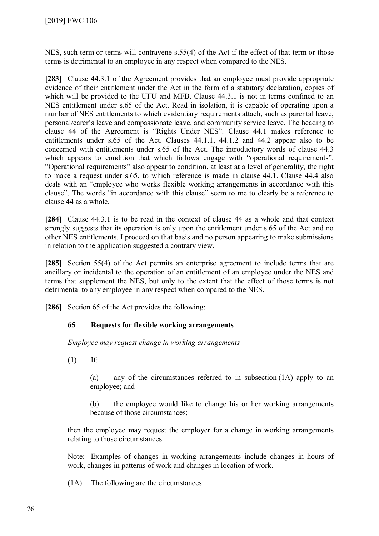NES, such term or terms will contravene s.55(4) of the Act if the effect of that term or those terms is detrimental to an employee in any respect when compared to the NES.

**[283]** Clause 44.3.1 of the Agreement provides that an employee must provide appropriate evidence of their entitlement under the Act in the form of a statutory declaration, copies of which will be provided to the UFU and MFB. Clause 44.3.1 is not in terms confined to an NES entitlement under s.65 of the Act. Read in isolation, it is capable of operating upon a number of NES entitlements to which evidentiary requirements attach, such as parental leave, personal/carer's leave and compassionate leave, and community service leave. The heading to clause 44 of the Agreement is "Rights Under NES". Clause 44.1 makes reference to entitlements under s.65 of the Act. Clauses 44.1.1, 44.1.2 and 44.2 appear also to be concerned with entitlements under s.65 of the Act. The introductory words of clause 44.3 which appears to condition that which follows engage with "operational requirements". "Operational requirements" also appear to condition, at least at a level of generality, the right to make a request under s.65, to which reference is made in clause 44.1. Clause 44.4 also deals with an "employee who works flexible working arrangements in accordance with this clause". The words "in accordance with this clause" seem to me to clearly be a reference to clause 44 as a whole.

**[284]** Clause 44.3.1 is to be read in the context of clause 44 as a whole and that context strongly suggests that its operation is only upon the entitlement under s.65 of the Act and no other NES entitlements. I proceed on that basis and no person appearing to make submissions in relation to the application suggested a contrary view.

**[285]** Section 55(4) of the Act permits an enterprise agreement to include terms that are ancillary or incidental to the operation of an entitlement of an employee under the NES and terms that supplement the NES, but only to the extent that the effect of those terms is not detrimental to any employee in any respect when compared to the NES.

**[286]** Section 65 of the Act provides the following:

### **65 Requests for flexible working arrangements**

*Employee may request change in working arrangements* 

 $(1)$  If:

(a) any of the circumstances referred to in subsection (1A) apply to an employee; and

(b) the employee would like to change his or her working arrangements because of those circumstances;

then the employee may request the employer for a change in working arrangements relating to those circumstances.

Note: Examples of changes in working arrangements include changes in hours of work, changes in patterns of work and changes in location of work.

(1A) The following are the circumstances: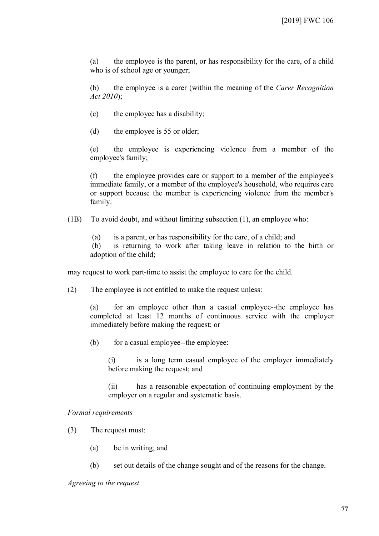(a) the employee is the parent, or has responsibility for the care, of a child who is of school age or younger;

(b) the employee is a carer (within the meaning of the *Carer Recognition Act 2010*);

- (c) the employee has a disability;
- (d) the employee is 55 or older;

(e) the employee is experiencing violence from a member of the employee's family;

(f) the employee provides care or support to a member of the employee's immediate family, or a member of the employee's household, who requires care or support because the member is experiencing violence from the member's family.

(1B) To avoid doubt, and without limiting [subsection](http://www.austlii.edu.au/cgi-bin/viewdoc/au/legis/cth/consol_act/fwa2009114/s26.html#subsection) (1), an employee who:

(a) is a parent, or has responsibility for the care, of a child; and

(b) is returning to work after taking leave in relation to the birth or adoption of the child;

may request to work part-time to assist the employee to care for the child.

(2) The employee is not entitled to make the request unless:

(a) for an employee other than a casual employee--the employee has completed at least 12 months of continuous service with the employer immediately before making the request; or

(b) for a casual employee--the employee:

(i) is a long term casual employee of the employer immediately before making the request; and

(ii) has a reasonable expectation of continuing employment by the employer on a regular and systematic basis.

#### *Formal requirements*

- (3) The request must:
	- (a) be in writing; and
	- (b) set out details of the change sought and of the reasons for the change.

*Agreeing to the request*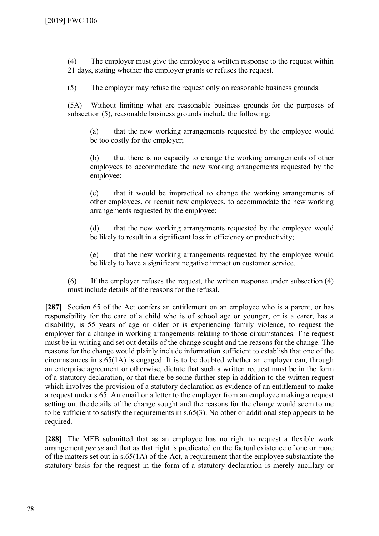(4) The employer must give the [employee a](http://www.austlii.edu.au/cgi-bin/viewdoc/au/legis/cth/consol_act/fwa2009114/s768bc.html#employee_a) written response to the request within 21 days, stating whether the employer grants or refuses the request.

(5) The employer may refuse the request only on reasonable business grounds.

(5A) Without limiting what are reasonable business grounds for the purposes of [subsection](http://www.austlii.edu.au/cgi-bin/viewdoc/au/legis/cth/consol_act/fwa2009114/s26.html#subsection) (5), reasonable business grounds include the following:

(a) that the new working arrangements requested by the employee would be too costly for the employer;

(b) that there is no capacity to change the working arrangements of other employees to accommodate the new working arrangements requested by the employee;

(c) that it would be impractical to change the working arrangements of other employees, or recruit new employees, to accommodate the new working arrangements requested by the employee;

(d) that the new working arrangements requested by the employee would be likely to result in a significant loss in efficiency or productivity;

(e) that the new working arrangements requested by the employee would be likely to have a significant negative impact on customer service.

(6) If the employer refuses the request, the written response under [subsection](http://www.austlii.edu.au/cgi-bin/viewdoc/au/legis/cth/consol_act/fwa2009114/s26.html#subsection) (4) must include details of the reasons for the refusal.

**[287]** Section 65 of the Act confers an entitlement on an employee who is a parent, or has responsibility for the care of a child who is of school age or younger, or is a carer, has a disability, is 55 years of age or older or is experiencing family violence, to request the employer for a change in working arrangements relating to those circumstances. The request must be in writing and set out details of the change sought and the reasons for the change. The reasons for the change would plainly include information sufficient to establish that one of the circumstances in s.65(1A) is engaged. It is to be doubted whether an employer can, through an enterprise agreement or otherwise, dictate that such a written request must be in the form of a statutory declaration, or that there be some further step in addition to the written request which involves the provision of a statutory declaration as evidence of an entitlement to make a request under s.65. An email or a letter to the employer from an employee making a request setting out the details of the change sought and the reasons for the change would seem to me to be sufficient to satisfy the requirements in s.65(3). No other or additional step appears to be required.

**[288]** The MFB submitted that as an employee has no right to request a flexible work arrangement *per se* and that as that right is predicated on the factual existence of one or more of the matters set out in s.65(1A) of the Act, a requirement that the employee substantiate the statutory basis for the request in the form of a statutory declaration is merely ancillary or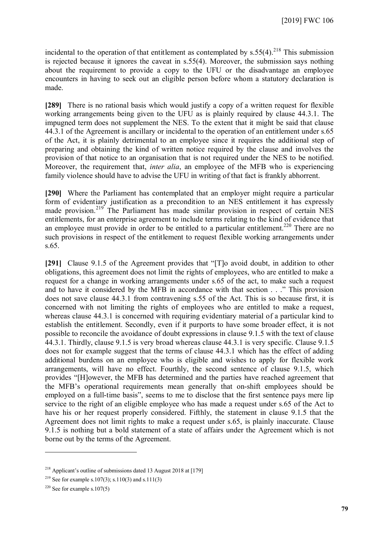incidental to the operation of that entitlement as contemplated by  $s.55(4)$ .<sup>[218](#page-78-0)</sup> This submission is rejected because it ignores the caveat in s.55(4). Moreover, the submission says nothing about the requirement to provide a copy to the UFU or the disadvantage an employee encounters in having to seek out an eligible person before whom a statutory declaration is made.

**[289]** There is no rational basis which would justify a copy of a written request for flexible working arrangements being given to the UFU as is plainly required by clause 44.3.1. The impugned term does not supplement the NES. To the extent that it might be said that clause 44.3.1 of the Agreement is ancillary or incidental to the operation of an entitlement under s.65 of the Act, it is plainly detrimental to an employee since it requires the additional step of preparing and obtaining the kind of written notice required by the clause and involves the provision of that notice to an organisation that is not required under the NES to be notified. Moreover, the requirement that, *inter alia*, an employee of the MFB who is experiencing family violence should have to advise the UFU in writing of that fact is frankly abhorrent.

**[290]** Where the Parliament has contemplated that an employer might require a particular form of evidentiary justification as a precondition to an NES entitlement it has expressly made provision.<sup>[219](#page-78-1)</sup> The Parliament has made similar provision in respect of certain NES entitlements, for an enterprise agreement to include terms relating to the kind of evidence that an employee must provide in order to be entitled to a particular entitlement.<sup>[220](#page-78-2)</sup> There are no such provisions in respect of the entitlement to request flexible working arrangements under s.65.

**[291]** Clause 9.1.5 of the Agreement provides that "[T]o avoid doubt, in addition to other obligations, this agreement does not limit the rights of employees, who are entitled to make a request for a change in working arrangements under s.65 of the act, to make such a request and to have it considered by the MFB in accordance with that section . . ." This provision does not save clause 44.3.1 from contravening s.55 of the Act. This is so because first, it is concerned with not limiting the rights of employees who are entitled to make a request, whereas clause 44.3.1 is concerned with requiring evidentiary material of a particular kind to establish the entitlement. Secondly, even if it purports to have some broader effect, it is not possible to reconcile the avoidance of doubt expressions in clause 9.1.5 with the text of clause 44.3.1. Thirdly, clause 9.1.5 is very broad whereas clause 44.3.1 is very specific. Clause 9.1.5 does not for example suggest that the terms of clause 44.3.1 which has the effect of adding additional burdens on an employee who is eligible and wishes to apply for flexible work arrangements, will have no effect. Fourthly, the second sentence of clause 9.1.5, which provides "[H]owever, the MFB has determined and the parties have reached agreement that the MFB's operational requirements mean generally that on-shift employees should be employed on a full-time basis", seems to me to disclose that the first sentence pays mere lip service to the right of an eligible employee who has made a request under s.65 of the Act to have his or her request properly considered. Fifthly, the statement in clause 9.1.5 that the Agreement does not limit rights to make a request under s.65, is plainly inaccurate. Clause 9.1.5 is nothing but a bold statement of a state of affairs under the Agreement which is not borne out by the terms of the Agreement.

<span id="page-78-0"></span><sup>&</sup>lt;sup>218</sup> Applicant's outline of submissions dated 13 August 2018 at  $[179]$ 

<span id="page-78-1"></span><sup>&</sup>lt;sup>219</sup> See for example s.107(3); s.110(3) and s.111(3)

<span id="page-78-2"></span><sup>&</sup>lt;sup>220</sup> See for example s.107(5)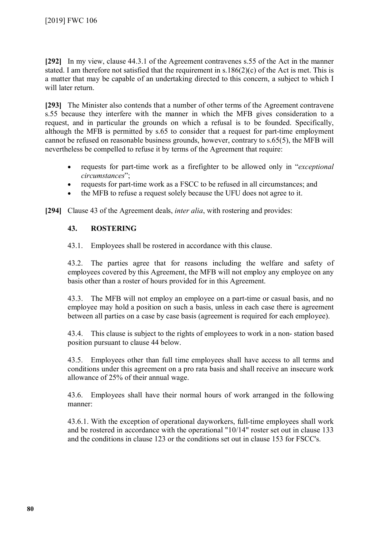**[292]** In my view, clause 44.3.1 of the Agreement contravenes s.55 of the Act in the manner stated. I am therefore not satisfied that the requirement in s.186(2)(c) of the Act is met. This is a matter that may be capable of an undertaking directed to this concern, a subject to which I will later return.

**[293]** The Minister also contends that a number of other terms of the Agreement contravene s.55 because they interfere with the manner in which the MFB gives consideration to a request, and in particular the grounds on which a refusal is to be founded. Specifically, although the MFB is permitted by s.65 to consider that a request for part-time employment cannot be refused on reasonable business grounds, however, contrary to s.65(5), the MFB will nevertheless be compelled to refuse it by terms of the Agreement that require:

- requests for part-time work as a firefighter to be allowed only in "*exceptional circumstances*";
- requests for part-time work as a FSCC to be refused in all circumstances; and
- the MFB to refuse a request solely because the UFU does not agree to it.

**[294]** Clause 43 of the Agreement deals, *inter alia*, with rostering and provides:

## **43. ROSTERING**

43.1. Employees shall be rostered in accordance with this clause.

43.2. The parties agree that for reasons including the welfare and safety of employees covered by this Agreement, the MFB will not employ any employee on any basis other than a roster of hours provided for in this Agreement.

43.3. The MFB will not employ an employee on a part-time or casual basis, and no employee may hold a position on such a basis, unless in each case there is agreement between all parties on a case by case basis (agreement is required for each employee).

43.4. This clause is subject to the rights of employees to work in a non- station based position pursuant to clause 44 below.

43.5. Employees other than full time employees shall have access to all terms and conditions under this agreement on a pro rata basis and shall receive an insecure work allowance of 25% of their annual wage.

43.6. Employees shall have their normal hours of work arranged in the following manner:

43.6.1. With the exception of operational dayworkers, full-time employees shall work and be rostered in accordance with the operational "10/14" roster set out in clause 133 and the conditions in clause 123 or the conditions set out in clause 153 for FSCC's.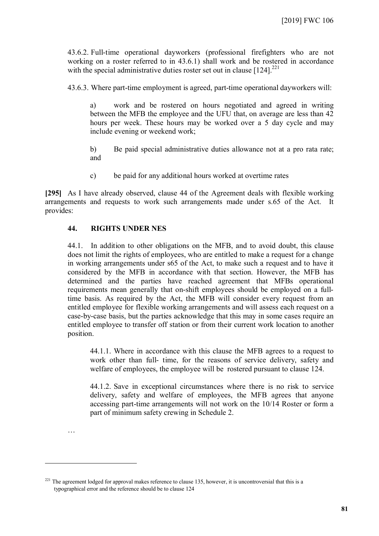43.6.2. Full-time operational dayworkers (professional firefighters who are not working on a roster referred to in 43.6.1) shall work and be rostered in accordance with the special administrative duties roster set out in clause  $[124]$ <sup>[221](#page-80-0)</sup>

43.6.3. Where part-time employment is agreed, part-time operational dayworkers will:

a) work and be rostered on hours negotiated and agreed in writing between the MFB the employee and the UFU that, on average are less than 42 hours per week. These hours may be worked over a 5 day cycle and may include evening or weekend work;

b) Be paid special administrative duties allowance not at a pro rata rate; and

c) be paid for any additional hours worked at overtime rates

**[295]** As I have already observed, clause 44 of the Agreement deals with flexible working arrangements and requests to work such arrangements made under s.65 of the Act. It provides:

### **44. RIGHTS UNDER NES**

…

 $\overline{a}$ 

44.1. In addition to other obligations on the MFB, and to avoid doubt, this clause does not limit the rights of employees, who are entitled to make a request for a change in working arrangements under s65 of the Act, to make such a request and to have it considered by the MFB in accordance with that section. However, the MFB has determined and the parties have reached agreement that MFBs operational requirements mean generally that on-shift employees should be employed on a fulltime basis. As required by the Act, the MFB will consider every request from an entitled employee for flexible working arrangements and will assess each request on a case-by-case basis, but the parties acknowledge that this may in some cases require an entitled employee to transfer off station or from their current work location to another position.

44.1.1. Where in accordance with this clause the MFB agrees to a request to work other than full- time, for the reasons of service delivery, safety and welfare of employees, the employee will be rostered pursuant to clause 124.

44.1.2. Save in exceptional circumstances where there is no risk to service delivery, safety and welfare of employees, the MFB agrees that anyone accessing part-time arrangements will not work on the 10/14 Roster or form a part of minimum safety crewing in Schedule 2.

<span id="page-80-0"></span> $^{221}$  The agreement lodged for approval makes reference to clause 135, however, it is uncontroversial that this is a typographical error and the reference should be to clause 124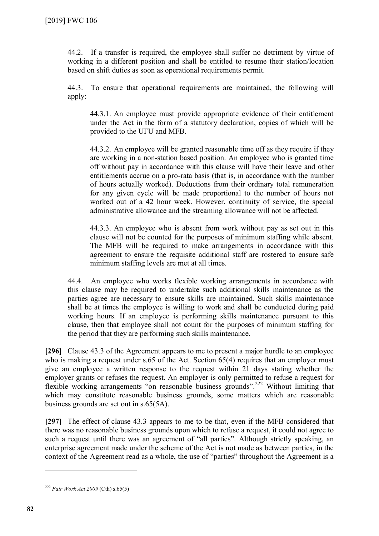44.2. If a transfer is required, the employee shall suffer no detriment by virtue of working in a different position and shall be entitled to resume their station/location based on shift duties as soon as operational requirements permit.

44.3. To ensure that operational requirements are maintained, the following will apply:

44.3.1. An employee must provide appropriate evidence of their entitlement under the Act in the form of a statutory declaration, copies of which will be provided to the UFU and MFB.

44.3.2. An employee will be granted reasonable time off as they require if they are working in a non-station based position. An employee who is granted time off without pay in accordance with this clause will have their leave and other entitlements accrue on a pro-rata basis (that is, in accordance with the number of hours actually worked). Deductions from their ordinary total remuneration for any given cycle will be made proportional to the number of hours not worked out of a 42 hour week. However, continuity of service, the special administrative allowance and the streaming allowance will not be affected.

44.3.3. An employee who is absent from work without pay as set out in this clause will not be counted for the purposes of minimum staffing while absent. The MFB will be required to make arrangements in accordance with this agreement to ensure the requisite additional staff are rostered to ensure safe minimum staffing levels are met at all times.

44.4. An employee who works flexible working arrangements in accordance with this clause may be required to undertake such additional skills maintenance as the parties agree are necessary to ensure skills are maintained. Such skills maintenance shall be at times the employee is willing to work and shall be conducted during paid working hours. If an employee is performing skills maintenance pursuant to this clause, then that employee shall not count for the purposes of minimum staffing for the period that they are performing such skills maintenance.

**[296]** Clause 43.3 of the Agreement appears to me to present a major hurdle to an employee who is making a request under s.65 of the Act. Section 65(4) requires that an employer must give an employee a written response to the request within 21 days stating whether the employer grants or refuses the request. An employer is only permitted to refuse a request for flexible working arrangements "on reasonable business grounds".<sup>[222](#page-81-0)</sup> Without limiting that which may constitute reasonable business grounds, some matters which are reasonable business grounds are set out in s.65(5A).

**[297]** The effect of clause 43.3 appears to me to be that, even if the MFB considered that there was no reasonable business grounds upon which to refuse a request, it could not agree to such a request until there was an agreement of "all parties". Although strictly speaking, an enterprise agreement made under the scheme of the Act is not made as between parties, in the context of the Agreement read as a whole, the use of "parties" throughout the Agreement is a

<span id="page-81-0"></span><sup>222</sup> *Fair Work Act 2009* (Cth) s.65(5)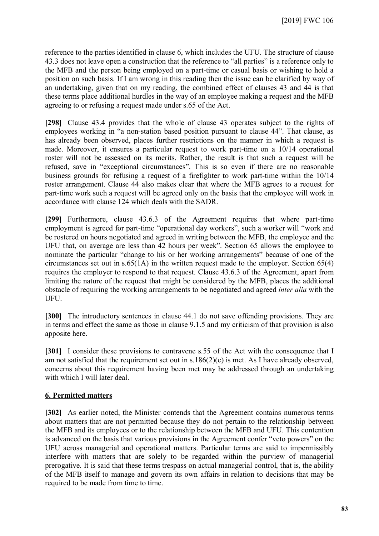reference to the parties identified in clause 6, which includes the UFU. The structure of clause 43.3 does not leave open a construction that the reference to "all parties" is a reference only to the MFB and the person being employed on a part-time or casual basis or wishing to hold a position on such basis. If I am wrong in this reading then the issue can be clarified by way of an undertaking, given that on my reading, the combined effect of clauses 43 and 44 is that these terms place additional hurdles in the way of an employee making a request and the MFB agreeing to or refusing a request made under s.65 of the Act.

**[298]** Clause 43.4 provides that the whole of clause 43 operates subject to the rights of employees working in "a non-station based position pursuant to clause 44". That clause, as has already been observed, places further restrictions on the manner in which a request is made. Moreover, it ensures a particular request to work part-time on a 10/14 operational roster will not be assessed on its merits. Rather, the result is that such a request will be refused, save in "exceptional circumstances". This is so even if there are no reasonable business grounds for refusing a request of a firefighter to work part-time within the 10/14 roster arrangement. Clause 44 also makes clear that where the MFB agrees to a request for part-time work such a request will be agreed only on the basis that the employee will work in accordance with clause 124 which deals with the SADR.

**[299]** Furthermore, clause 43.6.3 of the Agreement requires that where part-time employment is agreed for part-time "operational day workers", such a worker will "work and be rostered on hours negotiated and agreed in writing between the MFB, the employee and the UFU that, on average are less than 42 hours per week". Section 65 allows the employee to nominate the particular "change to his or her working arrangements" because of one of the circumstances set out in s.65(1A) in the written request made to the employer. Section 65(4) requires the employer to respond to that request. Clause 43.6.3 of the Agreement, apart from limiting the nature of the request that might be considered by the MFB, places the additional obstacle of requiring the working arrangements to be negotiated and agreed *inter alia* with the UFU.

**[300]** The introductory sentences in clause 44.1 do not save offending provisions. They are in terms and effect the same as those in clause 9.1.5 and my criticism of that provision is also apposite here.

**[301]** I consider these provisions to contravene s.55 of the Act with the consequence that I am not satisfied that the requirement set out in s.186(2)(c) is met. As I have already observed, concerns about this requirement having been met may be addressed through an undertaking with which I will later deal.

### **6. Permitted matters**

**[302]** As earlier noted, the Minister contends that the Agreement contains numerous terms about matters that are not permitted because they do not pertain to the relationship between the MFB and its employees or to the relationship between the MFB and UFU. This contention is advanced on the basis that various provisions in the Agreement confer "veto powers" on the UFU across managerial and operational matters. Particular terms are said to impermissibly interfere with matters that are solely to be regarded within the purview of managerial prerogative. It is said that these terms trespass on actual managerial control, that is, the ability of the MFB itself to manage and govern its own affairs in relation to decisions that may be required to be made from time to time.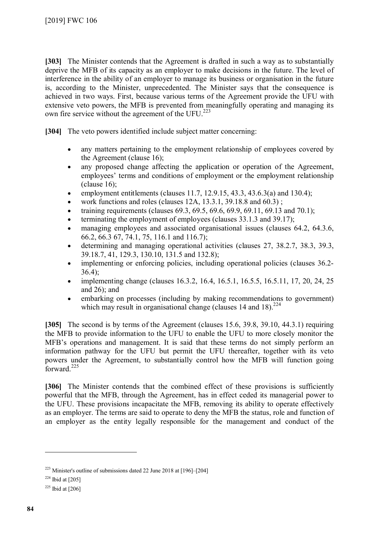**[303]** The Minister contends that the Agreement is drafted in such a way as to substantially deprive the MFB of its capacity as an employer to make decisions in the future. The level of interference in the ability of an employer to manage its business or organisation in the future is, according to the Minister, unprecedented. The Minister says that the consequence is achieved in two ways. First, because various terms of the Agreement provide the UFU with extensive veto powers, the MFB is prevented from meaningfully operating and managing its own fire service without the agreement of the  $UFU.<sup>223</sup>$  $UFU.<sup>223</sup>$  $UFU.<sup>223</sup>$ 

**[304]** The veto powers identified include subject matter concerning:

- any matters pertaining to the employment relationship of employees covered by the Agreement (clause 16);
- any proposed change affecting the application or operation of the Agreement, employees' terms and conditions of employment or the employment relationship  $clause 16);$
- employment entitlements (clauses  $11.7, 12.9.15, 43.3, 43.6.3(a)$  and  $130.4$ );
- work functions and roles (clauses 12A, 13.3.1, 39.18.8 and 60.3) ;
- training requirements (clauses  $69.3, 69.5, 69.6, 69.9, 69.11, 69.13$  and  $70.1$ );
- terminating the employment of employees (clauses 33.1.3 and 39.17);
- managing employees and associated organisational issues (clauses 64.2, 64.3.6, 66.2, 66.3 67, 74.1, 75, 116.1 and 116.7);
- determining and managing operational activities (clauses 27, 38.2.7, 38.3, 39.3, 39.18.7, 41, 129.3, 130.10, 131.5 and 132.8);
- implementing or enforcing policies, including operational policies (clauses 36.2-36.4);
- implementing change (clauses 16.3.2, 16.4, 16.5.1, 16.5.5, 16.5.11, 17, 20, 24, 25 and  $26$ ); and
- embarking on processes (including by making recommendations to government) which may result in organisational change (clauses 14 and 18).  $2^{24}$

**[305]** The second is by terms of the Agreement (clauses 15.6, 39.8, 39.10, 44.3.1) requiring the MFB to provide information to the UFU to enable the UFU to more closely monitor the MFB's operations and management. It is said that these terms do not simply perform an information pathway for the UFU but permit the UFU thereafter, together with its veto powers under the Agreement, to substantially control how the MFB will function going forward. $225$ 

[306] The Minister contends that the combined effect of these provisions is sufficiently powerful that the MFB, through the Agreement, has in effect ceded its managerial power to the UFU. These provisions incapacitate the MFB, removing its ability to operate effectively as an employer. The terms are said to operate to deny the MFB the status, role and function of an employer as the entity legally responsible for the management and conduct of the

<span id="page-83-0"></span> $223$  Minister's outline of submissions dated 22 June 2018 at  $[196]-[204]$ 

<span id="page-83-1"></span> $224$  Ibid at [205]

<span id="page-83-2"></span> $225$  Ibid at [206]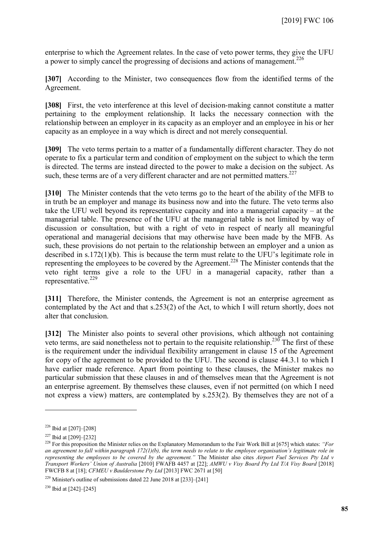enterprise to which the Agreement relates. In the case of veto power terms, they give the UFU a power to simply cancel the progressing of decisions and actions of management.<sup>[226](#page-84-0)</sup>

**[307]** According to the Minister, two consequences flow from the identified terms of the Agreement.

**[308]** First, the veto interference at this level of decision-making cannot constitute a matter pertaining to the employment relationship. It lacks the necessary connection with the relationship between an employer in its capacity as an employer and an employee in his or her capacity as an employee in a way which is direct and not merely consequential.

**[309]** The veto terms pertain to a matter of a fundamentally different character. They do not operate to fix a particular term and condition of employment on the subject to which the term is directed. The terms are instead directed to the power to make a decision on the subject. As such, these terms are of a very different character and are not permitted matters. $227$ 

**[310]** The Minister contends that the veto terms go to the heart of the ability of the MFB to in truth be an employer and manage its business now and into the future. The veto terms also take the UFU well beyond its representative capacity and into a managerial capacity – at the managerial table. The presence of the UFU at the managerial table is not limited by way of discussion or consultation, but with a right of veto in respect of nearly all meaningful operational and managerial decisions that may otherwise have been made by the MFB. As such, these provisions do not pertain to the relationship between an employer and a union as described in s.172(1)(b). This is because the term must relate to the UFU's legitimate role in representing the employees to be covered by the Agreement.<sup>[228](#page-84-2)</sup> The Minister contends that the veto right terms give a role to the UFU in a managerial capacity, rather than a representative. [229](#page-84-3)

**[311]** Therefore, the Minister contends, the Agreement is not an enterprise agreement as contemplated by the Act and that s.253(2) of the Act, to which I will return shortly, does not alter that conclusion.

**[312]** The Minister also points to several other provisions, which although not containing veto terms, are said nonetheless not to pertain to the requisite relationship.<sup>[230](#page-84-4)</sup> The first of these is the requirement under the individual flexibility arrangement in clause 15 of the Agreement for copy of the agreement to be provided to the UFU. The second is clause 44.3.1 to which I have earlier made reference. Apart from pointing to these clauses, the Minister makes no particular submission that these clauses in and of themselves mean that the Agreement is not an enterprise agreement. By themselves these clauses, even if not permitted (on which I need not express a view) matters, are contemplated by s.253(2). By themselves they are not of a

 $\overline{a}$ 

<span id="page-84-4"></span><span id="page-84-3"></span> $229$  Minister's outline of submissions dated 22 June 2018 at [233]–[241]

<sup>230</sup> Ibid at [242]–[245]

<span id="page-84-0"></span><sup>226</sup> Ibid at [207]–[208]

<span id="page-84-1"></span> $227$  Ibid at [209]–[232]

<span id="page-84-2"></span><sup>228</sup> For this proposition the Minister relies on the Explanatory Memorandum to the Fair Work Bill at [675] which states: *"For an agreement to fall within paragraph 172(1)(b), the term needs to relate to the employee organisation's legitimate role in representing the employees to be covered by the agreement."* The Minister also cites *Airport Fuel Services Pty Ltd v Transport Workers' Union of Australia* [2010] FWAFB 4457 at [22]; *AMWU v Visy Board Pty Ltd T/A Visy Board* [2018] FWCFB 8 at [18]; *CFMEU v Baulderstone Pty Ltd* [2013] FWC 2671 at [50]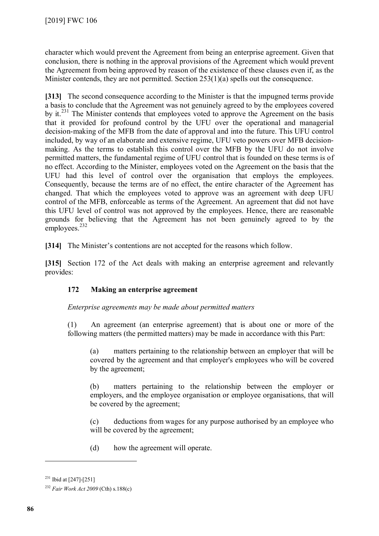character which would prevent the Agreement from being an enterprise agreement. Given that conclusion, there is nothing in the approval provisions of the Agreement which would prevent the Agreement from being approved by reason of the existence of these clauses even if, as the Minister contends, they are not permitted. Section 253(1)(a) spells out the consequence.

**[313]** The second consequence according to the Minister is that the impugned terms provide a basis to conclude that the Agreement was not genuinely agreed to by the employees covered by it.<sup>[231](#page-85-0)</sup> The Minister contends that employees voted to approve the Agreement on the basis that it provided for profound control by the UFU over the operational and managerial decision-making of the MFB from the date of approval and into the future. This UFU control included, by way of an elaborate and extensive regime, UFU veto powers over MFB decisionmaking. As the terms to establish this control over the MFB by the UFU do not involve permitted matters, the fundamental regime of UFU control that is founded on these terms is of no effect. According to the Minister, employees voted on the Agreement on the basis that the UFU had this level of control over the organisation that employs the employees. Consequently, because the terms are of no effect, the entire character of the Agreement has changed. That which the employees voted to approve was an agreement with deep UFU control of the MFB, enforceable as terms of the Agreement. An agreement that did not have this UFU level of control was not approved by the employees. Hence, there are reasonable grounds for believing that the Agreement has not been genuinely agreed to by the  $emploves.<sup>232</sup>$  $emploves.<sup>232</sup>$  $emploves.<sup>232</sup>$ 

**[314]** The Minister's contentions are not accepted for the reasons which follow.

**[315]** Section 172 of the Act deals with making an enterprise agreement and relevantly provides:

# **172 Making an enterprise agreement**

*Enterprise agreements may be made about permitted matters* 

(1) An agreement (an enterprise agreement) that is about one or more of the following matters (the permitted matters) may be made in accordance with this Part:

(a) matters pertaining to the relationship between an employer that will be covered by the agreement and that employer's employees who will be covered by the agreement;

(b) matters pertaining to the relationship between the employer or employers, and the employee organisation or employee organisations, that will be covered by the agreement;

(c) deductions from wages for any purpose authorised by an employee who will be covered by the agreement;

(d) how the agreement will operate.

<span id="page-85-0"></span> $231$  Ibid at [247]-[251]

<span id="page-85-1"></span><sup>232</sup> *Fair Work Act 2009* (Cth) s.188(c)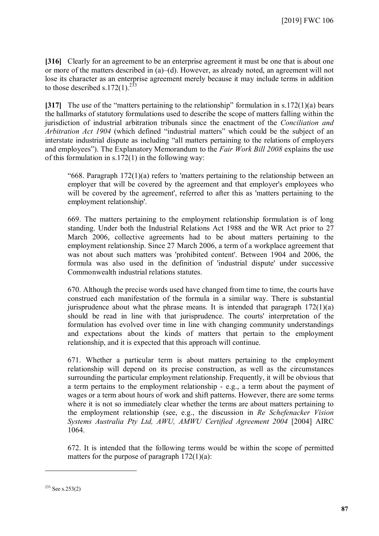**[316]** Clearly for an agreement to be an enterprise agreement it must be one that is about one or more of the matters described in (a)–(d). However, as already noted, an agreement will not lose its character as an enterprise agreement merely because it may include terms in addition to those described s.172(1).<sup>[233](#page-86-0)</sup>

**[317]** The use of the "matters pertaining to the relationship" formulation in s.172(1)(a) bears the hallmarks of statutory formulations used to describe the scope of matters falling within the jurisdiction of industrial arbitration tribunals since the enactment of the *Conciliation and Arbitration Act 1904* (which defined "industrial matters" which could be the subject of an interstate industrial dispute as including "all matters pertaining to the relations of employers and employees"). The Explanatory Memorandum to the *Fair Work Bill 2008* explains the use of this formulation in  $s.172(1)$  in the following way:

"668. Paragraph 172(1)(a) refers to 'matters pertaining to the relationship between an employer that will be covered by the agreement and that employer's employees who will be covered by the agreement', referred to after this as 'matters pertaining to the employment relationship'.

669. The matters pertaining to the employment relationship formulation is of long standing. Under both the Industrial Relations Act 1988 and the WR Act prior to 27 March 2006, collective agreements had to be about matters pertaining to the employment relationship. Since 27 March 2006, a term of a workplace agreement that was not about such matters was 'prohibited content'. Between 1904 and 2006, the formula was also used in the definition of 'industrial dispute' under successive Commonwealth industrial relations statutes.

670. Although the precise words used have changed from time to time, the courts have construed each manifestation of the formula in a similar way. There is substantial jurisprudence about what the phrase means. It is intended that paragraph  $172(1)(a)$ should be read in line with that jurisprudence. The courts' interpretation of the formulation has evolved over time in line with changing community understandings and expectations about the kinds of matters that pertain to the employment relationship, and it is expected that this approach will continue.

671. Whether a particular term is about matters pertaining to the employment relationship will depend on its precise construction, as well as the circumstances surrounding the particular employment relationship. Frequently, it will be obvious that a term pertains to the employment relationship - e.g., a term about the payment of wages or a term about hours of work and shift patterns. However, there are some terms where it is not so immediately clear whether the terms are about matters pertaining to the employment relationship (see, e.g., the discussion in *Re Schefenacker Vision Systems Australia Pty Ltd, AWU, AMWU Certified Agreement 2004* [2004] AIRC 1064.

672. It is intended that the following terms would be within the scope of permitted matters for the purpose of paragraph  $172(1)(a)$ :

<span id="page-86-0"></span> $233$  See s.253(2)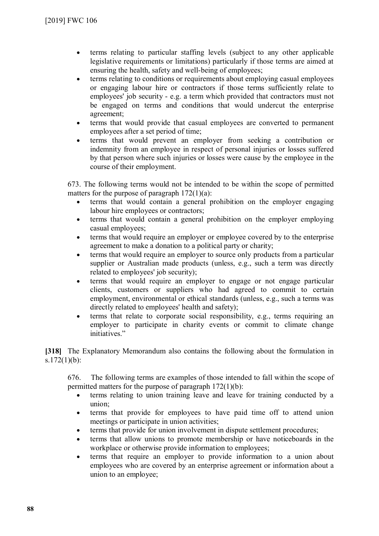- terms relating to particular staffing levels (subject to any other applicable legislative requirements or limitations) particularly if those terms are aimed at ensuring the health, safety and well-being of employees;
- terms relating to conditions or requirements about employing casual employees or engaging labour hire or contractors if those terms sufficiently relate to employees' job security - e.g. a term which provided that contractors must not be engaged on terms and conditions that would undercut the enterprise agreement;
- terms that would provide that casual employees are converted to permanent employees after a set period of time;
- terms that would prevent an employer from seeking a contribution or indemnity from an employee in respect of personal injuries or losses suffered by that person where such injuries or losses were cause by the employee in the course of their employment.

673. The following terms would not be intended to be within the scope of permitted matters for the purpose of paragraph  $172(1)(a)$ :

- terms that would contain a general prohibition on the employer engaging labour hire employees or contractors;
- terms that would contain a general prohibition on the employer employing casual employees;
- terms that would require an employer or employee covered by to the enterprise agreement to make a donation to a political party or charity;
- terms that would require an employer to source only products from a particular supplier or Australian made products (unless, e.g., such a term was directly related to employees' job security);
- terms that would require an employer to engage or not engage particular clients, customers or suppliers who had agreed to commit to certain employment, environmental or ethical standards (unless, e.g., such a terms was directly related to employees' health and safety);
- terms that relate to corporate social responsibility, e.g., terms requiring an employer to participate in charity events or commit to climate change initiatives."

**[318]** The Explanatory Memorandum also contains the following about the formulation in s.172(1)(b):

676. The following terms are examples of those intended to fall within the scope of permitted matters for the purpose of paragraph 172(1)(b):

- terms relating to union training leave and leave for training conducted by a union;
- terms that provide for employees to have paid time off to attend union meetings or participate in union activities;
- terms that provide for union involvement in dispute settlement procedures;
- terms that allow unions to promote membership or have noticeboards in the workplace or otherwise provide information to employees;
- terms that require an employer to provide information to a union about employees who are covered by an enterprise agreement or information about a union to an employee;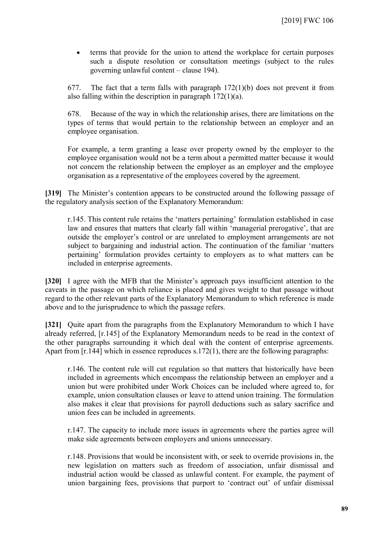terms that provide for the union to attend the workplace for certain purposes such a dispute resolution or consultation meetings (subject to the rules governing unlawful content – clause 194).

677. The fact that a term falls with paragraph  $172(1)(b)$  does not prevent it from also falling within the description in paragraph 172(1)(a).

678. Because of the way in which the relationship arises, there are limitations on the types of terms that would pertain to the relationship between an employer and an employee organisation.

For example, a term granting a lease over property owned by the employer to the employee organisation would not be a term about a permitted matter because it would not concern the relationship between the employer as an employer and the employee organisation as a representative of the employees covered by the agreement.

**[319]** The Minister's contention appears to be constructed around the following passage of the regulatory analysis section of the Explanatory Memorandum:

r.145. This content rule retains the 'matters pertaining' formulation established in case law and ensures that matters that clearly fall within 'managerial prerogative', that are outside the employer's control or are unrelated to employment arrangements are not subject to bargaining and industrial action. The continuation of the familiar 'matters pertaining' formulation provides certainty to employers as to what matters can be included in enterprise agreements.

**[320]** I agree with the MFB that the Minister's approach pays insufficient attention to the caveats in the passage on which reliance is placed and gives weight to that passage without regard to the other relevant parts of the Explanatory Memorandum to which reference is made above and to the jurisprudence to which the passage refers.

**[321]** Quite apart from the paragraphs from the Explanatory Memorandum to which I have already referred, [r.145] of the Explanatory Memorandum needs to be read in the context of the other paragraphs surrounding it which deal with the content of enterprise agreements. Apart from [r.144] which in essence reproduces s.172(1), there are the following paragraphs:

r.146. The content rule will cut regulation so that matters that historically have been included in agreements which encompass the relationship between an employer and a union but were prohibited under Work Choices can be included where agreed to, for example, union consultation clauses or leave to attend union training. The formulation also makes it clear that provisions for payroll deductions such as salary sacrifice and union fees can be included in agreements.

r.147. The capacity to include more issues in agreements where the parties agree will make side agreements between employers and unions unnecessary.

r.148. Provisions that would be inconsistent with, or seek to override provisions in, the new legislation on matters such as freedom of association, unfair dismissal and industrial action would be classed as unlawful content. For example, the payment of union bargaining fees, provisions that purport to 'contract out' of unfair dismissal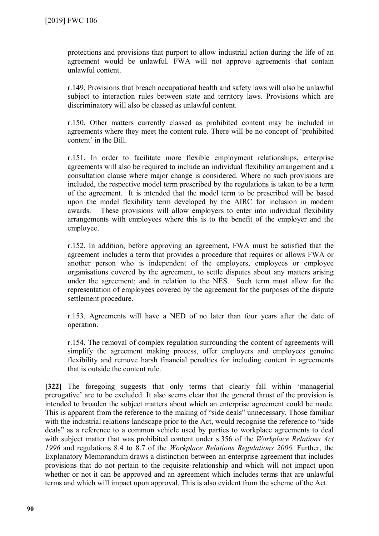protections and provisions that purport to allow industrial action during the life of an agreement would be unlawful. FWA will not approve agreements that contain unlawful content.

r.149. Provisions that breach occupational health and safety laws will also be unlawful subject to interaction rules between state and territory laws. Provisions which are discriminatory will also be classed as unlawful content.

r.150. Other matters currently classed as prohibited content may be included in agreements where they meet the content rule. There will be no concept of 'prohibited content' in the Bill.

r.151. In order to facilitate more flexible employment relationships, enterprise agreements will also be required to include an individual flexibility arrangement and a consultation clause where major change is considered. Where no such provisions are included, the respective model term prescribed by the regulations is taken to be a term of the agreement. It is intended that the model term to be prescribed will be based upon the model flexibility term developed by the AIRC for inclusion in modern awards. These provisions will allow employers to enter into individual flexibility arrangements with employees where this is to the benefit of the employer and the employee.

r.152. In addition, before approving an agreement, FWA must be satisfied that the agreement includes a term that provides a procedure that requires or allows FWA or another person who is independent of the employers, employees or employee organisations covered by the agreement, to settle disputes about any matters arising under the agreement; and in relation to the NES. Such term must allow for the representation of employees covered by the agreement for the purposes of the dispute settlement procedure.

r.153. Agreements will have a NED of no later than four years after the date of operation.

r.154. The removal of complex regulation surrounding the content of agreements will simplify the agreement making process, offer employers and employees genuine flexibility and remove harsh financial penalties for including content in agreements that is outside the content rule.

**[322]** The foregoing suggests that only terms that clearly fall within 'managerial prerogative' are to be excluded. It also seems clear that the general thrust of the provision is intended to broaden the subject matters about which an enterprise agreement could be made. This is apparent from the reference to the making of "side deals" unnecessary. Those familiar with the industrial relations landscape prior to the Act, would recognise the reference to "side" deals" as a reference to a common vehicle used by parties to workplace agreements to deal with subject matter that was prohibited content under s.356 of the *Workplace Relations Act 1996* and regulations 8.4 to 8.7 of the *Workplace Relations Regulations 2006*. Further, the Explanatory Memorandum draws a distinction between an enterprise agreement that includes provisions that do not pertain to the requisite relationship and which will not impact upon whether or not it can be approved and an agreement which includes terms that are unlawful terms and which will impact upon approval. This is also evident from the scheme of the Act.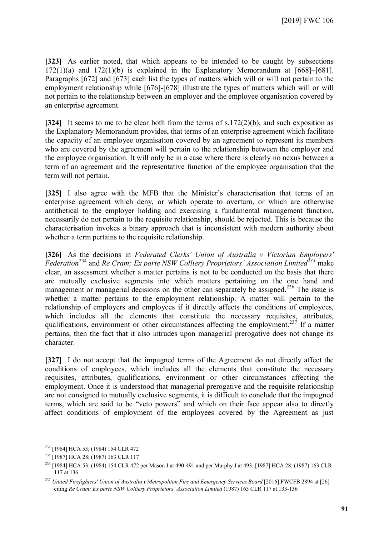**[323]** As earlier noted, that which appears to be intended to be caught by subsections  $172(1)(a)$  and  $172(1)(b)$  is explained in the Explanatory Memorandum at [668]–[681]. Paragraphs [672] and [673] each list the types of matters which will or will not pertain to the employment relationship while [676]-[678] illustrate the types of matters which will or will not pertain to the relationship between an employer and the employee organisation covered by an enterprise agreement.

**[324]** It seems to me to be clear both from the terms of s.172(2)(b), and such exposition as the Explanatory Memorandum provides, that terms of an enterprise agreement which facilitate the capacity of an employee organisation covered by an agreement to represent its members who are covered by the agreement will pertain to the relationship between the employer and the employee organisation. It will only be in a case where there is clearly no nexus between a term of an agreement and the representative function of the employee organisation that the term will not pertain.

**[325]** I also agree with the MFB that the Minister's characterisation that terms of an enterprise agreement which deny, or which operate to overturn, or which are otherwise antithetical to the employer holding and exercising a fundamental management function, necessarily do not pertain to the requisite relationship, should be rejected. This is because the characterisation invokes a binary approach that is inconsistent with modern authority about whether a term pertains to the requisite relationship.

**[326]** As the decisions in *Federated Clerks' Union of Australia v Victorian Employers' Federation*[234](#page-90-0) and *Re Cram; Ex parte NSW Colliery Proprietors' Association Limited[235](#page-90-1)* make clear, an assessment whether a matter pertains is not to be conducted on the basis that there are mutually exclusive segments into which matters pertaining on the one hand and management or managerial decisions on the other can separately be assigned.<sup>[236](#page-90-2)</sup> The issue is whether a matter pertains to the employment relationship. A matter will pertain to the relationship of employers and employees if it directly affects the conditions of employees, which includes all the elements that constitute the necessary requisites, attributes, qualifications, environment or other circumstances affecting the employment.<sup>[237](#page-90-3)</sup> If a matter pertains, then the fact that it also intrudes upon managerial prerogative does not change its character.

**[327]** I do not accept that the impugned terms of the Agreement do not directly affect the conditions of employees, which includes all the elements that constitute the necessary requisites, attributes, qualifications, environment or other circumstances affecting the employment. Once it is understood that managerial prerogative and the requisite relationship are not consigned to mutually exclusive segments, it is difficult to conclude that the impugned terms, which are said to be "veto powers" and which on their face appear also to directly affect conditions of employment of the employees covered by the Agreement as just

<span id="page-90-0"></span><sup>234</sup> [1984] HCA 53; (1984) 154 CLR 472

<span id="page-90-1"></span><sup>235</sup> [1987] HCA 28; (1987) 163 CLR 117

<span id="page-90-2"></span><sup>236</sup> [1984] HCA 53; (1984) 154 CLR 472 per Mason J at 490-491 and per Murphy J at 493; [1987] HCA 28; (1987) 163 CLR 117 at 136

<span id="page-90-3"></span><sup>237</sup> *United Firefighters' Union of Australia v Metropolitan Fire and Emergency Services Board* [2016] FWCFB 2894 at [26] citing *Re Cram; Ex parte NSW Colliery Proprietors' Association Limited* (1987) 163 CLR 117 at 133-136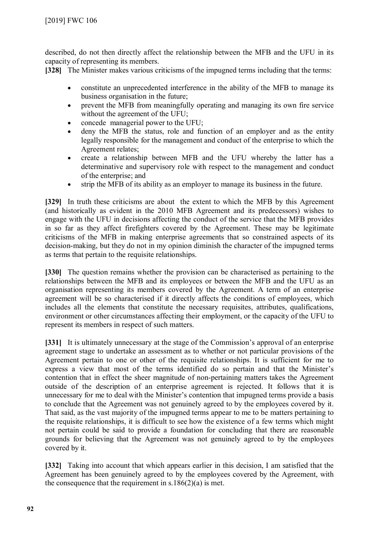described, do not then directly affect the relationship between the MFB and the UFU in its capacity of representing its members.

**[328]** The Minister makes various criticisms of the impugned terms including that the terms:

- constitute an unprecedented interference in the ability of the MFB to manage its business organisation in the future;
- prevent the MFB from meaningfully operating and managing its own fire service without the agreement of the UFU;
- concede managerial power to the UFU;
- deny the MFB the status, role and function of an employer and as the entity legally responsible for the management and conduct of the enterprise to which the Agreement relates;
- create a relationship between MFB and the UFU whereby the latter has a determinative and supervisory role with respect to the management and conduct of the enterprise; and
- strip the MFB of its ability as an employer to manage its business in the future.

**[329]** In truth these criticisms are about the extent to which the MFB by this Agreement (and historically as evident in the 2010 MFB Agreement and its predecessors) wishes to engage with the UFU in decisions affecting the conduct of the service that the MFB provides in so far as they affect firefighters covered by the Agreement. These may be legitimate criticisms of the MFB in making enterprise agreements that so constrained aspects of its decision-making, but they do not in my opinion diminish the character of the impugned terms as terms that pertain to the requisite relationships.

**[330]** The question remains whether the provision can be characterised as pertaining to the relationships between the MFB and its employees or between the MFB and the UFU as an organisation representing its members covered by the Agreement. A term of an enterprise agreement will be so characterised if it directly affects the conditions of employees, which includes all the elements that constitute the necessary requisites, attributes, qualifications, environment or other circumstances affecting their employment, or the capacity of the UFU to represent its members in respect of such matters.

**[331]** It is ultimately unnecessary at the stage of the Commission's approval of an enterprise agreement stage to undertake an assessment as to whether or not particular provisions of the Agreement pertain to one or other of the requisite relationships. It is sufficient for me to express a view that most of the terms identified do so pertain and that the Minister's contention that in effect the sheer magnitude of non-pertaining matters takes the Agreement outside of the description of an enterprise agreement is rejected. It follows that it is unnecessary for me to deal with the Minister's contention that impugned terms provide a basis to conclude that the Agreement was not genuinely agreed to by the employees covered by it. That said, as the vast majority of the impugned terms appear to me to be matters pertaining to the requisite relationships, it is difficult to see how the existence of a few terms which might not pertain could be said to provide a foundation for concluding that there are reasonable grounds for believing that the Agreement was not genuinely agreed to by the employees covered by it.

**[332]** Taking into account that which appears earlier in this decision, I am satisfied that the Agreement has been genuinely agreed to by the employees covered by the Agreement, with the consequence that the requirement in  $s.186(2)(a)$  is met.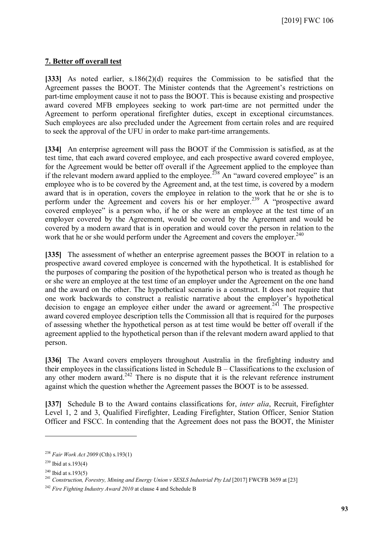### **7. Better off overall test**

**[333]** As noted earlier, s.186(2)(d) requires the Commission to be satisfied that the Agreement passes the BOOT. The Minister contends that the Agreement's restrictions on part-time employment cause it not to pass the BOOT. This is because existing and prospective award covered MFB employees seeking to work part-time are not permitted under the Agreement to perform operational firefighter duties, except in exceptional circumstances. Such employees are also precluded under the Agreement from certain roles and are required to seek the approval of the UFU in order to make part-time arrangements.

**[334]** An enterprise agreement will pass the BOOT if the Commission is satisfied, as at the test time, that each award covered employee, and each prospective award covered employee, for the Agreement would be better off overall if the Agreement applied to the employee than if the relevant modern award applied to the employee.<sup>[238](#page-92-0)</sup> An "award covered employee" is an employee who is to be covered by the Agreement and, at the test time, is covered by a modern award that is in operation, covers the employee in relation to the work that he or she is to perform under the Agreement and covers his or her employer.<sup>[239](#page-92-1)</sup> A "prospective award covered employee" is a person who, if he or she were an employee at the test time of an employer covered by the Agreement, would be covered by the Agreement and would be covered by a modern award that is in operation and would cover the person in relation to the work that he or she would perform under the Agreement and covers the employer.<sup>[240](#page-92-2)</sup>

**[335]** The assessment of whether an enterprise agreement passes the BOOT in relation to a prospective award covered employee is concerned with the hypothetical. It is established for the purposes of comparing the position of the hypothetical person who is treated as though he or she were an employee at the test time of an employer under the Agreement on the one hand and the award on the other. The hypothetical scenario is a construct. It does not require that one work backwards to construct a realistic narrative about the employer's hypothetical decision to engage an employee either under the award or agreement.<sup>[241](#page-92-3)</sup> The prospective award covered employee description tells the Commission all that is required for the purposes of assessing whether the hypothetical person as at test time would be better off overall if the agreement applied to the hypothetical person than if the relevant modern award applied to that person.

**[336]** The Award covers employers throughout Australia in the firefighting industry and their employees in the classifications listed in Schedule B – Classifications to the exclusion of any other modern award. $242$  There is no dispute that it is the relevant reference instrument against which the question whether the Agreement passes the BOOT is to be assessed.

**[337]** Schedule B to the Award contains classifications for, *inter alia*, Recruit, Firefighter Level 1, 2 and 3, Qualified Firefighter, Leading Firefighter, Station Officer, Senior Station Officer and FSCC. In contending that the Agreement does not pass the BOOT, the Minister

<span id="page-92-0"></span><sup>238</sup> *Fair Work Act 2009* (Cth) s.193(1)

<span id="page-92-2"></span><span id="page-92-1"></span> $239$  Ibid at s.193(4)

 $240$  Ibid at s. 193(5)

<span id="page-92-3"></span><sup>&</sup>lt;sup>241</sup> Construction, Forestry, Mining and Energy Union v SESLS Industrial Pty Ltd <sup>[2017]</sup> FWCFB 3659 at <sup>[23]</sup>

<span id="page-92-4"></span><sup>242</sup> *Fire Fighting Industry Award 2010* at clause 4 and Schedule B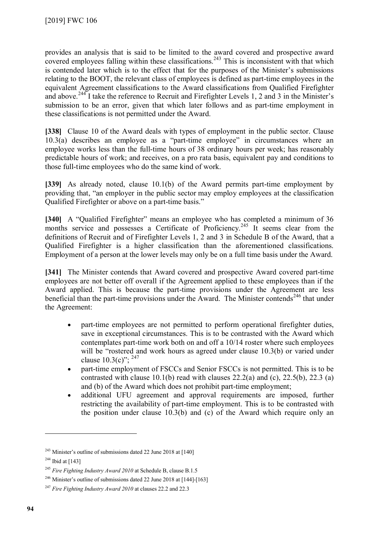provides an analysis that is said to be limited to the award covered and prospective award covered employees falling within these classifications.<sup>[243](#page-93-0)</sup> This is inconsistent with that which is contended later which is to the effect that for the purposes of the Minister's submissions relating to the BOOT, the relevant class of employees is defined as part-time employees in the equivalent Agreement classifications to the Award classifications from Qualified Firefighter and above.<sup>[244](#page-93-1)</sup> I take the reference to Recruit and Firefighter Levels 1, 2 and 3 in the Minister's submission to be an error, given that which later follows and as part-time employment in these classifications is not permitted under the Award.

**[338]** Clause 10 of the Award deals with types of employment in the public sector. Clause 10.3(a) describes an employee as a "part-time employee" in circumstances where an employee works less than the full-time hours of 38 ordinary hours per week; has reasonably predictable hours of work; and receives, on a pro rata basis, equivalent pay and conditions to those full-time employees who do the same kind of work.

**[339]** As already noted, clause 10.1(b) of the Award permits part-time employment by providing that, "an employer in the public sector may employ employees at the classification Qualified Firefighter or above on a part-time basis."

**[340]** A "Qualified Firefighter" means an employee who has completed a minimum of 36 months service and possesses a Certificate of Proficiency.<sup>[245](#page-93-2)</sup> It seems clear from the definitions of Recruit and of Firefighter Levels 1, 2 and 3 in Schedule B of the Award, that a Qualified Firefighter is a higher classification than the aforementioned classifications. Employment of a person at the lower levels may only be on a full time basis under the Award.

**[341]** The Minister contends that Award covered and prospective Award covered part-time employees are not better off overall if the Agreement applied to these employees than if the Award applied. This is because the part-time provisions under the Agreement are less beneficial than the part-time provisions under the Award. The Minister contends<sup>[246](#page-93-3)</sup> that under the Agreement:

- part-time employees are not permitted to perform operational firefighter duties, save in exceptional circumstances. This is to be contrasted with the Award which contemplates part-time work both on and off a 10/14 roster where such employees will be "rostered and work hours as agreed under clause 10.3(b) or varied under clause 10.3(c)": <sup>[247](#page-93-4)</sup>
- part-time employment of FSCCs and Senior FSCCs is not permitted. This is to be contrasted with clause 10.1(b) read with clauses  $22.2(a)$  and (c),  $22.5(b)$ ,  $22.3(a)$ and (b) of the Award which does not prohibit part-time employment;
- additional UFU agreement and approval requirements are imposed, further restricting the availability of part-time employment. This is to be contrasted with the position under clause 10.3(b) and (c) of the Award which require only an

<span id="page-93-1"></span><span id="page-93-0"></span> $243$  Minister's outline of submissions dated 22 June 2018 at [140]

 $244$  Ibid at [143]

<span id="page-93-2"></span><sup>245</sup> *Fire Fighting Industry Award 2010* at Schedule B, clause B.1.5

<span id="page-93-3"></span><sup>&</sup>lt;sup>246</sup> Minister's outline of submissions dated 22 June 2018 at [144]-[163]

<span id="page-93-4"></span><sup>247</sup> *Fire Fighting Industry Award 2010* at clauses 22.2 and 22.3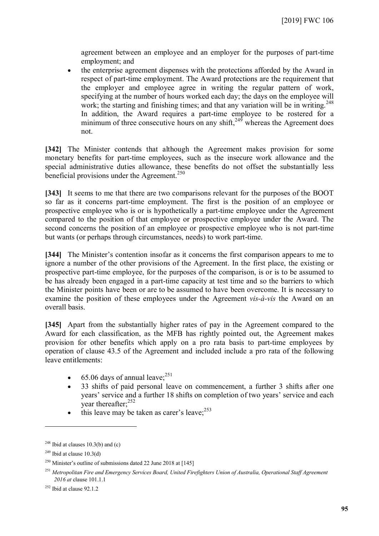agreement between an employee and an employer for the purposes of part-time employment; and

• the enterprise agreement dispenses with the protections afforded by the Award in respect of part-time employment. The Award protections are the requirement that the employer and employee agree in writing the regular pattern of work, specifying at the number of hours worked each day; the days on the employee will work; the starting and finishing times; and that any variation will be in writing.<sup>[248](#page-94-0)</sup> In addition, the Award requires a part-time employee to be rostered for a minimum of three consecutive hours on any shift,  $249$  whereas the Agreement does not.

**[342]** The Minister contends that although the Agreement makes provision for some monetary benefits for part-time employees, such as the insecure work allowance and the special administrative duties allowance, these benefits do not offset the substantially less beneficial provisions under the Agreement.<sup>[250](#page-94-2)</sup>

**[343]** It seems to me that there are two comparisons relevant for the purposes of the BOOT so far as it concerns part-time employment. The first is the position of an employee or prospective employee who is or is hypothetically a part-time employee under the Agreement compared to the position of that employee or prospective employee under the Award. The second concerns the position of an employee or prospective employee who is not part-time but wants (or perhaps through circumstances, needs) to work part-time.

**[344]** The Minister's contention insofar as it concerns the first comparison appears to me to ignore a number of the other provisions of the Agreement. In the first place, the existing or prospective part-time employee, for the purposes of the comparison, is or is to be assumed to be has already been engaged in a part-time capacity at test time and so the barriers to which the Minister points have been or are to be assumed to have been overcome. It is necessary to examine the position of these employees under the Agreement *vis-à-vis* the Award on an overall basis.

<span id="page-94-5"></span>**[345]** Apart from the substantially higher rates of pay in the Agreement compared to the Award for each classification, as the MFB has rightly pointed out, the Agreement makes provision for other benefits which apply on a pro rata basis to part-time employees by operation of clause 43.5 of the Agreement and included include a pro rata of the following leave entitlements:

- $\bullet$  65.06 days of annual leave;<sup>[251](#page-94-3)</sup>
- 33 shifts of paid personal leave on commencement, a further 3 shifts after one years' service and a further 18 shifts on completion of two years' service and each year thereafter;<sup>[252](#page-94-4)</sup>
- $\bullet$  this leave may be taken as carer's leave;  $253$

<span id="page-94-0"></span><sup>&</sup>lt;sup>248</sup> Ibid at clauses 10.3(b) and (c)

<span id="page-94-1"></span> $249$  Ibid at clause 10.3(d)

<span id="page-94-2"></span><sup>&</sup>lt;sup>250</sup> Minister's outline of submissions dated 22 June 2018 at  $[145]$ 

<span id="page-94-3"></span><sup>251</sup> *Metropolitan Fire and Emergency Services Board, United Firefighters Union of Australia, Operational Staff Agreement 2016 at* clause 101.1.1

<span id="page-94-4"></span> $252$  Ibid at clause 92.1.2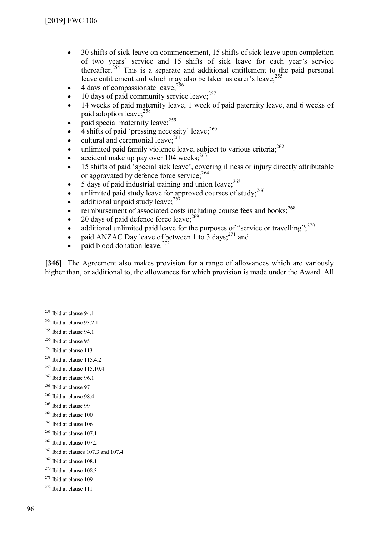- 30 shifts of sick leave on commencement, 15 shifts of sick leave upon completion of two years' service and 15 shifts of sick leave for each year's service thereafter.[254](#page-95-0) This is a separate and additional entitlement to the paid personal leave entitlement and which may also be taken as carer's leave;<sup>[255](#page-95-1)</sup>
- $\bullet$  4 days of compassionate leave:  $^{256}$  $^{256}$  $^{256}$
- $\bullet$  10 days of paid community service leave;  $257$
- 14 weeks of paid maternity leave, 1 week of paid paternity leave, and 6 weeks of paid adoption leave;<sup>[258](#page-95-4)</sup>
- $\bullet$  paid special maternity leave;<sup>[259](#page-95-5)</sup>
- $\bullet$  4 shifts of paid 'pressing necessity' leave;<sup>[260](#page-95-6)</sup>
- $\bullet$  cultural and ceremonial leave;  $^{261}$  $^{261}$  $^{261}$
- $\bullet$  unlimited paid family violence leave, subject to various criteria;<sup>[262](#page-95-8)</sup>
- accident make up pay over  $104$  weeks;<sup>[263](#page-95-9)</sup>
- 15 shifts of paid 'special sick leave', covering illness or injury directly attributable or aggravated by defence force service;<sup>[264](#page-95-10)</sup>
- $\bullet$  5 days of paid industrial training and union leave;  $265$
- $\bullet$  unlimited paid study leave for approved courses of study;<sup>[266](#page-95-12)</sup>
- additional unpaid study leave; $^{267}$  $^{267}$  $^{267}$
- $\cdot$  reimbursement of associated costs including course fees and books;<sup>[268](#page-95-14)</sup>
- 20 days of paid defence force leave; $^{269}$  $^{269}$  $^{269}$
- additional unlimited paid leave for the purposes of "service or travelling";<sup>[270](#page-95-16)</sup>
- paid ANZAC Day leave of between 1 to 3 days; $^{271}$  $^{271}$  $^{271}$  and
- $\bullet$  paid blood donation leave.<sup>[272](#page-95-18)</sup>

**[346]** The Agreement also makes provision for a range of allowances which are variously higher than, or additional to, the allowances for which provision is made under the Award. All

 $253$  Ibid at clause 94.1

- <span id="page-95-0"></span> $254$  Ibid at clause 93.2.1
- <span id="page-95-1"></span> $255$  Ibid at clause 94.1
- <span id="page-95-2"></span><sup>256</sup> Ibid at clause 95
- <span id="page-95-3"></span><sup>257</sup> Ibid at clause 113
- <span id="page-95-4"></span> $258$  Ibid at clause 115.4.2
- <span id="page-95-5"></span> $259$  Ibid at clause 115.10.4
- <span id="page-95-6"></span> $260$  Ibid at clause 96.1
- <span id="page-95-7"></span><sup>261</sup> Ibid at clause 97
- <span id="page-95-8"></span><sup>262</sup> Ibid at clause 98.4
- <span id="page-95-9"></span><sup>263</sup> Ibid at clause 99
- <span id="page-95-10"></span><sup>264</sup> Ibid at clause 100
- <span id="page-95-11"></span> $265$  Ibid at clause 106
- <span id="page-95-12"></span> $266$  Ibid at clause 107.1
- <span id="page-95-13"></span> $267$  Ibid at clause 107.2
- <span id="page-95-14"></span> $268$  Ibid at clauses 107.3 and 107.4
- <span id="page-95-15"></span><sup>269</sup> Ibid at clause 108.1
- <span id="page-95-16"></span> $270$  Ibid at clause 108.3
- <span id="page-95-17"></span> $271$  Ibid at clause 109
- <span id="page-95-18"></span> $272$  Ibid at clause 111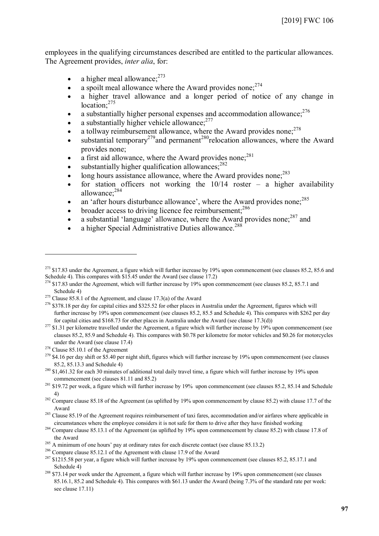employees in the qualifying circumstances described are entitled to the particular allowances. The Agreement provides, *inter alia*, for:

- a higher meal allowance; $273$
- a spoilt meal allowance where the Award provides none:  $274$
- a higher travel allowance and a longer period of notice of any change in location:<sup>[275](#page-96-2)</sup>
- a substantially higher personal expenses and accommodation allowance;  $276$
- a substantially higher vehicle allowance; $277$
- $\bullet$  a tollway reimbursement allowance, where the Award provides none;<sup>[278](#page-96-5)</sup>
- $\bullet$  substantial temporary<sup>[279](#page-96-6)</sup> and permanent<sup>[280](#page-96-7)</sup>relocation allowances, where the Award provides none;
- $\bullet$  a first aid allowance, where the Award provides none;<sup>[281](#page-96-8)</sup>
- substantially higher qualification allowances: $282$
- $\bullet$  long hours assistance allowance, where the Award provides none;  $^{283}$  $^{283}$  $^{283}$
- for station officers not working the  $10/14$  roster a higher availability allowance;[284](#page-96-11)
- an 'after hours disturbance allowance', where the Award provides none;  $^{285}$  $^{285}$  $^{285}$
- $\bullet$  broader access to driving licence fee reimbursement:  $286$
- a substantial 'language' allowance, where the Award provides none;<sup>[287](#page-96-14)</sup> and
- a higher Special Administrative Duties allowance.<sup>[288](#page-96-15)</sup>

<span id="page-96-0"></span> $^{273}$  \$17.83 under the Agreement, a figure which will further increase by 19% upon commencement (see clauses 85.2, 85.6 and Schedule 4). This compares with \$15.45 under the Award (see clause 17.2)

<span id="page-96-1"></span><sup>&</sup>lt;sup>274</sup> \$17.83 under the Agreement, which will further increase by 19% upon commencement (see clauses 85.2, 85.7.1 and Schedule 4)

<span id="page-96-2"></span><sup>&</sup>lt;sup>275</sup> Clause 85.8.1 of the Agreement, and clause 17.3(a) of the Award

<span id="page-96-3"></span> $276$  \$378.18 per day for capital cities and \$325.52 for other places in Australia under the Agreement, figures which will further increase by 19% upon commencement (see clauses 85.2, 85.5 and Schedule 4). This compares with \$262 per day for capital cities and \$168.73 for other places in Australia under the Award (see clause 17.3(d))

<span id="page-96-4"></span> $277$  \$1.31 per kilometre travelled under the Agreement, a figure which will further increase by 19% upon commencement (see clauses 85.2, 85.9 and Schedule 4). This compares with \$0.78 per kilometre for motor vehicles and \$0.26 for motorcycles under the Award (see clause 17.4)

<span id="page-96-5"></span> $278$  Clause 85.10.1 of the Agreement

<span id="page-96-6"></span> $279$  \$4.16 per day shift or \$5.40 per night shift, figures which will further increase by 19% upon commencement (see clauses 85.2, 85.13.3 and Schedule 4)

<span id="page-96-7"></span><sup>&</sup>lt;sup>280</sup> \$1,461.32 for each 30 minutes of additional total daily travel time, a figure which will further increase by 19% upon commencement (see clauses 81.11 and 85.2)

<span id="page-96-8"></span> $^{281}$  \$19.72 per week, a figure which will further increase by 19% upon commencement (see clauses 85.2, 85.14 and Schedule 4)

<span id="page-96-9"></span> $282$  Compare clause 85.18 of the Agreement (as uplifted by 19% upon commencement by clause 85.2) with clause 17.7 of the Award

<span id="page-96-10"></span><sup>&</sup>lt;sup>283</sup> Clause 85.19 of the Agreement requires reimbursement of taxi fares, accommodation and/or airfares where applicable in circumstances where the employee considers it is not safe for them to drive after they have finished working

<span id="page-96-11"></span><sup>&</sup>lt;sup>284</sup> Compare clause 85.13.1 of the Agreement (as uplifted by 19% upon commencement by clause 85.2) with clause 17.8 of the Award

<span id="page-96-12"></span><sup>&</sup>lt;sup>285</sup> A minimum of one hours' pay at ordinary rates for each discrete contact (see clause 85.13.2)

<span id="page-96-14"></span><span id="page-96-13"></span><sup>286</sup> Compare clause 85.12.1 of the Agreement with clause 17.9 of the Award

 $287\frac{\text{S}}{21215.58}$  per year, a figure which will further increase by 19% upon commencement (see clauses 85.2, 85.17.1 and Schedule 4)

<span id="page-96-15"></span><sup>&</sup>lt;sup>288</sup> \$73.14 per week under the Agreement, a figure which will further increase by 19% upon commencement (see clauses 85.16.1, 85.2 and Schedule 4). This compares with \$61.13 under the Award (being 7.3% of the standard rate per week: see clause 17.11)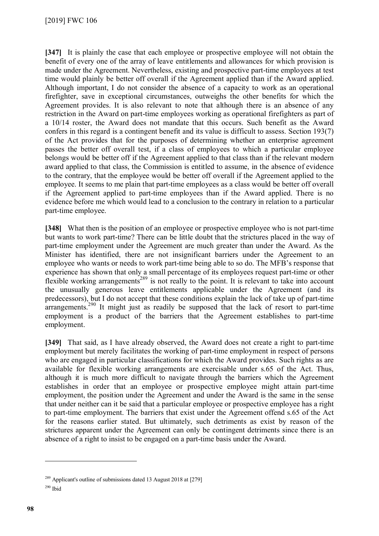**[347]** It is plainly the case that each employee or prospective employee will not obtain the benefit of every one of the array of leave entitlements and allowances for which provision is made under the Agreement. Nevertheless, existing and prospective part-time employees at test time would plainly be better off overall if the Agreement applied than if the Award applied. Although important, I do not consider the absence of a capacity to work as an operational firefighter, save in exceptional circumstances, outweighs the other benefits for which the Agreement provides. It is also relevant to note that although there is an absence of any restriction in the Award on part-time employees working as operational firefighters as part of a 10/14 roster, the Award does not mandate that this occurs. Such benefit as the Award confers in this regard is a contingent benefit and its value is difficult to assess. Section 193(7) of the Act provides that for the purposes of determining whether an enterprise agreement passes the better off overall test, if a class of employees to which a particular employee belongs would be better off if the Agreement applied to that class than if the relevant modern award applied to that class, the Commission is entitled to assume, in the absence of evidence to the contrary, that the employee would be better off overall if the Agreement applied to the employee. It seems to me plain that part-time employees as a class would be better off overall if the Agreement applied to part-time employees than if the Award applied. There is no evidence before me which would lead to a conclusion to the contrary in relation to a particular part-time employee.

**[348]** What then is the position of an employee or prospective employee who is not part-time but wants to work part-time? There can be little doubt that the strictures placed in the way of part-time employment under the Agreement are much greater than under the Award. As the Minister has identified, there are not insignificant barriers under the Agreement to an employee who wants or needs to work part-time being able to so do. The MFB's response that experience has shown that only a small percentage of its employees request part-time or other flexible working arrangements<sup>[289](#page-97-0)</sup> is not really to the point. It is relevant to take into account the unusually generous leave entitlements applicable under the Agreement (and its predecessors), but I do not accept that these conditions explain the lack of take up of part-time arrangements.<sup>[290](#page-97-1)</sup> It might just as readily be supposed that the lack of resort to part-time employment is a product of the barriers that the Agreement establishes to part-time employment.

**[349]** That said, as I have already observed, the Award does not create a right to part-time employment but merely facilitates the working of part-time employment in respect of persons who are engaged in particular classifications for which the Award provides. Such rights as are available for flexible working arrangements are exercisable under s.65 of the Act. Thus, although it is much more difficult to navigate through the barriers which the Agreement establishes in order that an employee or prospective employee might attain part-time employment, the position under the Agreement and under the Award is the same in the sense that under neither can it be said that a particular employee or prospective employee has a right to part-time employment. The barriers that exist under the Agreement offend s.65 of the Act for the reasons earlier stated. But ultimately, such detriments as exist by reason of the strictures apparent under the Agreement can only be contingent detriments since there is an absence of a right to insist to be engaged on a part-time basis under the Award.

<span id="page-97-0"></span><sup>&</sup>lt;sup>289</sup> Applicant's outline of submissions dated 13 August 2018 at [279]

<span id="page-97-1"></span> $290$  Ibid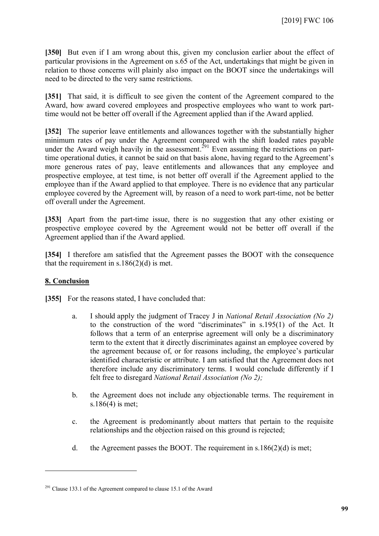**[350]** But even if I am wrong about this, given my conclusion earlier about the effect of particular provisions in the Agreement on s.65 of the Act, undertakings that might be given in relation to those concerns will plainly also impact on the BOOT since the undertakings will need to be directed to the very same restrictions.

**[351]** That said, it is difficult to see given the content of the Agreement compared to the Award, how award covered employees and prospective employees who want to work parttime would not be better off overall if the Agreement applied than if the Award applied.

**[352]** The superior leave entitlements and allowances together with the substantially higher minimum rates of pay under the Agreement compared with the shift loaded rates payable under the Award weigh heavily in the assessment.<sup>[291](#page-98-0)</sup> Even assuming the restrictions on parttime operational duties, it cannot be said on that basis alone, having regard to the Agreement's more generous rates of pay, leave entitlements and allowances that any employee and prospective employee, at test time, is not better off overall if the Agreement applied to the employee than if the Award applied to that employee. There is no evidence that any particular employee covered by the Agreement will, by reason of a need to work part-time, not be better off overall under the Agreement.

**[353]** Apart from the part-time issue, there is no suggestion that any other existing or prospective employee covered by the Agreement would not be better off overall if the Agreement applied than if the Award applied.

**[354]** I therefore am satisfied that the Agreement passes the BOOT with the consequence that the requirement in s.186 $(2)(d)$  is met.

#### **8. Conclusion**

 $\overline{a}$ 

**[355]** For the reasons stated, I have concluded that:

- a. I should apply the judgment of Tracey J in *National Retail Association (No 2)* to the construction of the word "discriminates" in s.195(1) of the Act. It follows that a term of an enterprise agreement will only be a discriminatory term to the extent that it directly discriminates against an employee covered by the agreement because of, or for reasons including, the employee's particular identified characteristic or attribute. I am satisfied that the Agreement does not therefore include any discriminatory terms. I would conclude differently if I felt free to disregard *National Retail Association (No 2);*
- b. the Agreement does not include any objectionable terms. The requirement in s.186(4) is met;
- c. the Agreement is predominantly about matters that pertain to the requisite relationships and the objection raised on this ground is rejected;
- d. the Agreement passes the BOOT. The requirement in  $s.186(2)(d)$  is met;

<span id="page-98-0"></span><sup>&</sup>lt;sup>291</sup> Clause 133.1 of the Agreement compared to clause 15.1 of the Award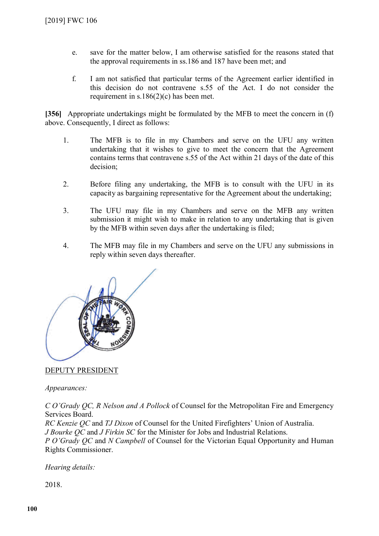- e. save for the matter below, I am otherwise satisfied for the reasons stated that the approval requirements in ss.186 and 187 have been met; and
- f. I am not satisfied that particular terms of the Agreement earlier identified in this decision do not contravene s.55 of the Act. I do not consider the requirement in s.186(2)(c) has been met.

**[356]** Appropriate undertakings might be formulated by the MFB to meet the concern in (f) above. Consequently, I direct as follows:

- 1. The MFB is to file in my Chambers and serve on the UFU any written undertaking that it wishes to give to meet the concern that the Agreement contains terms that contravene s.55 of the Act within 21 days of the date of this decision;
- 2. Before filing any undertaking, the MFB is to consult with the UFU in its capacity as bargaining representative for the Agreement about the undertaking;
- 3. The UFU may file in my Chambers and serve on the MFB any written submission it might wish to make in relation to any undertaking that is given by the MFB within seven days after the undertaking is filed;
- 4. The MFB may file in my Chambers and serve on the UFU any submissions in reply within seven days thereafter.



### DEPUTY PRESIDENT

*Appearances:*

*C O'Grady QC, R Nelson and A Pollock* of Counsel for the Metropolitan Fire and Emergency Services Board.

*RC Kenzie QC* and *TJ Dixon* of Counsel for the United Firefighters' Union of Australia. *J Bourke QC* and *J Firkin SC* for the Minister for Jobs and Industrial Relations.

*P O'Grady QC* and *N Campbell* of Counsel for the Victorian Equal Opportunity and Human Rights Commissioner.

*Hearing details:*

2018.